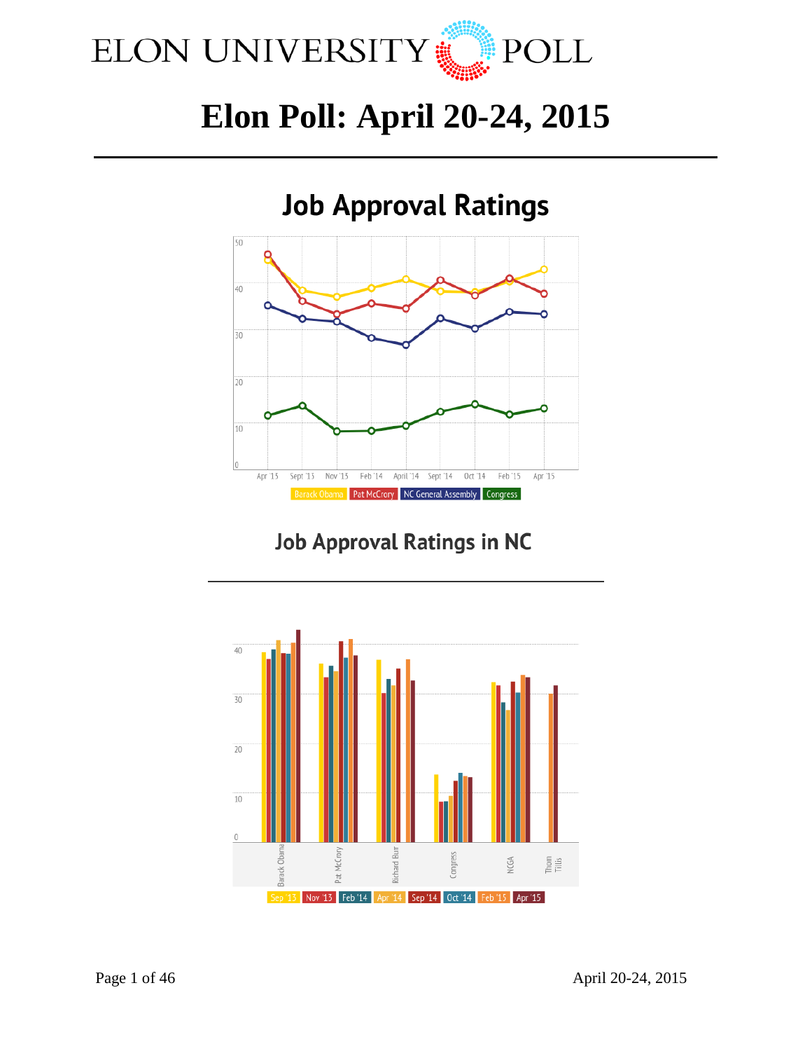

# **Elon Poll: April 20-24, 2015**



## **Job Approval Ratings in NC**

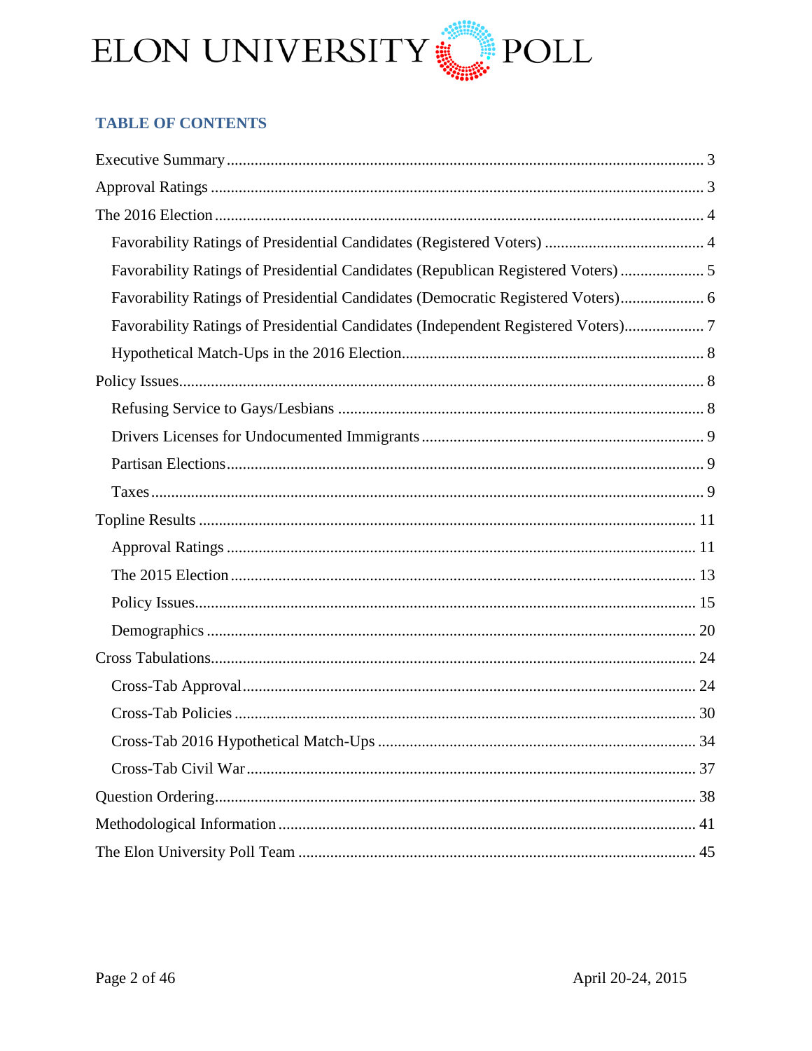

## **TABLE OF CONTENTS**

| Favorability Ratings of Presidential Candidates (Republican Registered Voters)  5 |
|-----------------------------------------------------------------------------------|
| Favorability Ratings of Presidential Candidates (Democratic Registered Voters) 6  |
| Favorability Ratings of Presidential Candidates (Independent Registered Voters) 7 |
|                                                                                   |
|                                                                                   |
|                                                                                   |
|                                                                                   |
|                                                                                   |
|                                                                                   |
|                                                                                   |
|                                                                                   |
|                                                                                   |
|                                                                                   |
|                                                                                   |
|                                                                                   |
|                                                                                   |
|                                                                                   |
| 34                                                                                |
|                                                                                   |
|                                                                                   |
|                                                                                   |
|                                                                                   |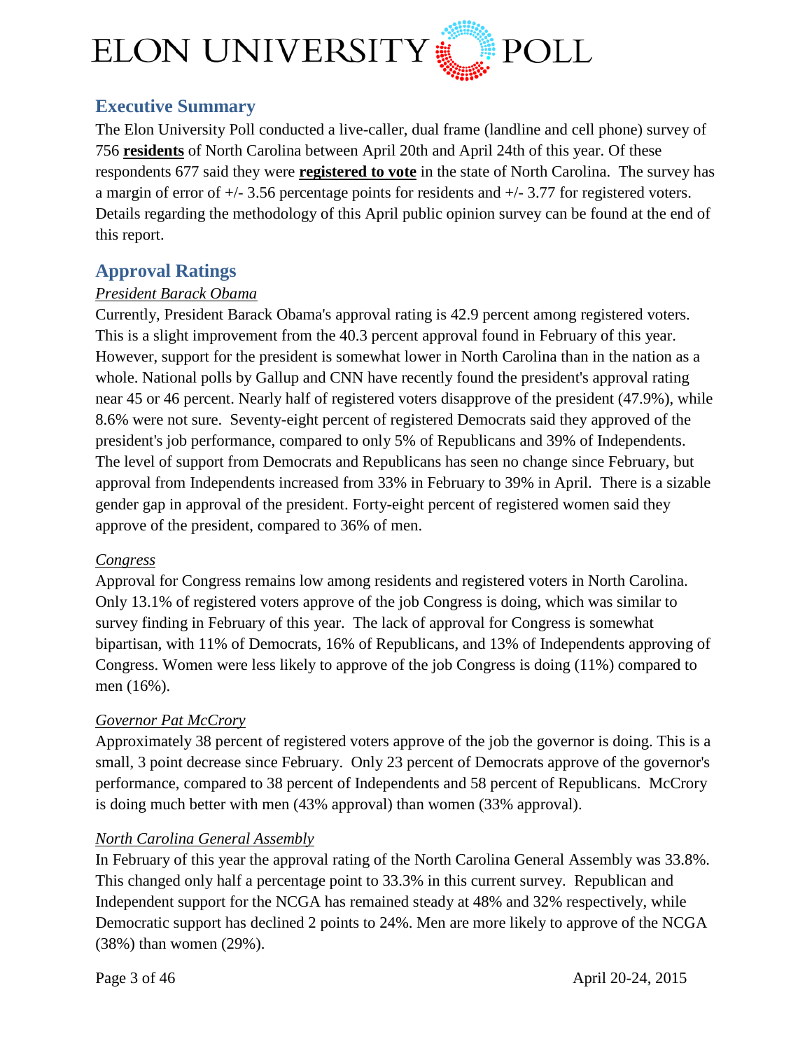

## <span id="page-2-0"></span>**Executive Summary**

The Elon University Poll conducted a live-caller, dual frame (landline and cell phone) survey of 756 **residents** of North Carolina between April 20th and April 24th of this year. Of these respondents 677 said they were **registered to vote** in the state of North Carolina. The survey has a margin of error of +/- 3.56 percentage points for residents and +/- 3.77 for registered voters. Details regarding the methodology of this April public opinion survey can be found at the end of this report.

## <span id="page-2-1"></span>**Approval Ratings**

## *President Barack Obama*

Currently, President Barack Obama's approval rating is 42.9 percent among registered voters. This is a slight improvement from the 40.3 percent approval found in February of this year. However, support for the president is somewhat lower in North Carolina than in the nation as a whole. National polls by Gallup and CNN have recently found the president's approval rating near 45 or 46 percent. Nearly half of registered voters disapprove of the president (47.9%), while 8.6% were not sure. Seventy-eight percent of registered Democrats said they approved of the president's job performance, compared to only 5% of Republicans and 39% of Independents. The level of support from Democrats and Republicans has seen no change since February, but approval from Independents increased from 33% in February to 39% in April. There is a sizable gender gap in approval of the president. Forty-eight percent of registered women said they approve of the president, compared to 36% of men.

## *Congress*

Approval for Congress remains low among residents and registered voters in North Carolina. Only 13.1% of registered voters approve of the job Congress is doing, which was similar to survey finding in February of this year. The lack of approval for Congress is somewhat bipartisan, with 11% of Democrats, 16% of Republicans, and 13% of Independents approving of Congress. Women were less likely to approve of the job Congress is doing (11%) compared to men (16%).

## *Governor Pat McCrory*

Approximately 38 percent of registered voters approve of the job the governor is doing. This is a small, 3 point decrease since February. Only 23 percent of Democrats approve of the governor's performance, compared to 38 percent of Independents and 58 percent of Republicans. McCrory is doing much better with men (43% approval) than women (33% approval).

## *North Carolina General Assembly*

In February of this year the approval rating of the North Carolina General Assembly was 33.8%. This changed only half a percentage point to 33.3% in this current survey. Republican and Independent support for the NCGA has remained steady at 48% and 32% respectively, while Democratic support has declined 2 points to 24%. Men are more likely to approve of the NCGA (38%) than women (29%).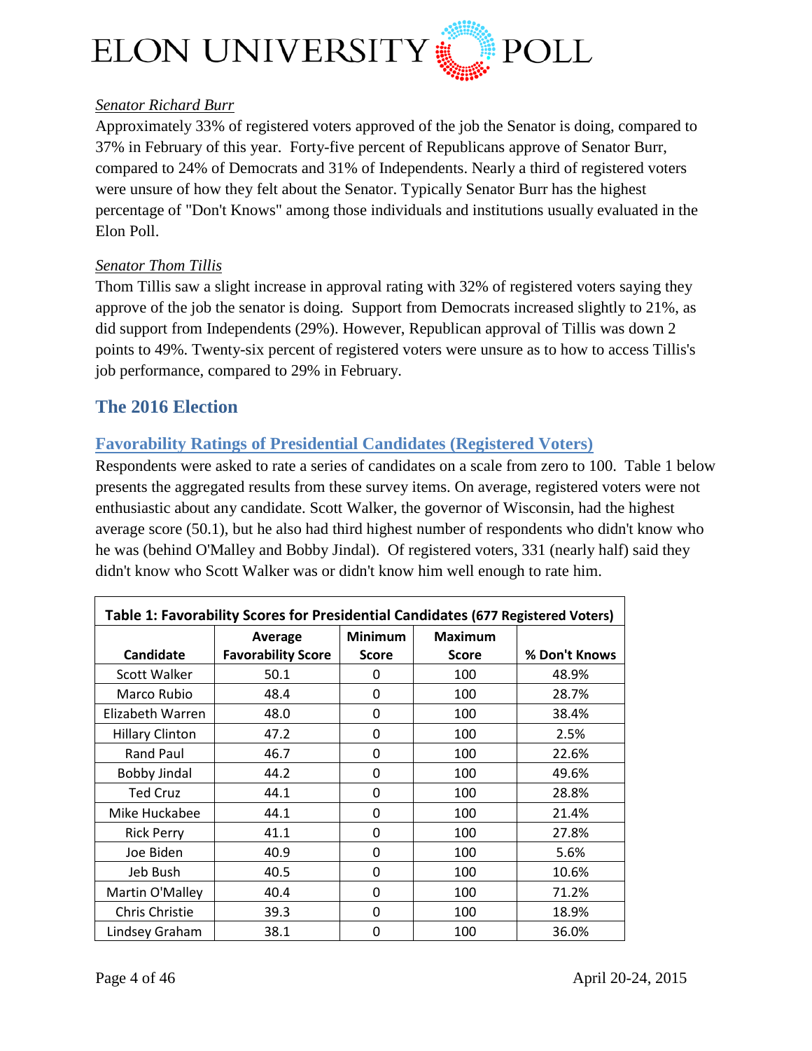

## *Senator Richard Burr*

Approximately 33% of registered voters approved of the job the Senator is doing, compared to 37% in February of this year. Forty-five percent of Republicans approve of Senator Burr, compared to 24% of Democrats and 31% of Independents. Nearly a third of registered voters were unsure of how they felt about the Senator. Typically Senator Burr has the highest percentage of "Don't Knows" among those individuals and institutions usually evaluated in the Elon Poll.

## *Senator Thom Tillis*

Thom Tillis saw a slight increase in approval rating with 32% of registered voters saying they approve of the job the senator is doing. Support from Democrats increased slightly to 21%, as did support from Independents (29%). However, Republican approval of Tillis was down 2 points to 49%. Twenty-six percent of registered voters were unsure as to how to access Tillis's job performance, compared to 29% in February.

## <span id="page-3-0"></span>**The 2016 Election**

## <span id="page-3-1"></span>**Favorability Ratings of Presidential Candidates (Registered Voters)**

Respondents were asked to rate a series of candidates on a scale from zero to 100. Table 1 below presents the aggregated results from these survey items. On average, registered voters were not enthusiastic about any candidate. Scott Walker, the governor of Wisconsin, had the highest average score (50.1), but he also had third highest number of respondents who didn't know who he was (behind O'Malley and Bobby Jindal). Of registered voters, 331 (nearly half) said they didn't know who Scott Walker was or didn't know him well enough to rate him.

| Table 1: Favorability Scores for Presidential Candidates (677 Registered Voters) |                           |                |                |               |
|----------------------------------------------------------------------------------|---------------------------|----------------|----------------|---------------|
|                                                                                  | Average                   | <b>Minimum</b> | <b>Maximum</b> |               |
| <b>Candidate</b>                                                                 | <b>Favorability Score</b> | Score          | <b>Score</b>   | % Don't Knows |
| Scott Walker                                                                     | 50.1                      | 0              | 100            | 48.9%         |
| Marco Rubio                                                                      | 48.4                      | 0              | 100            | 28.7%         |
| Elizabeth Warren                                                                 | 48.0                      | 0              | 100            | 38.4%         |
| <b>Hillary Clinton</b>                                                           | 47.2                      | 0              | 100            | 2.5%          |
| Rand Paul                                                                        | 46.7                      | 0              | 100            | 22.6%         |
| Bobby Jindal                                                                     | 44.2                      | 0              | 100            | 49.6%         |
| <b>Ted Cruz</b>                                                                  | 44.1                      | 0              | 100            | 28.8%         |
| Mike Huckabee                                                                    | 44.1                      | 0              | 100            | 21.4%         |
| <b>Rick Perry</b>                                                                | 41.1                      | 0              | 100            | 27.8%         |
| Joe Biden                                                                        | 40.9                      | 0              | 100            | 5.6%          |
| Jeb Bush                                                                         | 40.5                      | 0              | 100            | 10.6%         |
| Martin O'Malley                                                                  | 40.4                      | 0              | 100            | 71.2%         |
| Chris Christie                                                                   | 39.3                      | 0              | 100            | 18.9%         |
| Lindsey Graham                                                                   | 38.1                      | 0              | 100            | 36.0%         |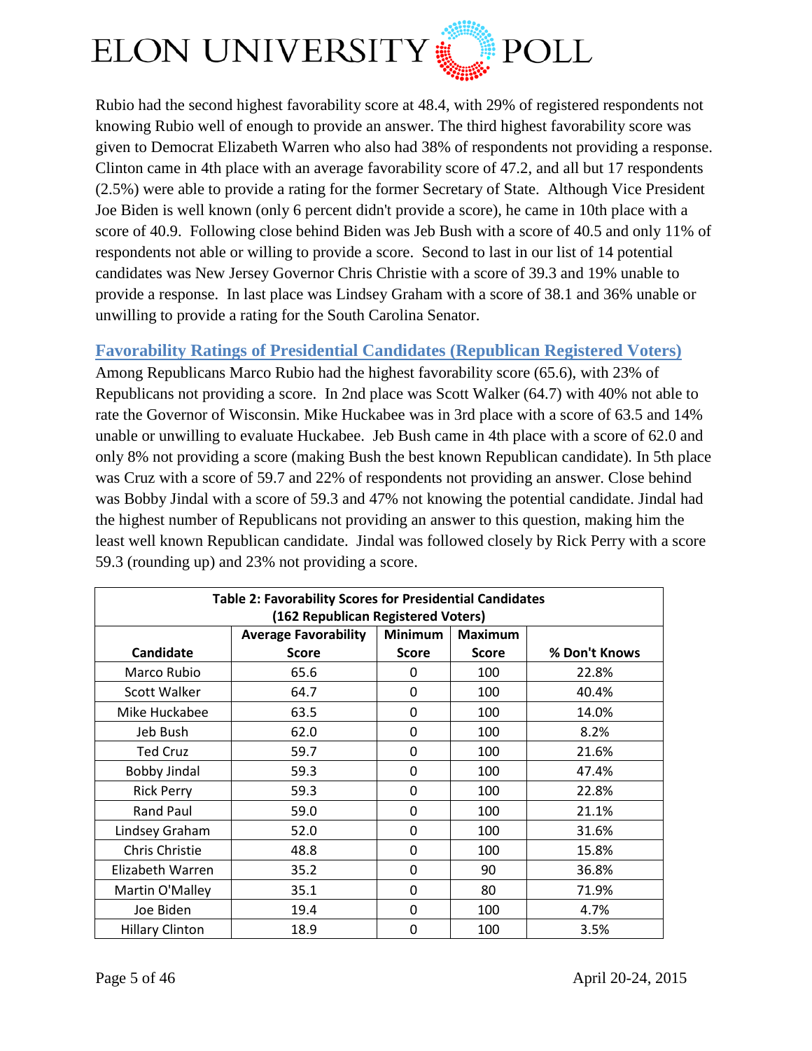

Rubio had the second highest favorability score at 48.4, with 29% of registered respondents not knowing Rubio well of enough to provide an answer. The third highest favorability score was given to Democrat Elizabeth Warren who also had 38% of respondents not providing a response. Clinton came in 4th place with an average favorability score of 47.2, and all but 17 respondents (2.5%) were able to provide a rating for the former Secretary of State. Although Vice President Joe Biden is well known (only 6 percent didn't provide a score), he came in 10th place with a score of 40.9. Following close behind Biden was Jeb Bush with a score of 40.5 and only 11% of respondents not able or willing to provide a score. Second to last in our list of 14 potential candidates was New Jersey Governor Chris Christie with a score of 39.3 and 19% unable to provide a response. In last place was Lindsey Graham with a score of 38.1 and 36% unable or unwilling to provide a rating for the South Carolina Senator.

## <span id="page-4-0"></span>**Favorability Ratings of Presidential Candidates (Republican Registered Voters)**

Among Republicans Marco Rubio had the highest favorability score (65.6), with 23% of Republicans not providing a score. In 2nd place was Scott Walker (64.7) with 40% not able to rate the Governor of Wisconsin. Mike Huckabee was in 3rd place with a score of 63.5 and 14% unable or unwilling to evaluate Huckabee. Jeb Bush came in 4th place with a score of 62.0 and only 8% not providing a score (making Bush the best known Republican candidate). In 5th place was Cruz with a score of 59.7 and 22% of respondents not providing an answer. Close behind was Bobby Jindal with a score of 59.3 and 47% not knowing the potential candidate. Jindal had the highest number of Republicans not providing an answer to this question, making him the least well known Republican candidate. Jindal was followed closely by Rick Perry with a score 59.3 (rounding up) and 23% not providing a score.

| <b>Table 2: Favorability Scores for Presidential Candidates</b><br>(162 Republican Registered Voters) |              |              |              |               |  |  |
|-------------------------------------------------------------------------------------------------------|--------------|--------------|--------------|---------------|--|--|
| <b>Minimum</b><br><b>Average Favorability</b><br><b>Maximum</b>                                       |              |              |              |               |  |  |
| Candidate                                                                                             | <b>Score</b> | <b>Score</b> | <b>Score</b> | % Don't Knows |  |  |
| Marco Rubio                                                                                           | 65.6         | 0            | 100          | 22.8%         |  |  |
| <b>Scott Walker</b>                                                                                   | 64.7         | 0            | 100          | 40.4%         |  |  |
| Mike Huckabee                                                                                         | 63.5         | 0            | 100          | 14.0%         |  |  |
| Jeb Bush                                                                                              | 62.0         | 0            | 100          | 8.2%          |  |  |
| <b>Ted Cruz</b>                                                                                       | 59.7         | 0            | 100          | 21.6%         |  |  |
| <b>Bobby Jindal</b>                                                                                   | 59.3         | 0            | 100          | 47.4%         |  |  |
| <b>Rick Perry</b>                                                                                     | 59.3         | 0            | 100          | 22.8%         |  |  |
| Rand Paul                                                                                             | 59.0         | 0            | 100          | 21.1%         |  |  |
| Lindsey Graham                                                                                        | 52.0         | 0            | 100          | 31.6%         |  |  |
| Chris Christie                                                                                        | 48.8         | 0            | 100          | 15.8%         |  |  |
| Elizabeth Warren                                                                                      | 35.2         | $\Omega$     | 90           | 36.8%         |  |  |
| Martin O'Malley                                                                                       | 35.1         | 0            | 80           | 71.9%         |  |  |
| Joe Biden                                                                                             | 19.4         | $\Omega$     | 100          | 4.7%          |  |  |
| <b>Hillary Clinton</b>                                                                                | 18.9         | 0            | 100          | 3.5%          |  |  |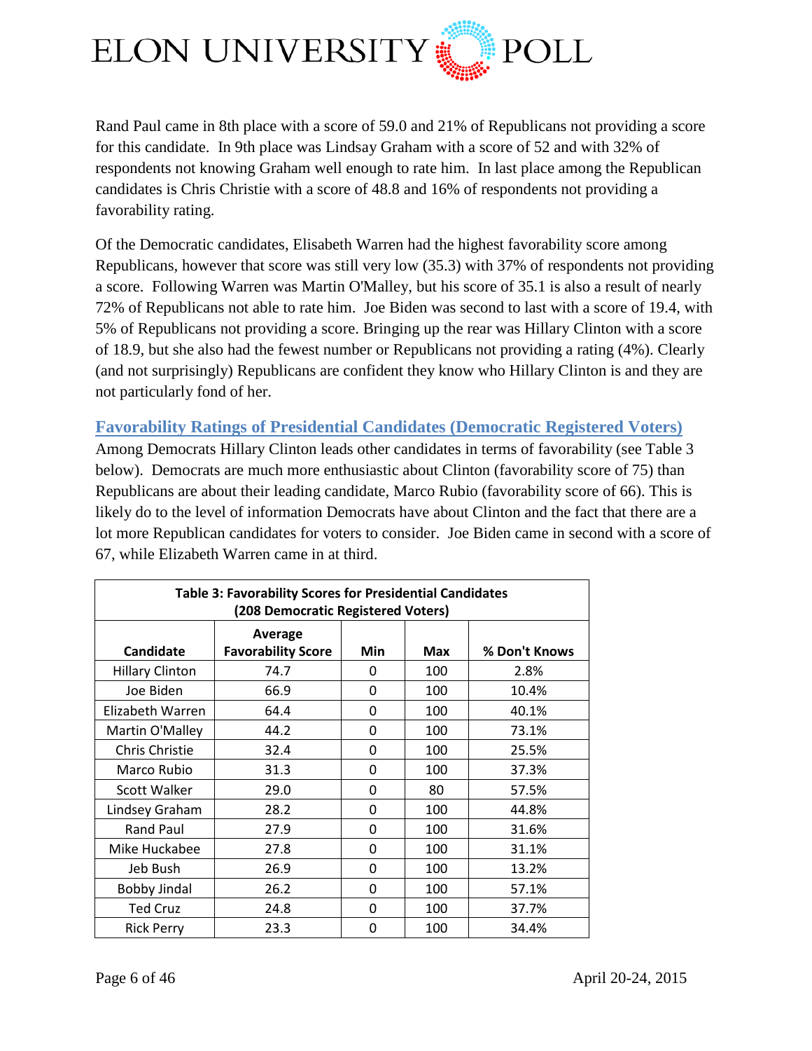

Rand Paul came in 8th place with a score of 59.0 and 21% of Republicans not providing a score for this candidate. In 9th place was Lindsay Graham with a score of 52 and with 32% of respondents not knowing Graham well enough to rate him. In last place among the Republican candidates is Chris Christie with a score of 48.8 and 16% of respondents not providing a favorability rating.

Of the Democratic candidates, Elisabeth Warren had the highest favorability score among Republicans, however that score was still very low (35.3) with 37% of respondents not providing a score. Following Warren was Martin O'Malley, but his score of 35.1 is also a result of nearly 72% of Republicans not able to rate him. Joe Biden was second to last with a score of 19.4, with 5% of Republicans not providing a score. Bringing up the rear was Hillary Clinton with a score of 18.9, but she also had the fewest number or Republicans not providing a rating (4%). Clearly (and not surprisingly) Republicans are confident they know who Hillary Clinton is and they are not particularly fond of her.

<span id="page-5-0"></span>**Favorability Ratings of Presidential Candidates (Democratic Registered Voters)**

Among Democrats Hillary Clinton leads other candidates in terms of favorability (see Table 3 below). Democrats are much more enthusiastic about Clinton (favorability score of 75) than Republicans are about their leading candidate, Marco Rubio (favorability score of 66). This is likely do to the level of information Democrats have about Clinton and the fact that there are a lot more Republican candidates for voters to consider. Joe Biden came in second with a score of 67, while Elizabeth Warren came in at third.

| <b>Table 3: Favorability Scores for Presidential Candidates</b><br>(208 Democratic Registered Voters) |                                      |     |     |               |
|-------------------------------------------------------------------------------------------------------|--------------------------------------|-----|-----|---------------|
| <b>Candidate</b>                                                                                      | Average<br><b>Favorability Score</b> | Min | Max | % Don't Knows |
| <b>Hillary Clinton</b>                                                                                | 74.7                                 | 0   | 100 | 2.8%          |
| Joe Biden                                                                                             | 66.9                                 | 0   | 100 | 10.4%         |
| Elizabeth Warren                                                                                      | 64.4                                 | 0   | 100 | 40.1%         |
| Martin O'Malley                                                                                       | 44.2                                 | 0   | 100 | 73.1%         |
| Chris Christie                                                                                        | 32.4                                 | 0   | 100 | 25.5%         |
| Marco Rubio                                                                                           | 31.3                                 | 0   | 100 | 37.3%         |
| Scott Walker                                                                                          | 29.0                                 | 0   | 80  | 57.5%         |
| Lindsey Graham                                                                                        | 28.2                                 | 0   | 100 | 44.8%         |
| <b>Rand Paul</b>                                                                                      | 27.9                                 | 0   | 100 | 31.6%         |
| Mike Huckabee                                                                                         | 27.8                                 | 0   | 100 | 31.1%         |
| Jeb Bush                                                                                              | 26.9                                 | 0   | 100 | 13.2%         |
| <b>Bobby Jindal</b>                                                                                   | 26.2                                 | 0   | 100 | 57.1%         |
| <b>Ted Cruz</b>                                                                                       | 24.8                                 | 0   | 100 | 37.7%         |
| <b>Rick Perry</b>                                                                                     | 23.3                                 | 0   | 100 | 34.4%         |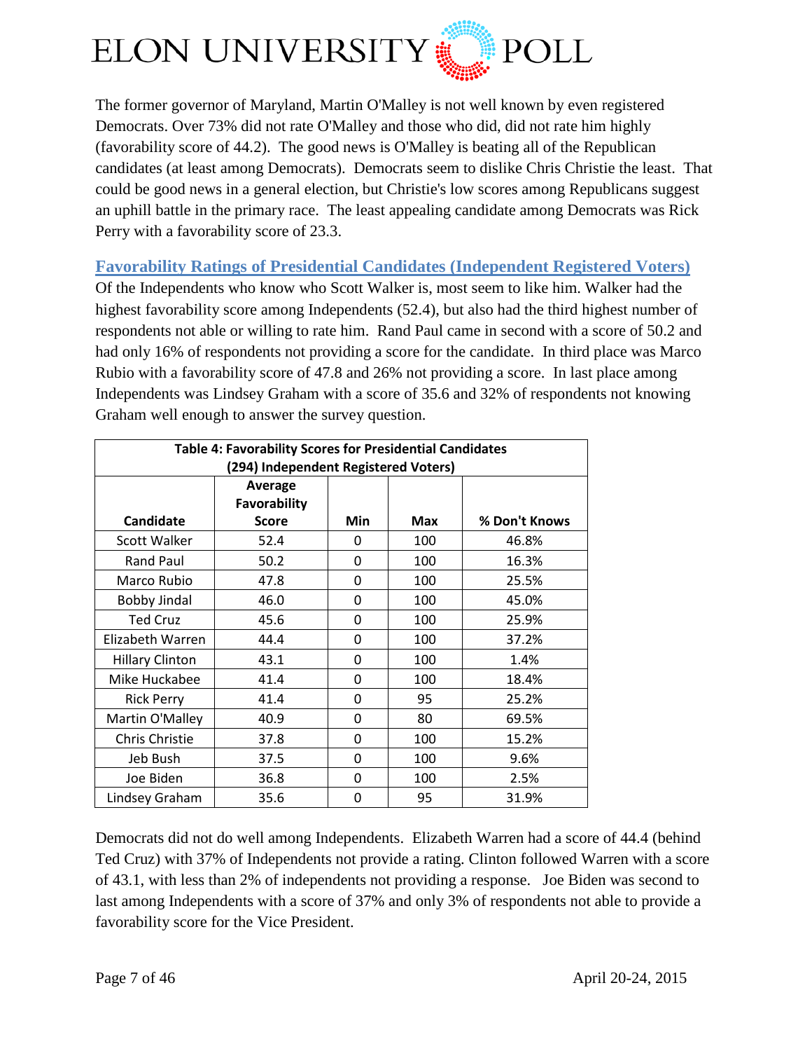

The former governor of Maryland, Martin O'Malley is not well known by even registered Democrats. Over 73% did not rate O'Malley and those who did, did not rate him highly (favorability score of 44.2). The good news is O'Malley is beating all of the Republican candidates (at least among Democrats). Democrats seem to dislike Chris Christie the least. That could be good news in a general election, but Christie's low scores among Republicans suggest an uphill battle in the primary race. The least appealing candidate among Democrats was Rick Perry with a favorability score of 23.3.

## <span id="page-6-0"></span>**Favorability Ratings of Presidential Candidates (Independent Registered Voters)**

Of the Independents who know who Scott Walker is, most seem to like him. Walker had the highest favorability score among Independents (52.4), but also had the third highest number of respondents not able or willing to rate him. Rand Paul came in second with a score of 50.2 and had only 16% of respondents not providing a score for the candidate. In third place was Marco Rubio with a favorability score of 47.8 and 26% not providing a score. In last place among Independents was Lindsey Graham with a score of 35.6 and 32% of respondents not knowing Graham well enough to answer the survey question.

| <b>Table 4: Favorability Scores for Presidential Candidates</b> |                     |     |            |               |
|-----------------------------------------------------------------|---------------------|-----|------------|---------------|
| (294) Independent Registered Voters)                            |                     |     |            |               |
|                                                                 | Average             |     |            |               |
|                                                                 | <b>Favorability</b> |     |            |               |
| Candidate                                                       | <b>Score</b>        | Min | <b>Max</b> | % Don't Knows |
| <b>Scott Walker</b>                                             | 52.4                | 0   | 100        | 46.8%         |
| <b>Rand Paul</b>                                                | 50.2                | 0   | 100        | 16.3%         |
| Marco Rubio                                                     | 47.8                | 0   | 100        | 25.5%         |
| <b>Bobby Jindal</b>                                             | 46.0                | 0   | 100        | 45.0%         |
| <b>Ted Cruz</b>                                                 | 45.6                | 0   | 100        | 25.9%         |
| Elizabeth Warren                                                | 44.4                | 0   | 100        | 37.2%         |
| <b>Hillary Clinton</b>                                          | 43.1                | 0   | 100        | 1.4%          |
| Mike Huckabee                                                   | 41.4                | 0   | 100        | 18.4%         |
| <b>Rick Perry</b>                                               | 41.4                | 0   | 95         | 25.2%         |
| Martin O'Malley                                                 | 40.9                | 0   | 80         | 69.5%         |
| Chris Christie                                                  | 37.8                | 0   | 100        | 15.2%         |
| Jeb Bush                                                        | 37.5                | 0   | 100        | 9.6%          |
| Joe Biden                                                       | 36.8                | 0   | 100        | 2.5%          |
| Lindsey Graham                                                  | 35.6                | 0   | 95         | 31.9%         |

Democrats did not do well among Independents. Elizabeth Warren had a score of 44.4 (behind Ted Cruz) with 37% of Independents not provide a rating. Clinton followed Warren with a score of 43.1, with less than 2% of independents not providing a response. Joe Biden was second to last among Independents with a score of 37% and only 3% of respondents not able to provide a favorability score for the Vice President.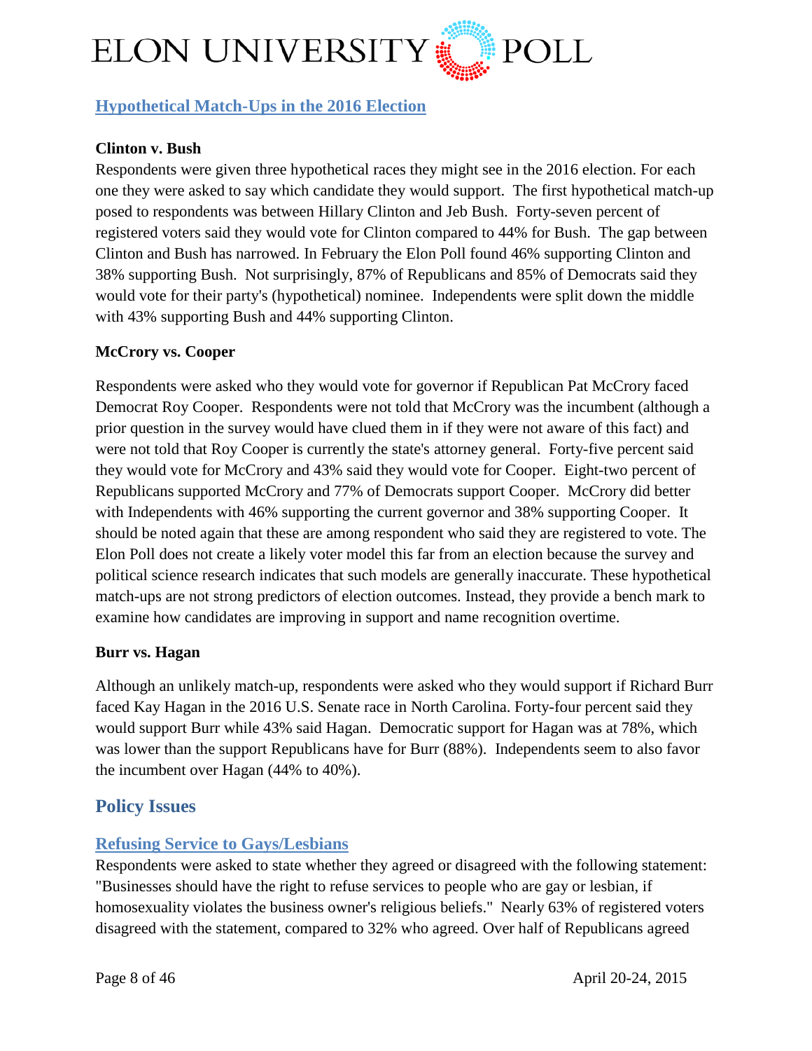

## <span id="page-7-0"></span>**Hypothetical Match-Ups in the 2016 Election**

## **Clinton v. Bush**

Respondents were given three hypothetical races they might see in the 2016 election. For each one they were asked to say which candidate they would support. The first hypothetical match-up posed to respondents was between Hillary Clinton and Jeb Bush. Forty-seven percent of registered voters said they would vote for Clinton compared to 44% for Bush. The gap between Clinton and Bush has narrowed. In February the Elon Poll found 46% supporting Clinton and 38% supporting Bush. Not surprisingly, 87% of Republicans and 85% of Democrats said they would vote for their party's (hypothetical) nominee. Independents were split down the middle with 43% supporting Bush and 44% supporting Clinton.

#### **McCrory vs. Cooper**

Respondents were asked who they would vote for governor if Republican Pat McCrory faced Democrat Roy Cooper. Respondents were not told that McCrory was the incumbent (although a prior question in the survey would have clued them in if they were not aware of this fact) and were not told that Roy Cooper is currently the state's attorney general. Forty-five percent said they would vote for McCrory and 43% said they would vote for Cooper. Eight-two percent of Republicans supported McCrory and 77% of Democrats support Cooper. McCrory did better with Independents with 46% supporting the current governor and 38% supporting Cooper. It should be noted again that these are among respondent who said they are registered to vote. The Elon Poll does not create a likely voter model this far from an election because the survey and political science research indicates that such models are generally inaccurate. These hypothetical match-ups are not strong predictors of election outcomes. Instead, they provide a bench mark to examine how candidates are improving in support and name recognition overtime.

#### **Burr vs. Hagan**

Although an unlikely match-up, respondents were asked who they would support if Richard Burr faced Kay Hagan in the 2016 U.S. Senate race in North Carolina. Forty-four percent said they would support Burr while 43% said Hagan. Democratic support for Hagan was at 78%, which was lower than the support Republicans have for Burr (88%). Independents seem to also favor the incumbent over Hagan (44% to 40%).

## <span id="page-7-1"></span>**Policy Issues**

## <span id="page-7-2"></span>**Refusing Service to Gays/Lesbians**

Respondents were asked to state whether they agreed or disagreed with the following statement: "Businesses should have the right to refuse services to people who are gay or lesbian, if homosexuality violates the business owner's religious beliefs." Nearly 63% of registered voters disagreed with the statement, compared to 32% who agreed. Over half of Republicans agreed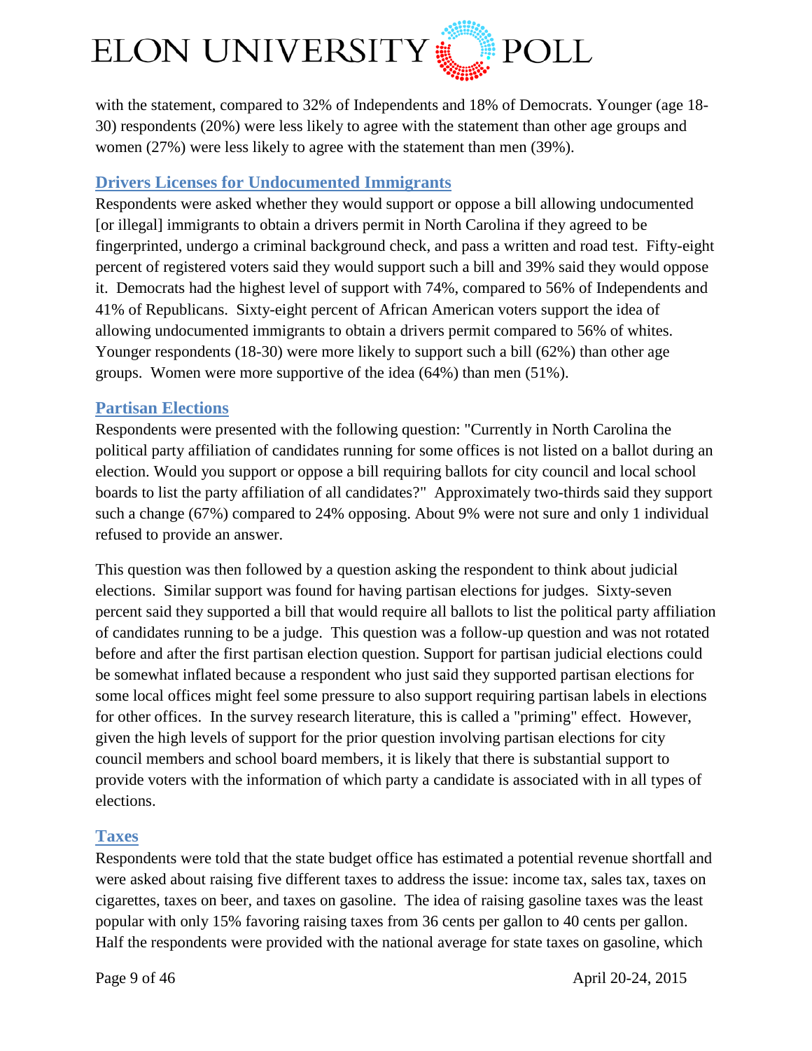

with the statement, compared to 32% of Independents and 18% of Democrats. Younger (age 18- 30) respondents (20%) were less likely to agree with the statement than other age groups and women (27%) were less likely to agree with the statement than men (39%).

## <span id="page-8-0"></span>**Drivers Licenses for Undocumented Immigrants**

Respondents were asked whether they would support or oppose a bill allowing undocumented [or illegal] immigrants to obtain a drivers permit in North Carolina if they agreed to be fingerprinted, undergo a criminal background check, and pass a written and road test. Fifty-eight percent of registered voters said they would support such a bill and 39% said they would oppose it. Democrats had the highest level of support with 74%, compared to 56% of Independents and 41% of Republicans. Sixty-eight percent of African American voters support the idea of allowing undocumented immigrants to obtain a drivers permit compared to 56% of whites. Younger respondents (18-30) were more likely to support such a bill (62%) than other age groups. Women were more supportive of the idea (64%) than men (51%).

## <span id="page-8-1"></span>**Partisan Elections**

Respondents were presented with the following question: "Currently in North Carolina the political party affiliation of candidates running for some offices is not listed on a ballot during an election. Would you support or oppose a bill requiring ballots for city council and local school boards to list the party affiliation of all candidates?" Approximately two-thirds said they support such a change (67%) compared to 24% opposing. About 9% were not sure and only 1 individual refused to provide an answer.

This question was then followed by a question asking the respondent to think about judicial elections. Similar support was found for having partisan elections for judges. Sixty-seven percent said they supported a bill that would require all ballots to list the political party affiliation of candidates running to be a judge. This question was a follow-up question and was not rotated before and after the first partisan election question. Support for partisan judicial elections could be somewhat inflated because a respondent who just said they supported partisan elections for some local offices might feel some pressure to also support requiring partisan labels in elections for other offices. In the survey research literature, this is called a "priming" effect. However, given the high levels of support for the prior question involving partisan elections for city council members and school board members, it is likely that there is substantial support to provide voters with the information of which party a candidate is associated with in all types of elections.

## <span id="page-8-2"></span>**Taxes**

Respondents were told that the state budget office has estimated a potential revenue shortfall and were asked about raising five different taxes to address the issue: income tax, sales tax, taxes on cigarettes, taxes on beer, and taxes on gasoline. The idea of raising gasoline taxes was the least popular with only 15% favoring raising taxes from 36 cents per gallon to 40 cents per gallon. Half the respondents were provided with the national average for state taxes on gasoline, which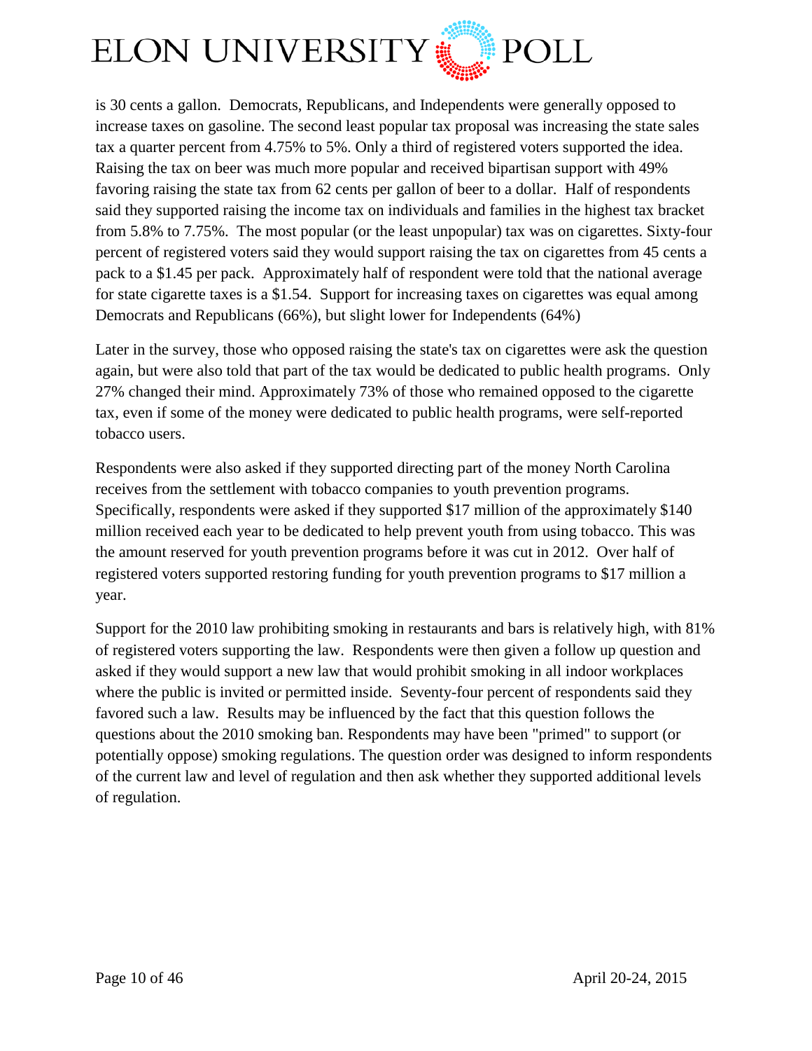

is 30 cents a gallon. Democrats, Republicans, and Independents were generally opposed to increase taxes on gasoline. The second least popular tax proposal was increasing the state sales tax a quarter percent from 4.75% to 5%. Only a third of registered voters supported the idea. Raising the tax on beer was much more popular and received bipartisan support with 49% favoring raising the state tax from 62 cents per gallon of beer to a dollar. Half of respondents said they supported raising the income tax on individuals and families in the highest tax bracket from 5.8% to 7.75%. The most popular (or the least unpopular) tax was on cigarettes. Sixty-four percent of registered voters said they would support raising the tax on cigarettes from 45 cents a pack to a \$1.45 per pack. Approximately half of respondent were told that the national average for state cigarette taxes is a \$1.54. Support for increasing taxes on cigarettes was equal among Democrats and Republicans (66%), but slight lower for Independents (64%)

Later in the survey, those who opposed raising the state's tax on cigarettes were ask the question again, but were also told that part of the tax would be dedicated to public health programs. Only 27% changed their mind. Approximately 73% of those who remained opposed to the cigarette tax, even if some of the money were dedicated to public health programs, were self-reported tobacco users.

Respondents were also asked if they supported directing part of the money North Carolina receives from the settlement with tobacco companies to youth prevention programs. Specifically, respondents were asked if they supported \$17 million of the approximately \$140 million received each year to be dedicated to help prevent youth from using tobacco. This was the amount reserved for youth prevention programs before it was cut in 2012. Over half of registered voters supported restoring funding for youth prevention programs to \$17 million a year.

Support for the 2010 law prohibiting smoking in restaurants and bars is relatively high, with 81% of registered voters supporting the law. Respondents were then given a follow up question and asked if they would support a new law that would prohibit smoking in all indoor workplaces where the public is invited or permitted inside. Seventy-four percent of respondents said they favored such a law. Results may be influenced by the fact that this question follows the questions about the 2010 smoking ban. Respondents may have been "primed" to support (or potentially oppose) smoking regulations. The question order was designed to inform respondents of the current law and level of regulation and then ask whether they supported additional levels of regulation.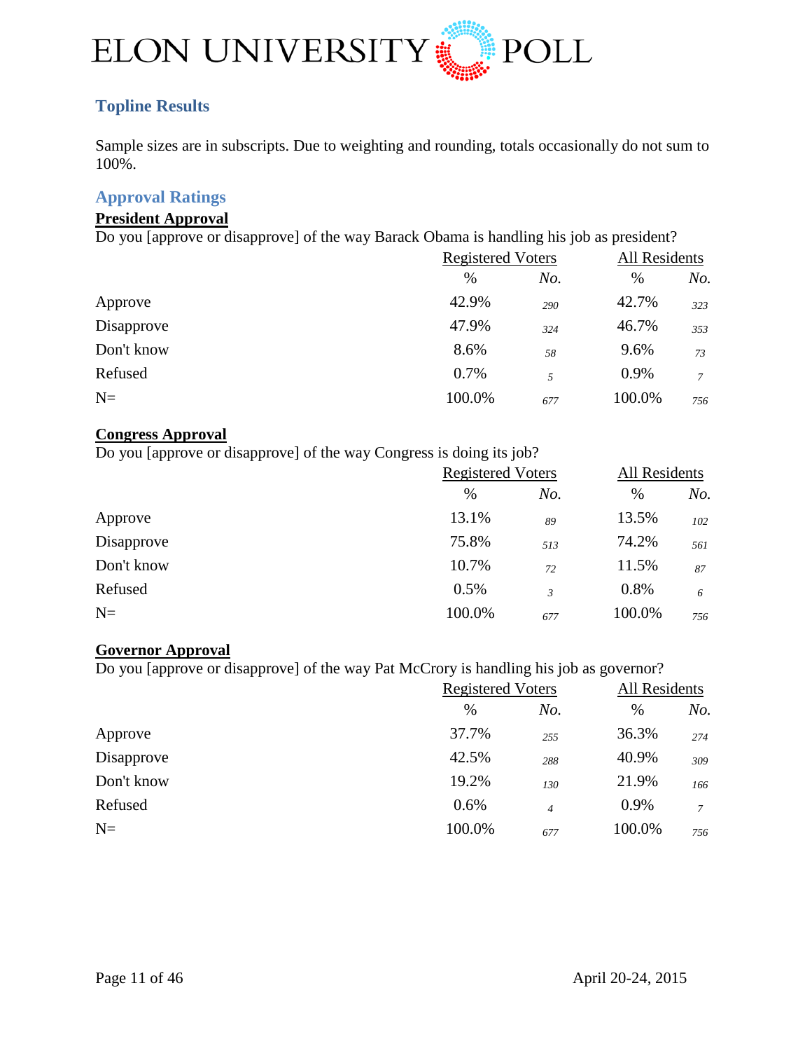

## <span id="page-10-0"></span>**Topline Results**

Sample sizes are in subscripts. Due to weighting and rounding, totals occasionally do not sum to 100%.

## <span id="page-10-1"></span>**Approval Ratings**

#### **President Approval**

Do you [approve or disapprove] of the way Barack Obama is handling his job as president?

|            | <b>Registered Voters</b> |     | All Residents |     |
|------------|--------------------------|-----|---------------|-----|
|            | $\%$                     | No. | $\%$          | No. |
| Approve    | 42.9%                    | 290 | 42.7%         | 323 |
| Disapprove | 47.9%                    | 324 | 46.7%         | 353 |
| Don't know | 8.6%                     | 58  | 9.6%          | 73  |
| Refused    | 0.7%                     | 5   | 0.9%          | 7   |
| $N=$       | 100.0%                   | 677 | 100.0%        | 756 |

#### **Congress Approval**

Do you [approve or disapprove] of the way Congress is doing its job?

|            | <b>Registered Voters</b> |     | All Residents |     |
|------------|--------------------------|-----|---------------|-----|
|            | $\%$                     | No. | $\%$          | No. |
| Approve    | 13.1%                    | 89  | 13.5%         | 102 |
| Disapprove | 75.8%                    | 513 | 74.2%         | 561 |
| Don't know | 10.7%                    | 72  | 11.5%         | 87  |
| Refused    | 0.5%                     | 3   | 0.8%          | 6   |
| $N=$       | 100.0%                   | 677 | 100.0%        | 756 |

## **Governor Approval**

Do you [approve or disapprove] of the way Pat McCrory is handling his job as governor?

|            | <b>Registered Voters</b> |                | All Residents |               |
|------------|--------------------------|----------------|---------------|---------------|
|            | $\%$                     | No.            | %             | No.           |
| Approve    | 37.7%                    | 255            | 36.3%         | 274           |
| Disapprove | 42.5%                    | 288            | 40.9%         | 309           |
| Don't know | 19.2%                    | 130            | 21.9%         | 166           |
| Refused    | 0.6%                     | $\overline{4}$ | 0.9%          | $\mathcal{I}$ |
| $N=$       | 100.0%                   | 677            | 100.0%        | 756           |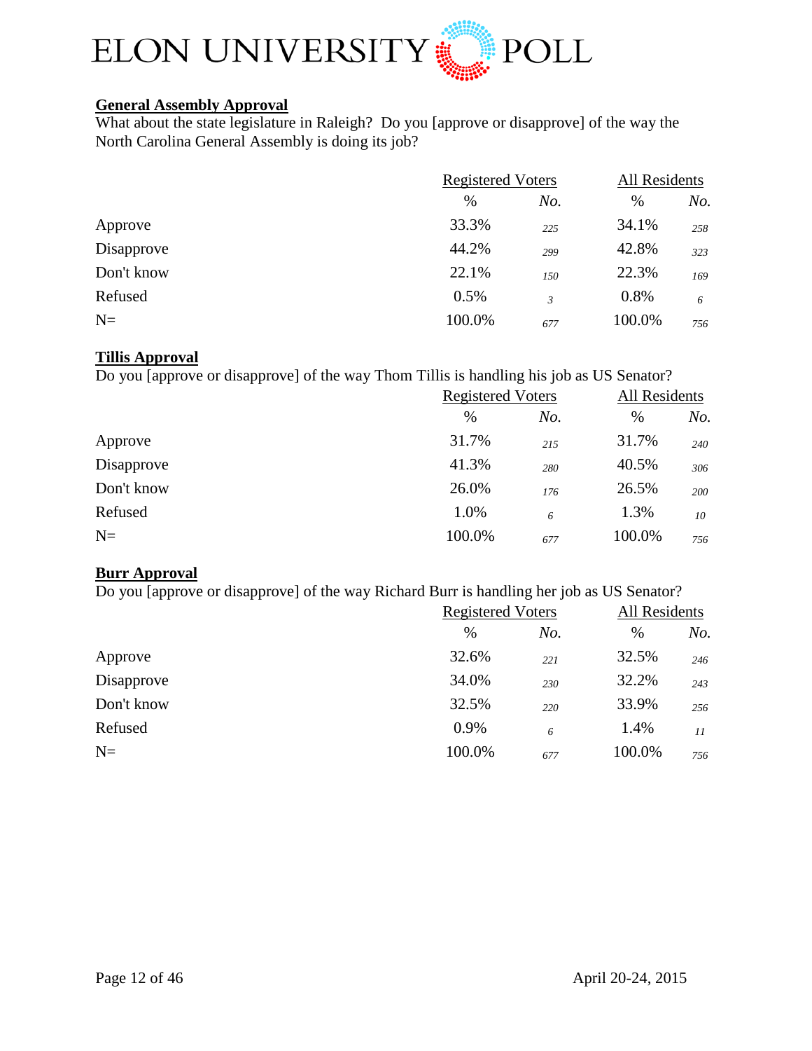

## **General Assembly Approval**

What about the state legislature in Raleigh? Do you [approve or disapprove] of the way the North Carolina General Assembly is doing its job?

|            | <b>Registered Voters</b> |     | All Residents |     |
|------------|--------------------------|-----|---------------|-----|
|            | $\%$                     | No. | $\%$          | No. |
| Approve    | 33.3%                    | 225 | 34.1%         | 258 |
| Disapprove | 44.2%                    | 299 | 42.8%         | 323 |
| Don't know | 22.1%                    | 150 | 22.3%         | 169 |
| Refused    | 0.5%                     | 3   | 0.8%          | 6   |
| $N=$       | 100.0%                   | 677 | 100.0%        | 756 |

#### **Tillis Approval**

Do you [approve or disapprove] of the way Thom Tillis is handling his job as US Senator?

|            | <b>Registered Voters</b> |     | All Residents |     |
|------------|--------------------------|-----|---------------|-----|
|            | %                        | No. | $\%$          | No. |
| Approve    | 31.7%                    | 215 | 31.7%         | 240 |
| Disapprove | 41.3%                    | 280 | 40.5%         | 306 |
| Don't know | 26.0%                    | 176 | 26.5%         | 200 |
| Refused    | 1.0%                     | 6   | 1.3%          | 10  |
| $N=$       | 100.0%                   | 677 | 100.0%        | 756 |

## **Burr Approval**

Do you [approve or disapprove] of the way Richard Burr is handling her job as US Senator?

|            | <b>Registered Voters</b> |     | All Residents |     |
|------------|--------------------------|-----|---------------|-----|
|            | %                        | No. | $\%$          | No. |
| Approve    | 32.6%                    | 221 | 32.5%         | 246 |
| Disapprove | 34.0%                    | 230 | 32.2%         | 243 |
| Don't know | 32.5%                    | 220 | 33.9%         | 256 |
| Refused    | 0.9%                     | 6   | 1.4%          | 11  |
| $N=$       | 100.0%                   | 677 | 100.0%        | 756 |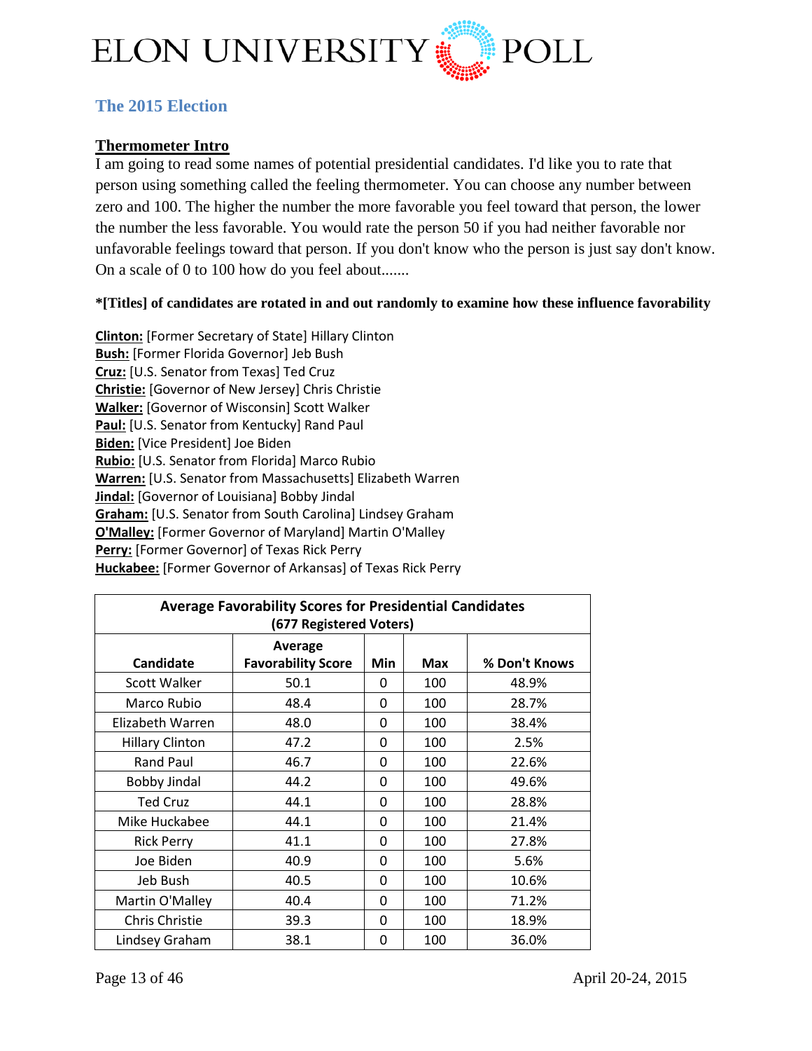

## <span id="page-12-0"></span>**The 2015 Election**

## **Thermometer Intro**

I am going to read some names of potential presidential candidates. I'd like you to rate that person using something called the feeling thermometer. You can choose any number between zero and 100. The higher the number the more favorable you feel toward that person, the lower the number the less favorable. You would rate the person 50 if you had neither favorable nor unfavorable feelings toward that person. If you don't know who the person is just say don't know. On a scale of 0 to 100 how do you feel about.......

#### **\*[Titles] of candidates are rotated in and out randomly to examine how these influence favorability**

**Clinton:** [Former Secretary of State] Hillary Clinton **Bush:** [Former Florida Governor] Jeb Bush **Cruz:** [U.S. Senator from Texas] Ted Cruz **Christie:** [Governor of New Jersey] Chris Christie **Walker:** [Governor of Wisconsin] Scott Walker **Paul:** [U.S. Senator from Kentucky] Rand Paul **Biden:** [Vice President] Joe Biden **Rubio:** [U.S. Senator from Florida] Marco Rubio **Warren:** [U.S. Senator from Massachusetts] Elizabeth Warren **Jindal:** [Governor of Louisiana] Bobby Jindal **Graham:** [U.S. Senator from South Carolina] Lindsey Graham **O'Malley:** [Former Governor of Maryland] Martin O'Malley **Perry:** [Former Governor] of Texas Rick Perry **Huckabee:** [Former Governor of Arkansas] of Texas Rick Perry

| <b>Average Favorability Scores for Presidential Candidates</b><br>(677 Registered Voters) |                                      |     |            |               |
|-------------------------------------------------------------------------------------------|--------------------------------------|-----|------------|---------------|
| <b>Candidate</b>                                                                          | Average<br><b>Favorability Score</b> | Min | <b>Max</b> | % Don't Knows |
| <b>Scott Walker</b>                                                                       | 50.1                                 | 0   | 100        | 48.9%         |
| Marco Rubio                                                                               | 48.4                                 | 0   | 100        | 28.7%         |
| Elizabeth Warren                                                                          | 48.0                                 | 0   | 100        | 38.4%         |
| <b>Hillary Clinton</b>                                                                    | 47.2                                 | 0   | 100        | 2.5%          |
| Rand Paul                                                                                 | 46.7                                 | 0   | 100        | 22.6%         |
| Bobby Jindal                                                                              | 44.2                                 | 0   | 100        | 49.6%         |
| <b>Ted Cruz</b>                                                                           | 44.1                                 | 0   | 100        | 28.8%         |
| Mike Huckabee                                                                             | 44.1                                 | 0   | 100        | 21.4%         |
| <b>Rick Perry</b>                                                                         | 41.1                                 | 0   | 100        | 27.8%         |
| Joe Biden                                                                                 | 40.9                                 | 0   | 100        | 5.6%          |
| Jeb Bush                                                                                  | 40.5                                 | 0   | 100        | 10.6%         |
| Martin O'Malley                                                                           | 40.4                                 | 0   | 100        | 71.2%         |
| Chris Christie                                                                            | 39.3                                 | 0   | 100        | 18.9%         |
| Lindsey Graham                                                                            | 38.1                                 | 0   | 100        | 36.0%         |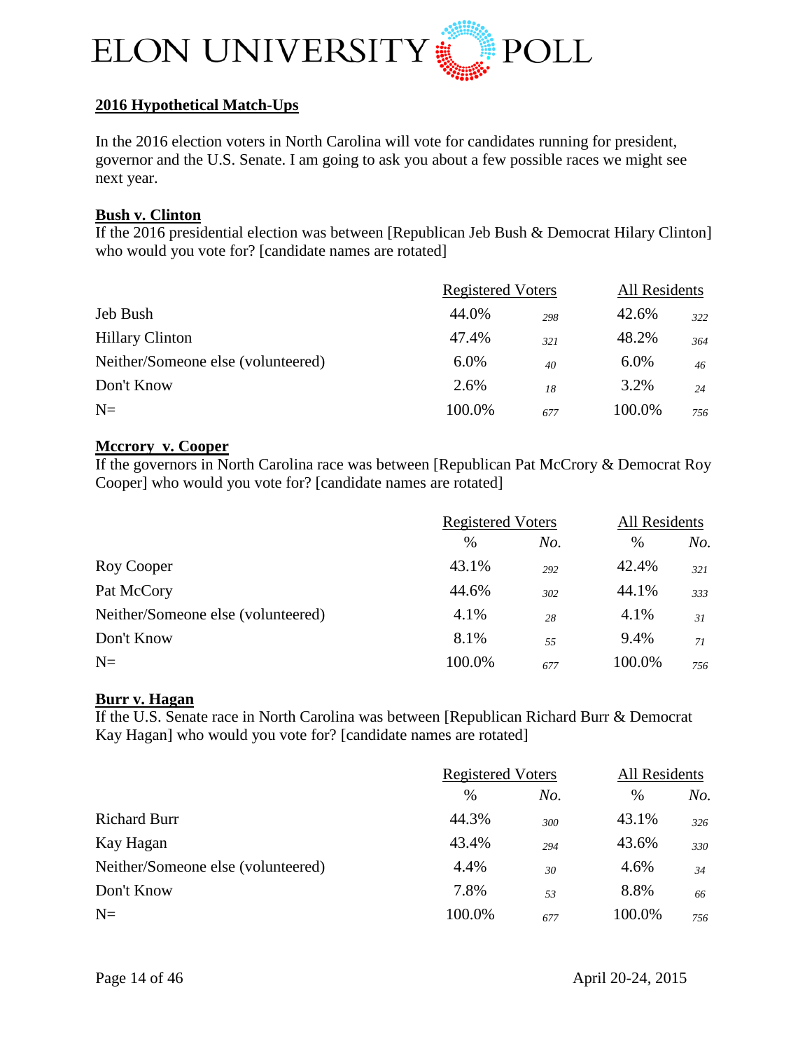

## **2016 Hypothetical Match-Ups**

In the 2016 election voters in North Carolina will vote for candidates running for president, governor and the U.S. Senate. I am going to ask you about a few possible races we might see next year.

#### **Bush v. Clinton**

If the 2016 presidential election was between [Republican Jeb Bush & Democrat Hilary Clinton] who would you vote for? [candidate names are rotated]

|                                    | <b>Registered Voters</b> |     | All Residents |                 |
|------------------------------------|--------------------------|-----|---------------|-----------------|
| Jeb Bush                           | 44.0%                    | 298 | 42.6%         | 322             |
| <b>Hillary Clinton</b>             | 47.4%                    | 321 | 48.2%         | 364             |
| Neither/Someone else (volunteered) | 6.0%                     | 40  | 6.0%          | 46 <sup>2</sup> |
| Don't Know                         | 2.6%                     | 18  | 3.2%          | 24              |
| $N=$                               | 100.0%                   | 677 | 100.0%        | 756             |

#### **Mccrory v. Cooper**

If the governors in North Carolina race was between [Republican Pat McCrory & Democrat Roy Cooper] who would you vote for? [candidate names are rotated]

|                                    | <b>Registered Voters</b> |     | All Residents |     |
|------------------------------------|--------------------------|-----|---------------|-----|
|                                    | $\%$                     | No. | $\%$          | No. |
| Roy Cooper                         | 43.1%                    | 292 | 42.4%         | 321 |
| Pat McCory                         | 44.6%                    | 302 | 44.1%         | 333 |
| Neither/Someone else (volunteered) | 4.1%                     | 28  | 4.1%          | 31  |
| Don't Know                         | 8.1%                     | 55  | 9.4%          | 71  |
| $N=$                               | 100.0%                   | 677 | 100.0%        | 756 |

#### **Burr v. Hagan**

If the U.S. Senate race in North Carolina was between [Republican Richard Burr & Democrat Kay Hagan] who would you vote for? [candidate names are rotated]

|                                    | <b>Registered Voters</b> |     | <b>All Residents</b> |     |
|------------------------------------|--------------------------|-----|----------------------|-----|
|                                    | $\%$                     | No. | $\%$                 | No. |
| <b>Richard Burr</b>                | 44.3%                    | 300 | 43.1%                | 326 |
| Kay Hagan                          | 43.4%                    | 294 | 43.6%                | 330 |
| Neither/Someone else (volunteered) | 4.4%                     | 30  | 4.6%                 | 34  |
| Don't Know                         | 7.8%                     | 53  | 8.8%                 | 66  |
| $N=$                               | 100.0%                   | 677 | 100.0%               | 756 |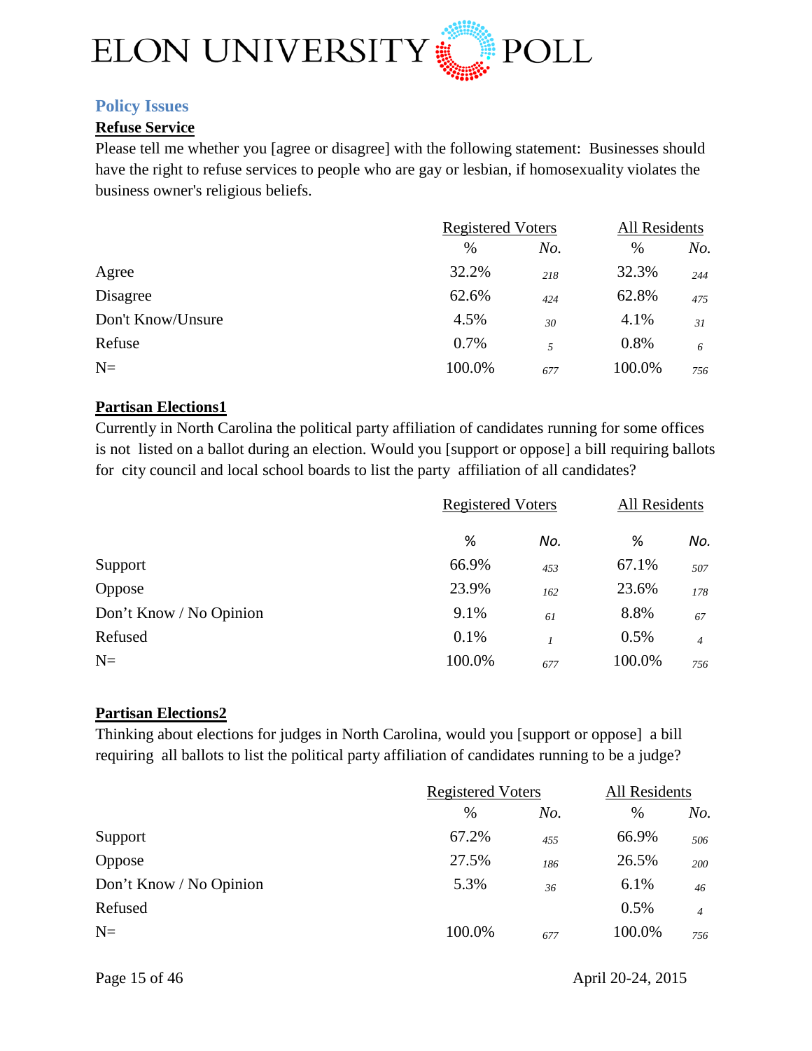

## <span id="page-14-0"></span>**Policy Issues**

#### **Refuse Service**

Please tell me whether you [agree or disagree] with the following statement: Businesses should have the right to refuse services to people who are gay or lesbian, if homosexuality violates the business owner's religious beliefs.

|                   | <b>Registered Voters</b> |     | All Residents |     |
|-------------------|--------------------------|-----|---------------|-----|
|                   | $\%$                     | No. | %             | No. |
| Agree             | 32.2%                    | 218 | 32.3%         | 244 |
| Disagree          | 62.6%                    | 424 | 62.8%         | 475 |
| Don't Know/Unsure | 4.5%                     | 30  | 4.1%          | 31  |
| Refuse            | 0.7%                     | 5   | 0.8%          | 6   |
| $N=$              | 100.0%                   | 677 | 100.0%        | 756 |

#### **Partisan Elections1**

Currently in North Carolina the political party affiliation of candidates running for some offices is not listed on a ballot during an election. Would you [support or oppose] a bill requiring ballots for city council and local school boards to list the party affiliation of all candidates?

|                         |        | <b>Registered Voters</b> |        | All Residents  |
|-------------------------|--------|--------------------------|--------|----------------|
|                         | %      | No.                      | %      | No.            |
| Support                 | 66.9%  | 453                      | 67.1%  | 507            |
| Oppose                  | 23.9%  | 162                      | 23.6%  | 178            |
| Don't Know / No Opinion | 9.1%   | 61                       | 8.8%   | 67             |
| Refused                 | 0.1%   |                          | 0.5%   | $\overline{4}$ |
| $N=$                    | 100.0% | 677                      | 100.0% | 756            |

#### **Partisan Elections2**

Thinking about elections for judges in North Carolina, would you [support or oppose] a bill requiring all ballots to list the political party affiliation of candidates running to be a judge?

| <b>Registered Voters</b> |     | <b>All Residents</b> |                |
|--------------------------|-----|----------------------|----------------|
| $\%$                     | No. | $\%$                 | No.            |
| 67.2%                    | 455 | 66.9%                | 506            |
| 27.5%                    | 186 | 26.5%                | 200            |
| 5.3%                     | 36  | 6.1%                 | 46             |
|                          |     | 0.5%                 | $\overline{4}$ |
| 100.0%                   | 677 | 100.0%               | 756            |
|                          |     |                      |                |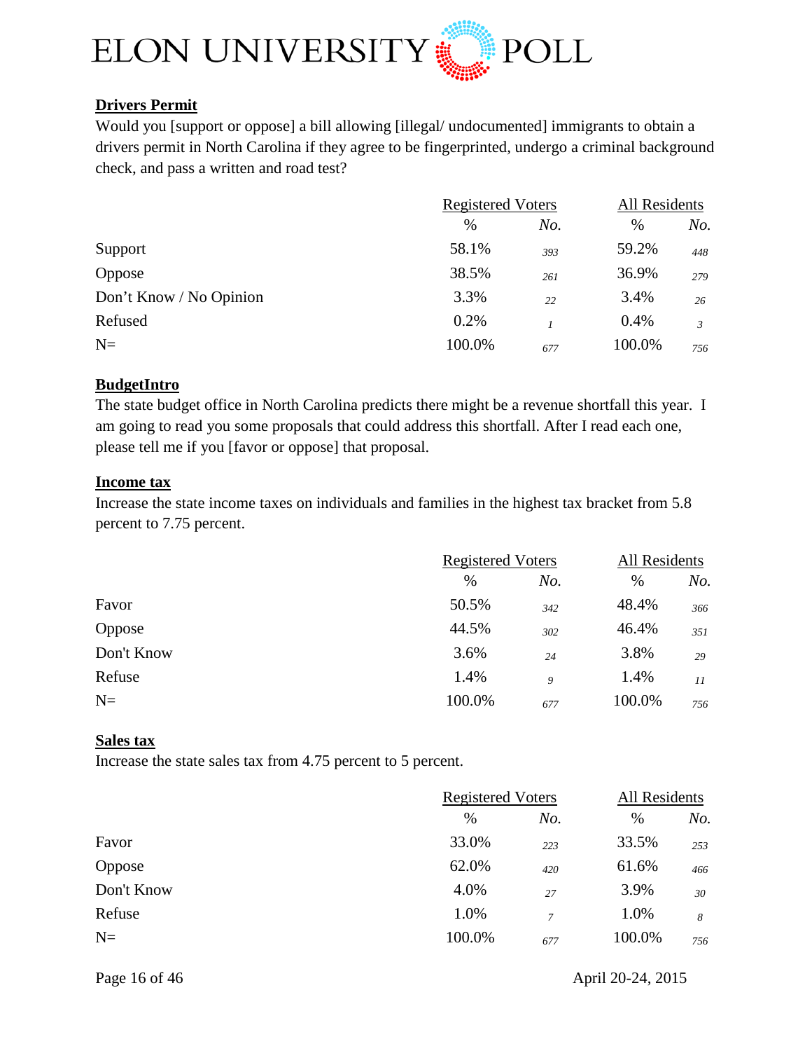

## **Drivers Permit**

Would you [support or oppose] a bill allowing [illegal/ undocumented] immigrants to obtain a drivers permit in North Carolina if they agree to be fingerprinted, undergo a criminal background check, and pass a written and road test?

| <b>Registered Voters</b> |     | All Residents |     |
|--------------------------|-----|---------------|-----|
| $\%$                     | No. | $\%$          | No. |
| 58.1%                    | 393 | 59.2%         | 448 |
| 38.5%                    | 261 | 36.9%         | 279 |
| 3.3%                     | 22  | 3.4%          | 26  |
| 0.2%                     |     | 0.4%          | 3   |
| 100.0%                   | 677 | 100.0%        | 756 |
|                          |     |               |     |

## **BudgetIntro**

The state budget office in North Carolina predicts there might be a revenue shortfall this year. I am going to read you some proposals that could address this shortfall. After I read each one, please tell me if you [favor or oppose] that proposal.

#### **Income tax**

Increase the state income taxes on individuals and families in the highest tax bracket from 5.8 percent to 7.75 percent.

|            | <b>Registered Voters</b> |     | All Residents |     |
|------------|--------------------------|-----|---------------|-----|
|            | %                        | No. | $\%$          | No. |
| Favor      | 50.5%                    | 342 | 48.4%         | 366 |
| Oppose     | 44.5%                    | 302 | 46.4%         | 351 |
| Don't Know | 3.6%                     | 24  | 3.8%          | 29  |
| Refuse     | 1.4%                     | 9   | 1.4%          | 11  |
| $N=$       | 100.0%                   | 677 | 100.0%        | 756 |

## **Sales tax**

Increase the state sales tax from 4.75 percent to 5 percent.

|            |        | <b>Registered Voters</b> |        | All Residents |  |
|------------|--------|--------------------------|--------|---------------|--|
|            | $\%$   | No.                      | %      | No.           |  |
| Favor      | 33.0%  | 223                      | 33.5%  | 253           |  |
| Oppose     | 62.0%  | 420                      | 61.6%  | 466           |  |
| Don't Know | 4.0%   | 27                       | 3.9%   | 30            |  |
| Refuse     | 1.0%   | $\overline{7}$           | 1.0%   | 8             |  |
| $N=$       | 100.0% | 677                      | 100.0% | 756           |  |
|            |        |                          |        |               |  |

Page 16 of 46 April 20-24, 2015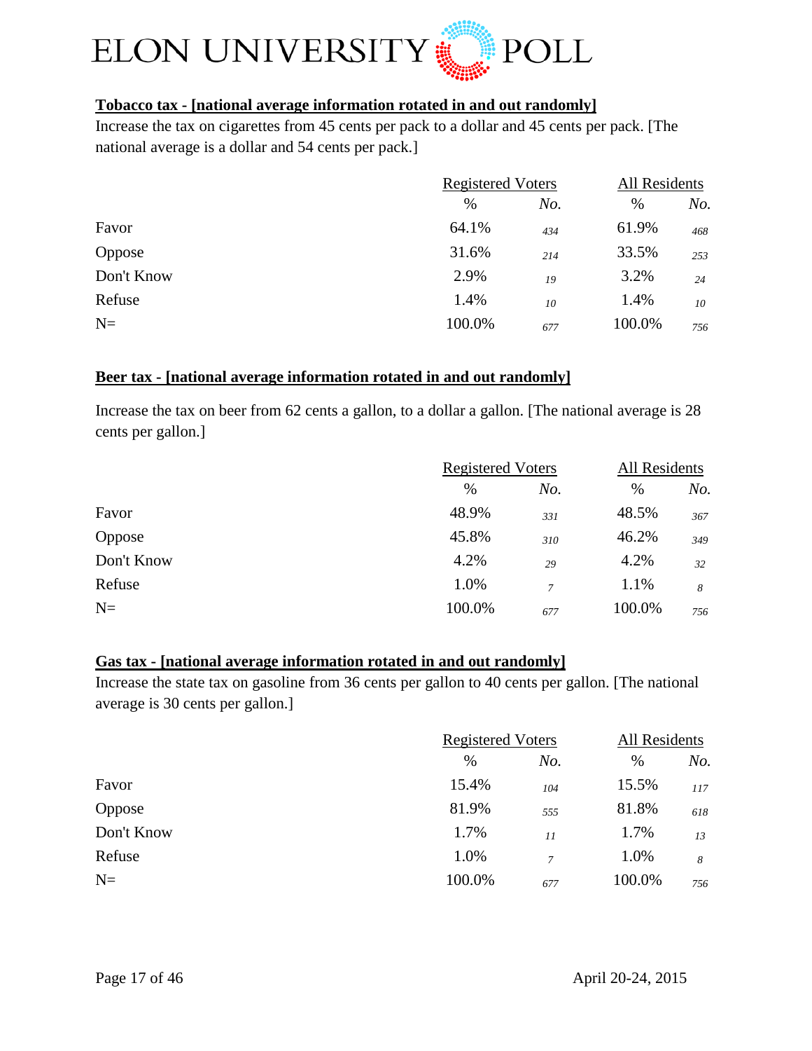

## **Tobacco tax - [national average information rotated in and out randomly]**

Increase the tax on cigarettes from 45 cents per pack to a dollar and 45 cents per pack. [The national average is a dollar and 54 cents per pack.]

|               | <b>Registered Voters</b> |     | All Residents |     |
|---------------|--------------------------|-----|---------------|-----|
|               | $\%$                     | No. | %             | No. |
| Favor         | 64.1%                    | 434 | 61.9%         | 468 |
| <b>Oppose</b> | 31.6%                    | 214 | 33.5%         | 253 |
| Don't Know    | 2.9%                     | 19  | 3.2%          | 24  |
| Refuse        | 1.4%                     | 10  | 1.4%          | 10  |
| $N=$          | 100.0%                   | 677 | 100.0%        | 756 |

## **Beer tax - [national average information rotated in and out randomly]**

Increase the tax on beer from 62 cents a gallon, to a dollar a gallon. [The national average is 28 cents per gallon.]

|            | <b>Registered Voters</b> |                | All Residents |     |
|------------|--------------------------|----------------|---------------|-----|
|            | $\%$                     | No.            | $\%$          | No. |
| Favor      | 48.9%                    | 331            | 48.5%         | 367 |
| Oppose     | 45.8%                    | 310            | 46.2%         | 349 |
| Don't Know | 4.2%                     | 29             | 4.2%          | 32  |
| Refuse     | 1.0%                     | $\overline{7}$ | 1.1%          | 8   |
| $N=$       | 100.0%                   | 677            | 100.0%        | 756 |

## **Gas tax - [national average information rotated in and out randomly]**

Increase the state tax on gasoline from 36 cents per gallon to 40 cents per gallon. [The national average is 30 cents per gallon.]

| <b>Registered Voters</b> |        | All Residents |     |
|--------------------------|--------|---------------|-----|
| %                        | No.    | $\%$          | No. |
| 15.4%                    | 104    | 15.5%         | 117 |
| 81.9%                    | 555    | 81.8%         | 618 |
| 1.7%                     | 11     | 1.7%          | 13  |
| 1.0%                     | $\tau$ | 1.0%          | 8   |
| 100.0%                   | 677    | 100.0%        | 756 |
|                          |        |               |     |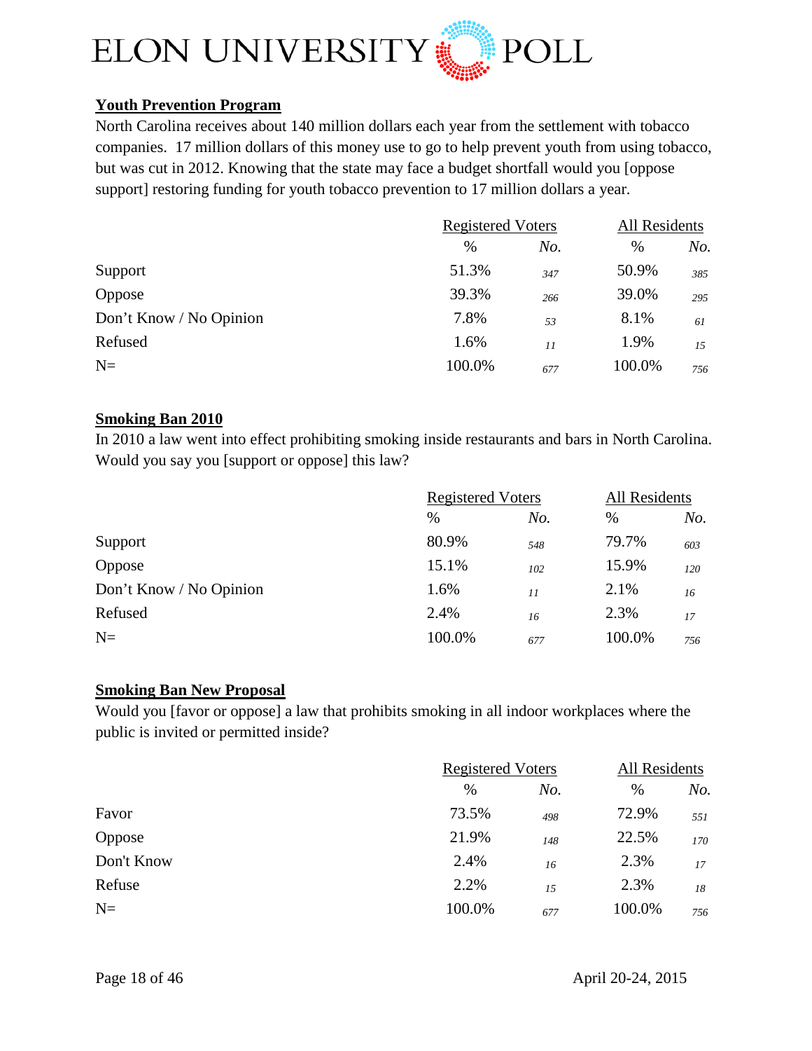

## **Youth Prevention Program**

North Carolina receives about 140 million dollars each year from the settlement with tobacco companies. 17 million dollars of this money use to go to help prevent youth from using tobacco, but was cut in 2012. Knowing that the state may face a budget shortfall would you [oppose support] restoring funding for youth tobacco prevention to 17 million dollars a year.

|                         | <b>Registered Voters</b> |     | All Residents |     |
|-------------------------|--------------------------|-----|---------------|-----|
|                         | $\%$                     | No. | %             | No. |
| Support                 | 51.3%                    | 347 | 50.9%         | 385 |
| Oppose                  | 39.3%                    | 266 | 39.0%         | 295 |
| Don't Know / No Opinion | 7.8%                     | 53  | 8.1%          | 61  |
| Refused                 | 1.6%                     | 11  | 1.9%          | 15  |
| $N=$                    | 100.0%                   | 677 | 100.0%        | 756 |

## **Smoking Ban 2010**

In 2010 a law went into effect prohibiting smoking inside restaurants and bars in North Carolina. Would you say you [support or oppose] this law?

|                         | <b>Registered Voters</b> |     | <b>All Residents</b> |     |
|-------------------------|--------------------------|-----|----------------------|-----|
|                         | $\%$                     | No. | %                    | No. |
| Support                 | 80.9%                    | 548 | 79.7%                | 603 |
| Oppose                  | 15.1%                    | 102 | 15.9%                | 120 |
| Don't Know / No Opinion | 1.6%                     | 11  | 2.1%                 | 16  |
| Refused                 | 2.4%                     | 16  | 2.3%                 | 17  |
| $N =$                   | 100.0%                   | 677 | 100.0%               | 756 |

## **Smoking Ban New Proposal**

Would you [favor or oppose] a law that prohibits smoking in all indoor workplaces where the public is invited or permitted inside?

|            | <b>Registered Voters</b> |     | All Residents |     |
|------------|--------------------------|-----|---------------|-----|
|            | $\%$                     | No. | $\%$          | No. |
| Favor      | 73.5%                    | 498 | 72.9%         | 551 |
| Oppose     | 21.9%                    | 148 | 22.5%         | 170 |
| Don't Know | 2.4%                     | 16  | 2.3%          | 17  |
| Refuse     | 2.2%                     | 1.5 | 2.3%          | 18  |
| $N=$       | 100.0%                   | 677 | 100.0%        | 756 |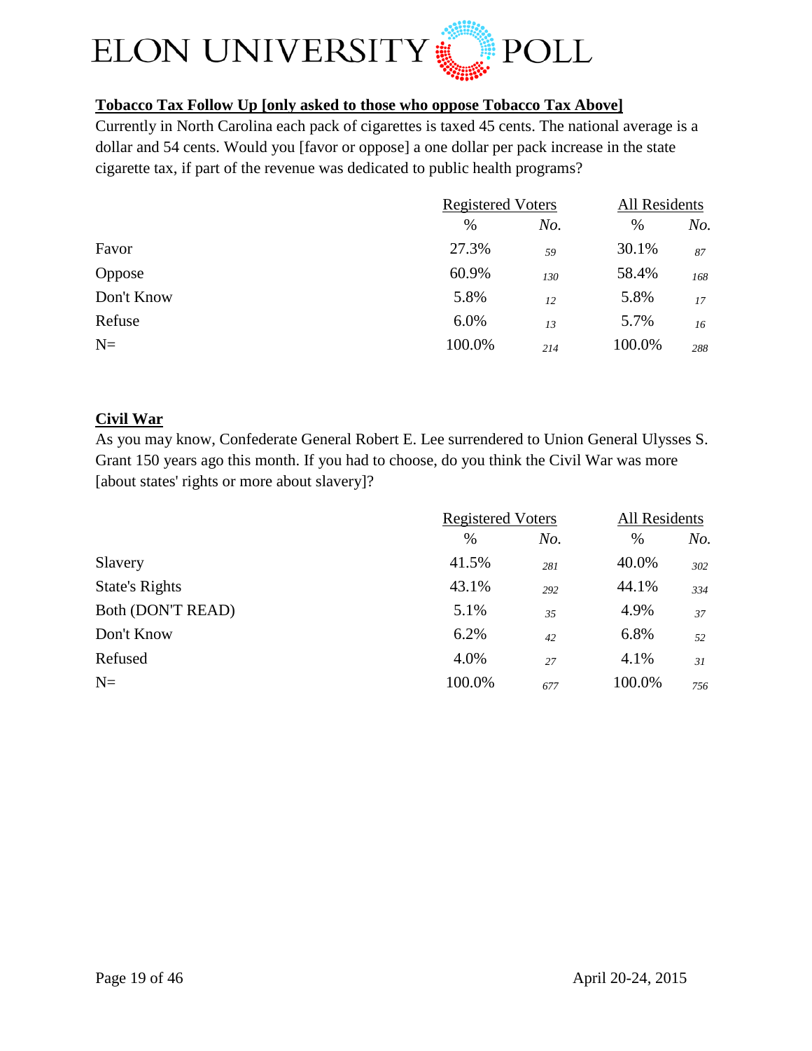

## **Tobacco Tax Follow Up [only asked to those who oppose Tobacco Tax Above]**

Currently in North Carolina each pack of cigarettes is taxed 45 cents. The national average is a dollar and 54 cents. Would you [favor or oppose] a one dollar per pack increase in the state cigarette tax, if part of the revenue was dedicated to public health programs?

|            | <b>Registered Voters</b> |     | All Residents |     |
|------------|--------------------------|-----|---------------|-----|
|            | %                        | No. | $\%$          | No. |
| Favor      | 27.3%                    | .59 | 30.1%         | 87  |
| Oppose     | 60.9%                    | 130 | 58.4%         | 168 |
| Don't Know | 5.8%                     | 12  | 5.8%          | 17  |
| Refuse     | 6.0%                     | 13  | 5.7%          | 16  |
| $N=$       | 100.0%                   | 214 | 100.0%        | 288 |

## **Civil War**

As you may know, Confederate General Robert E. Lee surrendered to Union General Ulysses S. Grant 150 years ago this month. If you had to choose, do you think the Civil War was more [about states' rights or more about slavery]?

|                       | <b>Registered Voters</b> |     | All Residents |     |
|-----------------------|--------------------------|-----|---------------|-----|
|                       | $\%$                     | No. | %             | No. |
| Slavery               | 41.5%                    | 281 | 40.0%         | 302 |
| <b>State's Rights</b> | 43.1%                    | 292 | 44.1%         | 334 |
| Both (DON'T READ)     | 5.1%                     | 35  | 4.9%          | 37  |
| Don't Know            | 6.2%                     | 42  | 6.8%          | 52  |
| Refused               | 4.0%                     | 27  | 4.1%          | 31  |
| $N=$                  | 100.0%                   | 677 | 100.0%        | 756 |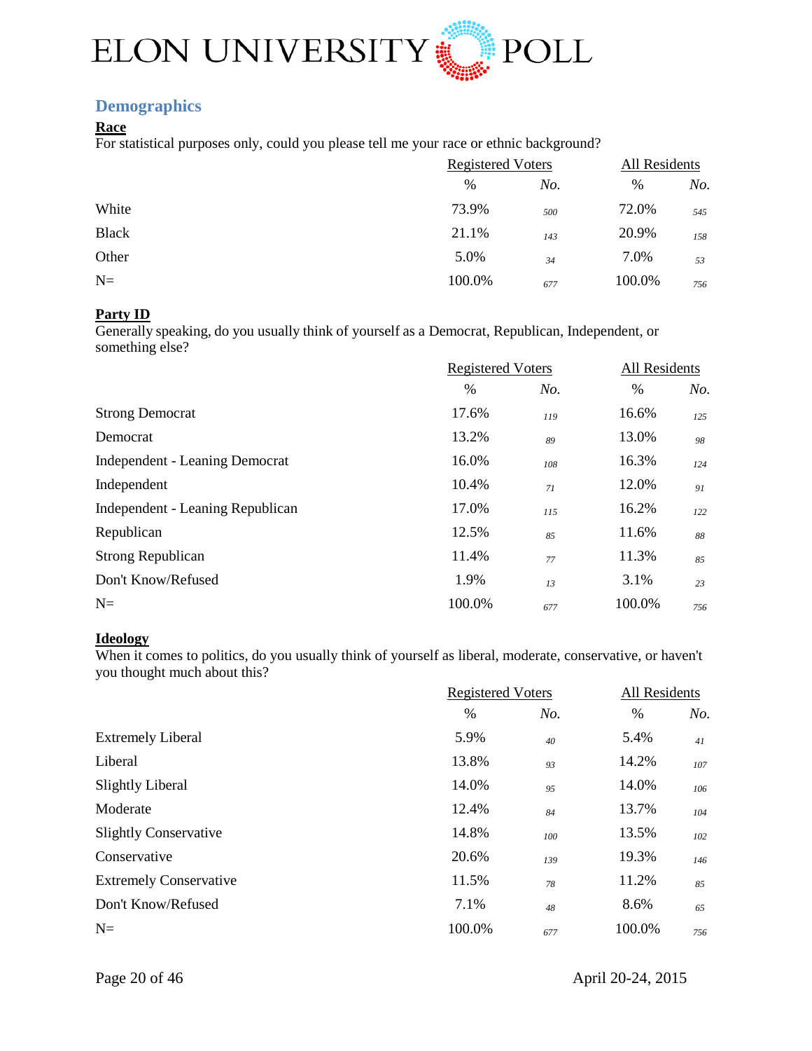

## <span id="page-19-0"></span>**Demographics**

#### **Race**

For statistical purposes only, could you please tell me your race or ethnic background?

|        |     | All Residents |                          |
|--------|-----|---------------|--------------------------|
| $\%$   | No. | %             | No.                      |
| 73.9%  | 500 | 72.0%         | 545                      |
| 21.1%  | 143 | 20.9%         | 158                      |
| 5.0%   | 34  | 7.0%          | 53                       |
| 100.0% | 677 | 100.0%        | 756                      |
|        |     |               | <b>Registered Voters</b> |

#### **Party ID**

Generally speaking, do you usually think of yourself as a Democrat, Republican, Independent, or something else?

|                                       | <b>Registered Voters</b> |     | All Residents |     |
|---------------------------------------|--------------------------|-----|---------------|-----|
|                                       | $\%$                     | No. | $\%$          | No. |
| <b>Strong Democrat</b>                | 17.6%                    | 119 | 16.6%         | 125 |
| Democrat                              | 13.2%                    | 89  | 13.0%         | 98  |
| <b>Independent - Leaning Democrat</b> | 16.0%                    | 108 | 16.3%         | 124 |
| Independent                           | 10.4%                    | 71  | 12.0%         | 91  |
| Independent - Leaning Republican      | 17.0%                    | 115 | 16.2%         | 122 |
| Republican                            | 12.5%                    | 85  | 11.6%         | 88  |
| <b>Strong Republican</b>              | 11.4%                    | 77  | 11.3%         | 85  |
| Don't Know/Refused                    | 1.9%                     | 13  | 3.1%          | 23  |
| $N=$                                  | 100.0%                   | 677 | 100.0%        | 756 |
|                                       |                          |     |               |     |

#### **Ideology**

When it comes to politics, do you usually think of yourself as liberal, moderate, conservative, or haven't you thought much about this?

|                               |        | <b>Registered Voters</b> |        | All Residents |  |
|-------------------------------|--------|--------------------------|--------|---------------|--|
|                               | $\%$   | No.                      | %      | No.           |  |
| <b>Extremely Liberal</b>      | 5.9%   | 40                       | 5.4%   | 41            |  |
| Liberal                       | 13.8%  | 93                       | 14.2%  | 107           |  |
| <b>Slightly Liberal</b>       | 14.0%  | 95                       | 14.0%  | 106           |  |
| Moderate                      | 12.4%  | 84                       | 13.7%  | 104           |  |
| <b>Slightly Conservative</b>  | 14.8%  | 100                      | 13.5%  | 102           |  |
| Conservative                  | 20.6%  | 139                      | 19.3%  | 146           |  |
| <b>Extremely Conservative</b> | 11.5%  | 78                       | 11.2%  | 85            |  |
| Don't Know/Refused            | 7.1%   | 48                       | 8.6%   | 65            |  |
| $N=$                          | 100.0% | 677                      | 100.0% | 756           |  |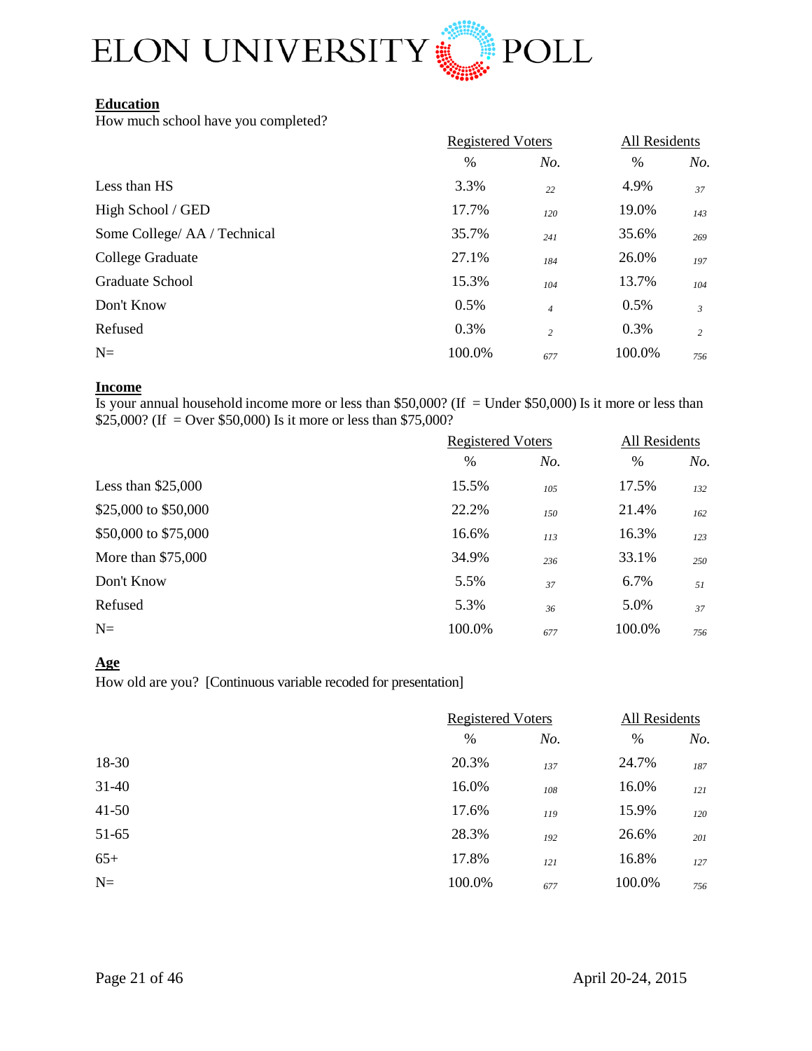

## **Education**

How much school have you completed?

| <b>Registered Voters</b> |                | All Residents |                |
|--------------------------|----------------|---------------|----------------|
| $\%$                     | No.            | $\%$          | No.            |
| 3.3%                     | 22             | 4.9%          | 37             |
| 17.7%                    | 120            | 19.0%         | 143            |
| 35.7%                    | 241            | 35.6%         | 269            |
| 27.1%                    | 184            | 26.0%         | 197            |
| 15.3%                    | 104            | 13.7%         | 104            |
| 0.5%                     | $\overline{4}$ | 0.5%          | $\mathfrak{Z}$ |
| 0.3%                     | $\overline{c}$ | 0.3%          | 2              |
| 100.0%                   | 677            | 100.0%        | 756            |
|                          |                |               |                |

#### **Income**

Is your annual household income more or less than  $$50,000$ ? (If = Under \$50,000) Is it more or less than \$25,000? (If = Over \$50,000) Is it more or less than \$75,000?

|                      | <b>Registered Voters</b> |     | All Residents |     |
|----------------------|--------------------------|-----|---------------|-----|
|                      | $\%$                     | No. | %             | No. |
| Less than $$25,000$  | 15.5%                    | 105 | 17.5%         | 132 |
| \$25,000 to \$50,000 | 22.2%                    | 150 | 21.4%         | 162 |
| \$50,000 to \$75,000 | 16.6%                    | 113 | 16.3%         | 123 |
| More than $$75,000$  | 34.9%                    | 236 | 33.1%         | 250 |
| Don't Know           | 5.5%                     | 37  | 6.7%          | 51  |
| Refused              | 5.3%                     | 36  | 5.0%          | 37  |
| $N=$                 | 100.0%                   | 677 | 100.0%        | 756 |

#### **Age**

How old are you? [Continuous variable recoded for presentation]

|           |        | <b>Registered Voters</b> |        | All Residents |  |
|-----------|--------|--------------------------|--------|---------------|--|
|           | $\%$   | No.                      | $\%$   | No.           |  |
| 18-30     | 20.3%  | 137                      | 24.7%  | 187           |  |
| $31 - 40$ | 16.0%  | 108                      | 16.0%  | 121           |  |
| $41 - 50$ | 17.6%  | 119                      | 15.9%  | 120           |  |
| 51-65     | 28.3%  | 192                      | 26.6%  | 201           |  |
| $65+$     | 17.8%  | 121                      | 16.8%  | 127           |  |
| $N=$      | 100.0% | 677                      | 100.0% | 756           |  |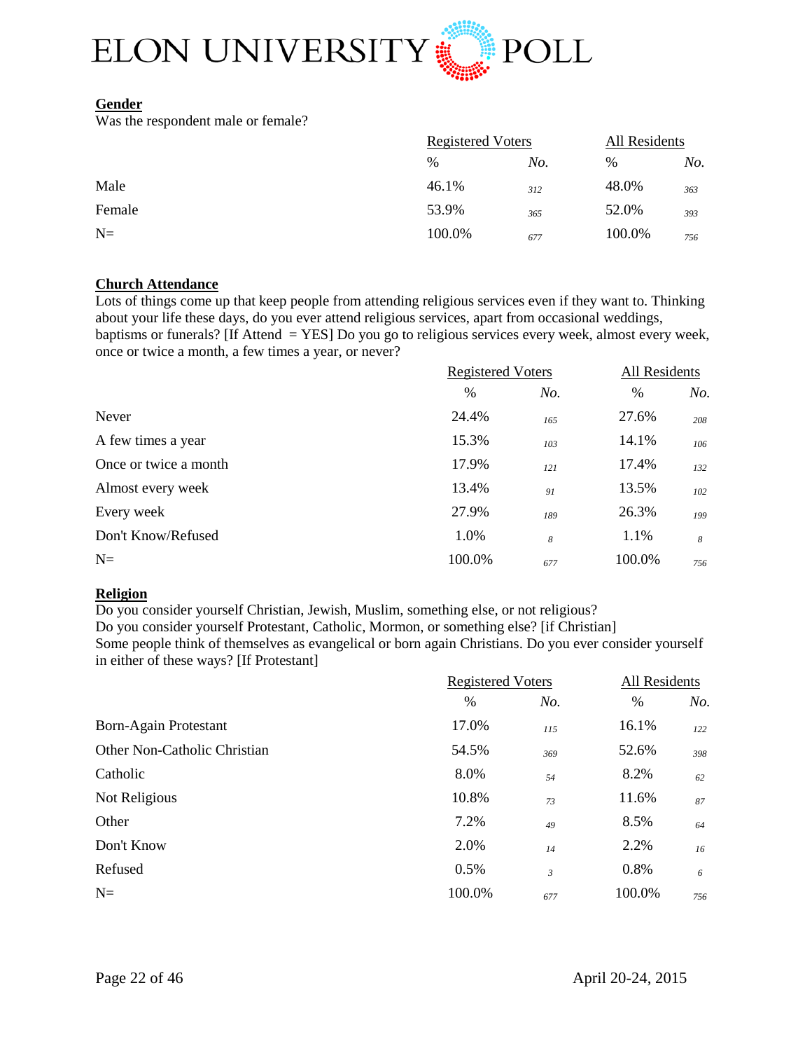

#### **Gender**

Was the respondent male or female?

|        | <b>Registered Voters</b> |     | All Residents |     |
|--------|--------------------------|-----|---------------|-----|
|        | %                        | No. | $\%$          | No. |
| Male   | 46.1%                    | 312 | 48.0%         | 363 |
| Female | 53.9%                    | 365 | 52.0%         | 393 |
| $N=$   | 100.0%                   | 677 | 100.0%        | 756 |

#### **Church Attendance**

Lots of things come up that keep people from attending religious services even if they want to. Thinking about your life these days, do you ever attend religious services, apart from occasional weddings, baptisms or funerals? [If Attend = YES] Do you go to religious services every week, almost every week, once or twice a month, a few times a year, or never?

|                       | <b>Registered Voters</b> |     | All Residents |     |
|-----------------------|--------------------------|-----|---------------|-----|
|                       | $\frac{0}{0}$            | No. | $\%$          | No. |
| Never                 | 24.4%                    | 165 | 27.6%         | 208 |
| A few times a year    | 15.3%                    | 103 | 14.1%         | 106 |
| Once or twice a month | 17.9%                    | 121 | 17.4%         | 132 |
| Almost every week     | 13.4%                    | 91  | 13.5%         | 102 |
| Every week            | 27.9%                    | 189 | 26.3%         | 199 |
| Don't Know/Refused    | 1.0%                     | 8   | 1.1%          | 8   |
| $N=$                  | 100.0%                   | 677 | 100.0%        | 756 |

#### **Religion**

Do you consider yourself Christian, Jewish, Muslim, something else, or not religious? Do you consider yourself Protestant, Catholic, Mormon, or something else? [if Christian] Some people think of themselves as evangelical or born again Christians. Do you ever consider yourself in either of these ways? [If Protestant]

|                              | <b>Registered Voters</b> |                | All Residents |     |
|------------------------------|--------------------------|----------------|---------------|-----|
|                              | $\frac{0}{0}$            | No.            | $\%$          | No. |
| Born-Again Protestant        | 17.0%                    | 115            | 16.1%         | 122 |
| Other Non-Catholic Christian | 54.5%                    | 369            | 52.6%         | 398 |
| Catholic                     | 8.0%                     | 54             | 8.2%          | 62  |
| Not Religious                | 10.8%                    | 73             | 11.6%         | 87  |
| Other                        | 7.2%                     | 49             | 8.5%          | 64  |
| Don't Know                   | 2.0%                     | 14             | 2.2%          | 16  |
| Refused                      | 0.5%                     | $\mathfrak{Z}$ | 0.8%          | 6   |
| $N=$                         | 100.0%                   | 677            | 100.0%        | 756 |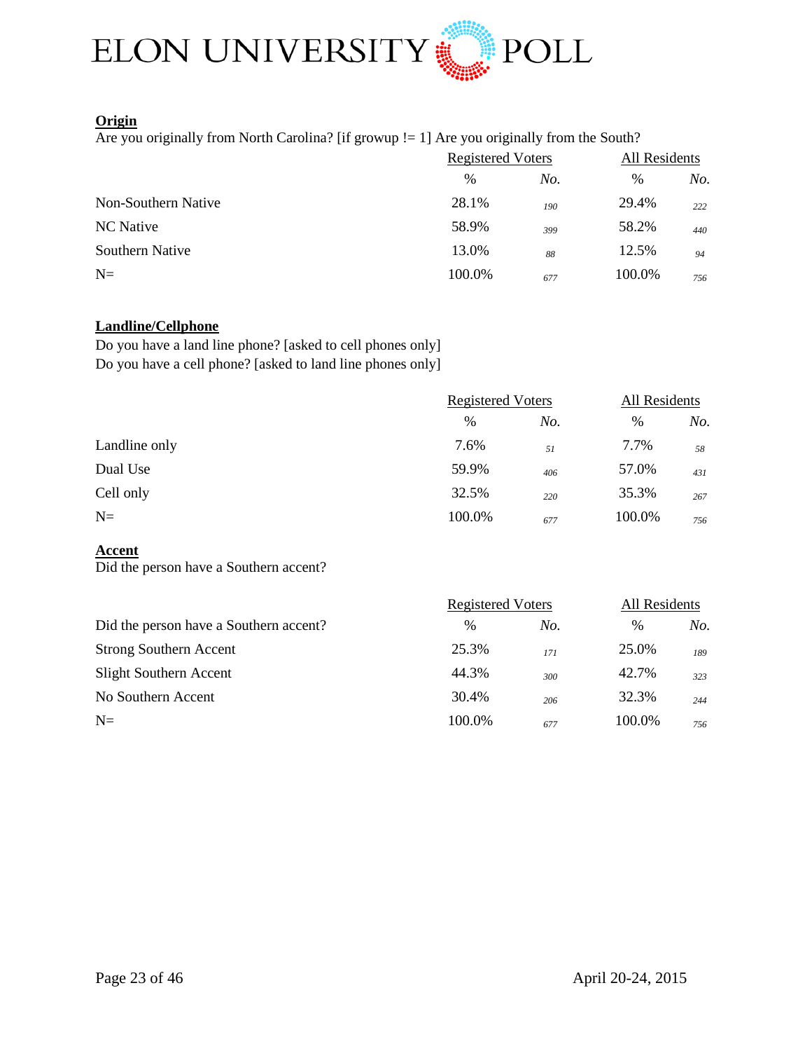

#### **Origin**

Are you originally from North Carolina? [if growup != 1] Are you originally from the South?

|                     | <b>Registered Voters</b> |     | All Residents |     |
|---------------------|--------------------------|-----|---------------|-----|
|                     | $\frac{0}{0}$            | No. | %             | No. |
| Non-Southern Native | 28.1%                    | 190 | 29.4%         | 222 |
| NC Native           | 58.9%                    | 399 | 58.2%         | 440 |
| Southern Native     | 13.0%                    | 88  | 12.5%         | 94  |
| $N=$                | 100.0%                   | 677 | 100.0%        | 756 |

#### **Landline/Cellphone**

Do you have a land line phone? [asked to cell phones only] Do you have a cell phone? [asked to land line phones only]

|               | <b>Registered Voters</b> |     | All Residents |     |
|---------------|--------------------------|-----|---------------|-----|
|               | %                        | No. | %             | No. |
| Landline only | 7.6%                     | 51  | 7.7%          | 58  |
| Dual Use      | 59.9%                    | 406 | 57.0%         | 431 |
| Cell only     | 32.5%                    | 220 | 35.3%         | 267 |
| $N=$          | 100.0%                   | 677 | 100.0%        | 756 |

## **Accent**

Did the person have a Southern accent?

|                                        | <b>Registered Voters</b> |     | All Residents |     |
|----------------------------------------|--------------------------|-----|---------------|-----|
| Did the person have a Southern accent? | $\frac{0}{0}$            | No. | $\%$          | No. |
| <b>Strong Southern Accent</b>          | 25.3%                    | 171 | 25.0%         | 189 |
| <b>Slight Southern Accent</b>          | 44.3%                    | 300 | 42.7%         | 323 |
| No Southern Accent                     | 30.4%                    | 206 | 32.3%         | 244 |
| $N=$                                   | 100.0%                   | 677 | 100.0%        | 756 |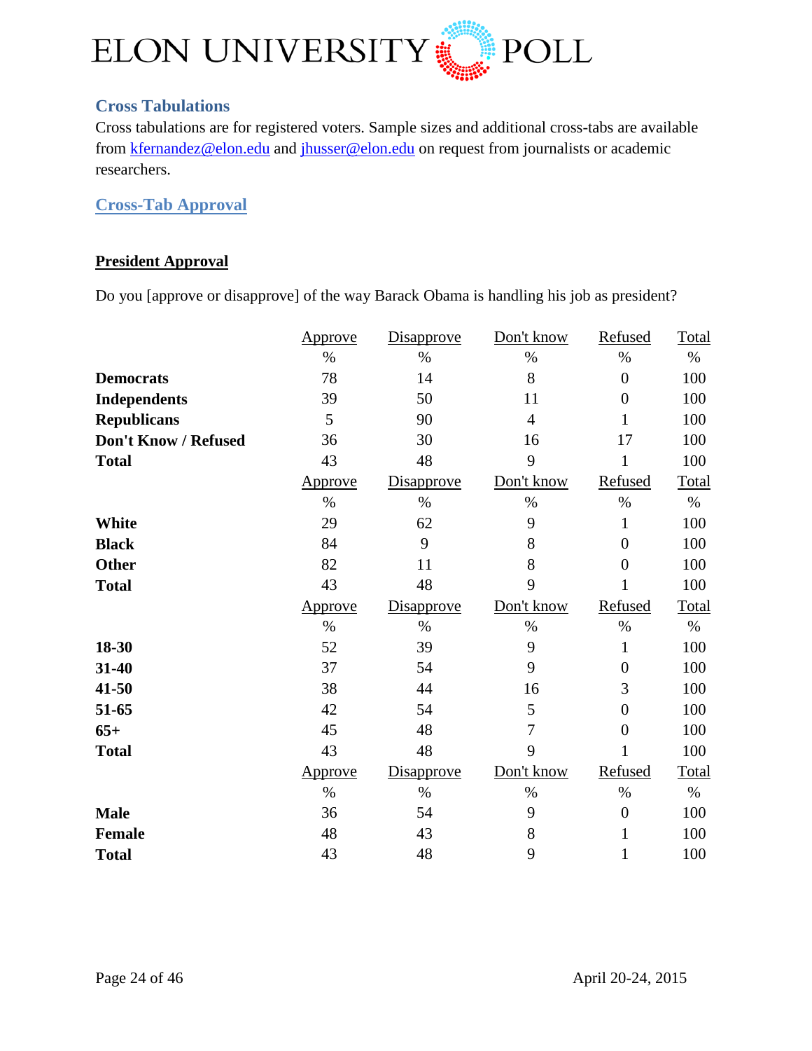

## <span id="page-23-0"></span>**Cross Tabulations**

Cross tabulations are for registered voters. Sample sizes and additional cross-tabs are available from [kfernandez@elon.edu](mailto:kfernandez@elon.edu) and [jhusser@elon.edu](mailto:jhusser@elon.edu) on request from journalists or academic researchers.

<span id="page-23-1"></span>**Cross-Tab Approval**

## **President Approval**

Do you [approve or disapprove] of the way Barack Obama is handling his job as president?

|                      | Approve        | Disapprove        | Don't know     | Refused          | Total |
|----------------------|----------------|-------------------|----------------|------------------|-------|
|                      | $\%$           | $\%$              | $\%$           | $\%$             | $\%$  |
| <b>Democrats</b>     | 78             | 14                | 8              | $\overline{0}$   | 100   |
| <b>Independents</b>  | 39             | 50                | 11             | $\overline{0}$   | 100   |
| <b>Republicans</b>   | 5              | 90                | $\overline{4}$ | $\mathbf{1}$     | 100   |
| Don't Know / Refused | 36             | 30                | 16             | 17               | 100   |
| <b>Total</b>         | 43             | 48                | 9              | $\mathbf{1}$     | 100   |
|                      | <u>Approve</u> | <b>Disapprove</b> | Don't know     | Refused          | Total |
|                      | $\%$           | $\%$              | $\%$           | $\%$             | $\%$  |
| <b>White</b>         | 29             | 62                | 9              | $\mathbf{1}$     | 100   |
| <b>Black</b>         | 84             | 9                 | 8              | $\overline{0}$   | 100   |
| <b>Other</b>         | 82             | 11                | 8              | $\overline{0}$   | 100   |
| <b>Total</b>         | 43             | 48                | 9              | 1                | 100   |
|                      | <u>Approve</u> | <b>Disapprove</b> | Don't know     | Refused          | Total |
|                      | $\%$           | $\%$              | $\%$           | $\%$             | $\%$  |
|                      |                |                   |                |                  |       |
| 18-30                | 52             | 39                | 9              | $\mathbf{1}$     | 100   |
| 31-40                | 37             | 54                | 9              | $\boldsymbol{0}$ | 100   |
| 41-50                | 38             | 44                | 16             | 3                | 100   |
| 51-65                | 42             | 54                | 5              | $\overline{0}$   | 100   |
| $65+$                | 45             | 48                | 7              | $\overline{0}$   | 100   |
| <b>Total</b>         | 43             | 48                | 9              |                  | 100   |
|                      | <u>Approve</u> | <b>Disapprove</b> | Don't know     | Refused          | Total |
|                      | $\%$           | $\%$              | $\%$           | $\%$             | $\%$  |
| <b>Male</b>          | 36             | 54                | 9              | $\boldsymbol{0}$ | 100   |
| <b>Female</b>        | 48             | 43                | 8              | $\mathbf{1}$     | 100   |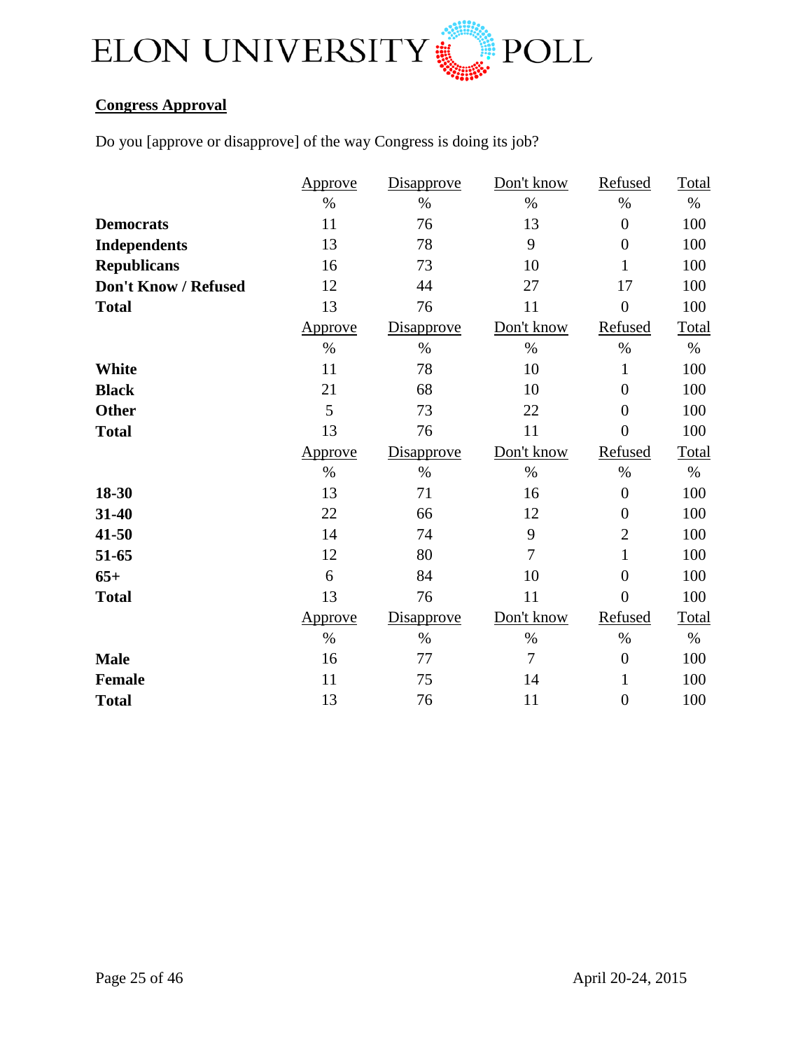

## **Congress Approval**

Do you [approve or disapprove] of the way Congress is doing its job?

|                      | Approve | Disapprove        | Don't know     | Refused          | Total |
|----------------------|---------|-------------------|----------------|------------------|-------|
|                      | $\%$    | $\%$              | $\%$           | $\%$             | $\%$  |
| <b>Democrats</b>     | 11      | 76                | 13             | $\boldsymbol{0}$ | 100   |
| <b>Independents</b>  | 13      | 78                | 9              | $\overline{0}$   | 100   |
| <b>Republicans</b>   | 16      | 73                | 10             | $\mathbf{1}$     | 100   |
| Don't Know / Refused | 12      | 44                | 27             | 17               | 100   |
| <b>Total</b>         | 13      | 76                | 11             | $\boldsymbol{0}$ | 100   |
|                      | Approve | <b>Disapprove</b> | Don't know     | Refused          | Total |
|                      | $\%$    | $\%$              | $\%$           | $\%$             | $\%$  |
| <b>White</b>         | 11      | 78                | 10             | 1                | 100   |
| <b>Black</b>         | 21      | 68                | 10             | $\overline{0}$   | 100   |
| <b>Other</b>         | 5       | 73                | 22             | $\overline{0}$   | 100   |
| <b>Total</b>         | 13      | 76                | 11             | $\overline{0}$   | 100   |
|                      |         |                   | Don't know     | Refused          | Total |
|                      | Approve | <b>Disapprove</b> |                |                  |       |
|                      | $\%$    | $\%$              | $\%$           | $\%$             | $\%$  |
| 18-30                | 13      | 71                | 16             | $\boldsymbol{0}$ | 100   |
| 31-40                | 22      | 66                | 12             | $\boldsymbol{0}$ | 100   |
| 41-50                | 14      | 74                | 9              | $\overline{2}$   | 100   |
| 51-65                | 12      | 80                | $\overline{7}$ | $\mathbf{1}$     | 100   |
| $65+$                | 6       | 84                | 10             | $\overline{0}$   | 100   |
| <b>Total</b>         | 13      | 76                | 11             | $\overline{0}$   | 100   |
|                      | Approve | Disapprove        | Don't know     | Refused          | Total |
|                      | $\%$    | $\%$              | $\%$           | $\%$             | $\%$  |
| <b>Male</b>          | 16      | 77                | 7              | $\boldsymbol{0}$ | 100   |
| <b>Female</b>        | 11      | 75                | 14             | $\mathbf{1}$     | 100   |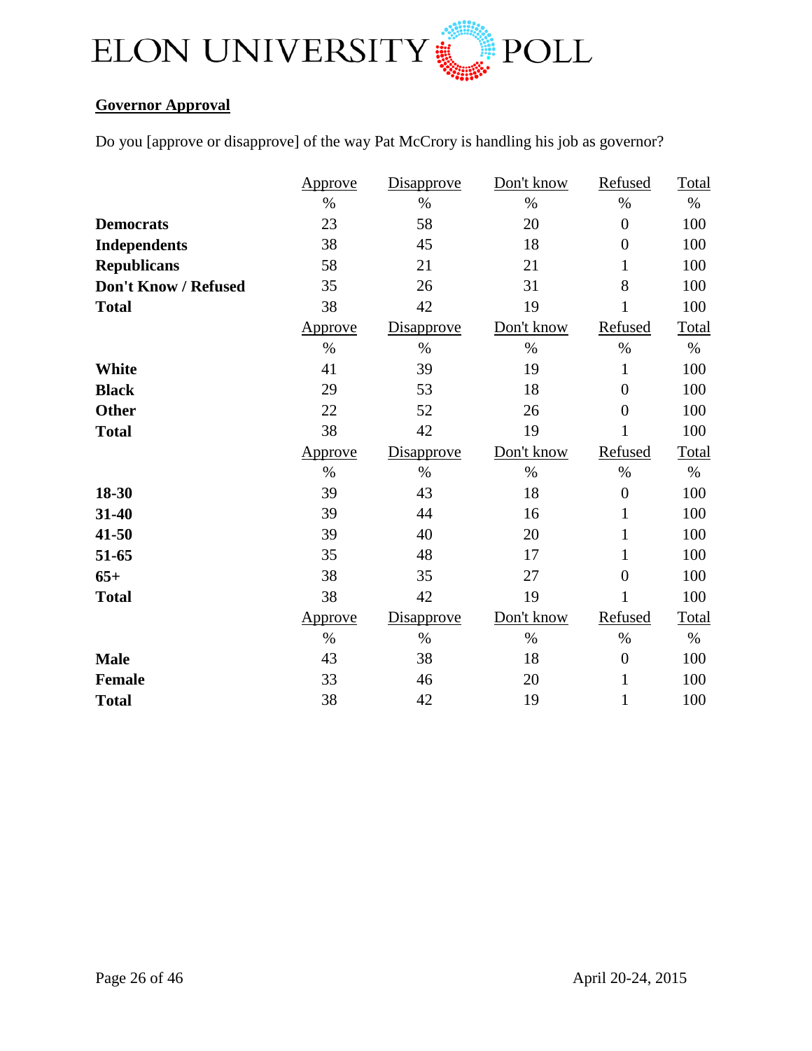

## **Governor Approval**

Do you [approve or disapprove] of the way Pat McCrory is handling his job as governor?

|                      | <b>Approve</b> | Disapprove | Don't know | Refused          | Total |
|----------------------|----------------|------------|------------|------------------|-------|
|                      | $\%$           | $\%$       | $\%$       | $\%$             | $\%$  |
| <b>Democrats</b>     | 23             | 58         | 20         | $\overline{0}$   | 100   |
| <b>Independents</b>  | 38             | 45         | 18         | $\overline{0}$   | 100   |
| <b>Republicans</b>   | 58             | 21         | 21         | $\mathbf{1}$     | 100   |
| Don't Know / Refused | 35             | 26         | 31         | 8                | 100   |
| <b>Total</b>         | 38             | 42         | 19         | 1                | 100   |
|                      | Approve        | Disapprove | Don't know | Refused          | Total |
|                      | $\%$           | $\%$       | $\%$       | $\%$             | $\%$  |
| White                | 41             | 39         | 19         | 1                | 100   |
| <b>Black</b>         | 29             | 53         | 18         | $\overline{0}$   | 100   |
| <b>Other</b>         | 22             | 52         | 26         | $\overline{0}$   | 100   |
| <b>Total</b>         | 38             | 42         | 19         | 1                | 100   |
|                      | Approve        | Disapprove | Don't know | Refused          | Total |
|                      | $\%$           | $\%$       | $\%$       | $\%$             | $\%$  |
| 18-30                | 39             | 43         | 18         | $\boldsymbol{0}$ | 100   |
| 31-40                | 39             | 44         |            |                  | 100   |
| 41-50                |                |            | 16         | $\mathbf{1}$     |       |
|                      | 39             | 40         | 20         | 1                | 100   |
| 51-65                | 35             | 48         | 17         | 1                | 100   |
| $65+$                | 38             | 35         | 27         | $\overline{0}$   | 100   |
| <b>Total</b>         | 38             | 42         | 19         | 1                | 100   |
|                      | Approve        | Disapprove | Don't know | Refused          | Total |
|                      | $\%$           | $\%$       | $\%$       | $\%$             | $\%$  |
| <b>Male</b>          | 43             | 38         | 18         | $\boldsymbol{0}$ | 100   |
| <b>Female</b>        | 33             | 46         | 20         | $\mathbf{1}$     | 100   |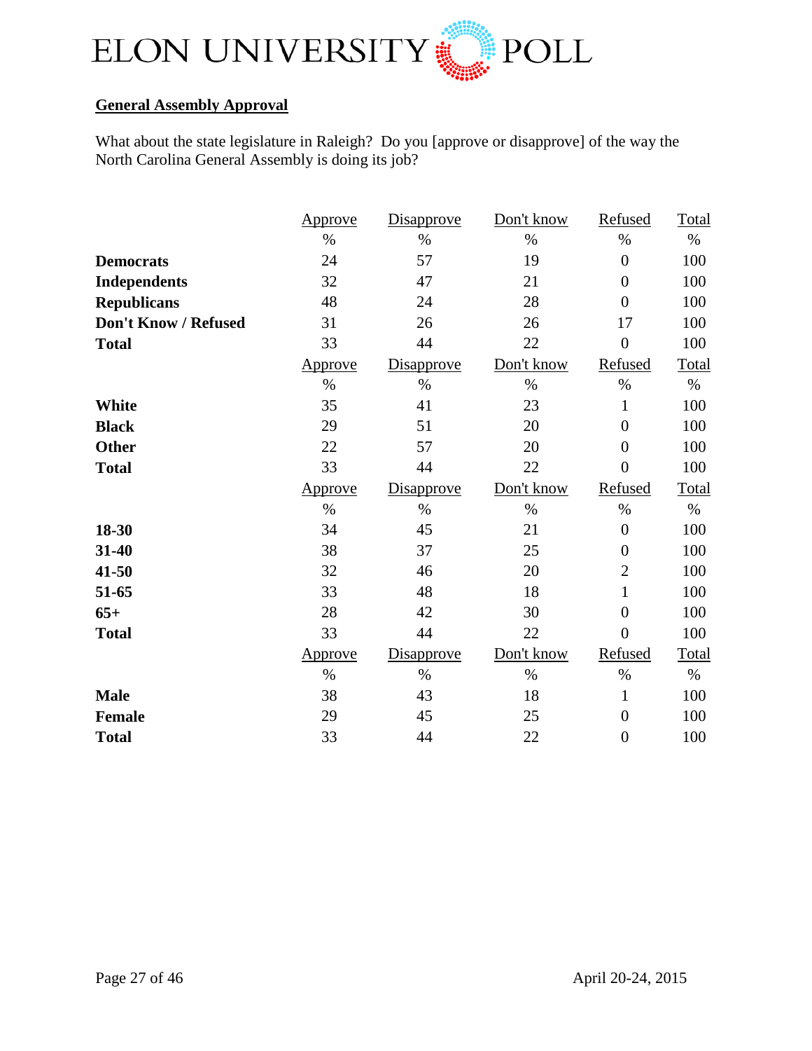

## **General Assembly Approval**

What about the state legislature in Raleigh? Do you [approve or disapprove] of the way the North Carolina General Assembly is doing its job?

|                      | Approve        | Disapprove        | Don't know | Refused          | Total |
|----------------------|----------------|-------------------|------------|------------------|-------|
|                      | $\%$           | $\%$              | $\%$       | $\%$             | $\%$  |
| <b>Democrats</b>     | 24             | 57                | 19         | $\overline{0}$   | 100   |
| <b>Independents</b>  | 32             | 47                | 21         | $\overline{0}$   | 100   |
| <b>Republicans</b>   | 48             | 24                | 28         | $\overline{0}$   | 100   |
| Don't Know / Refused | 31             | 26                | 26         | 17               | 100   |
| <b>Total</b>         | 33             | 44                | 22         | $\overline{0}$   | 100   |
|                      | Approve        | Disapprove        | Don't know | Refused          | Total |
|                      | $\%$           | $\%$              | $\%$       | $\%$             | $\%$  |
| White                | 35             | 41                | 23         | $\mathbf{1}$     | 100   |
| <b>Black</b>         | 29             | 51                | 20         | $\overline{0}$   | 100   |
| <b>Other</b>         | 22             | 57                | 20         | $\overline{0}$   | 100   |
| <b>Total</b>         | 33             | 44                | 22         | $\overline{0}$   | 100   |
|                      | <u>Approve</u> |                   | Don't know | Refused          | Total |
|                      |                | <b>Disapprove</b> |            |                  |       |
|                      | $\%$           | $\%$              | $\%$       | $\%$             | $\%$  |
| 18-30                | 34             | 45                | 21         | $\boldsymbol{0}$ | 100   |
| 31-40                | 38             | 37                | 25         | $\boldsymbol{0}$ | 100   |
| 41-50                | 32             | 46                | 20         | $\overline{2}$   | 100   |
| 51-65                | 33             | 48                | 18         | $\mathbf{1}$     | 100   |
| $65+$                | 28             | 42                | 30         | $\overline{0}$   | 100   |
| <b>Total</b>         | 33             | 44                | 22         | $\overline{0}$   | 100   |
|                      | <u>Approve</u> | <b>Disapprove</b> | Don't know | Refused          | Total |
|                      | $\%$           | $\%$              | $\%$       | $\%$             | $\%$  |
| <b>Male</b>          | 38             | 43                | 18         | $\mathbf{1}$     | 100   |
| <b>Female</b>        | 29             | 45                | 25         | $\overline{0}$   | 100   |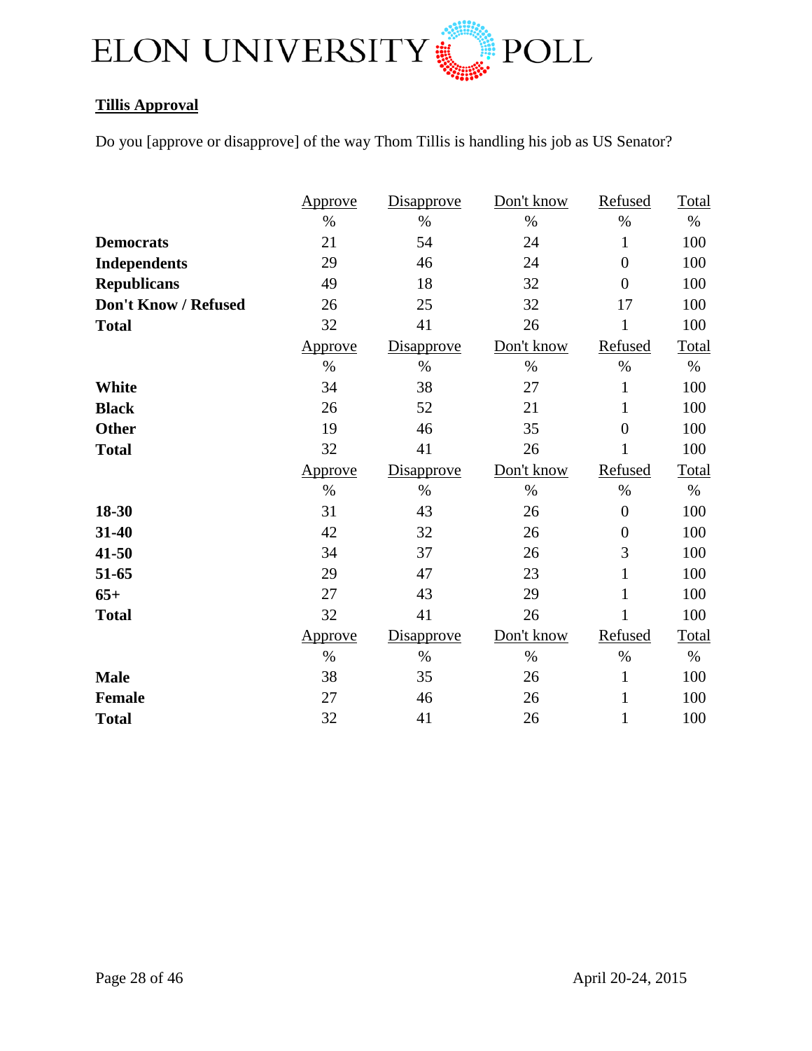

## **Tillis Approval**

Do you [approve or disapprove] of the way Thom Tillis is handling his job as US Senator?

|                      | Approve | Disapprove | Don't know | Refused          | Total |
|----------------------|---------|------------|------------|------------------|-------|
|                      | $\%$    | $\%$       | $\%$       | $\%$             | $\%$  |
| <b>Democrats</b>     | 21      | 54         | 24         | $\mathbf{1}$     | 100   |
| <b>Independents</b>  | 29      | 46         | 24         | $\overline{0}$   | 100   |
| <b>Republicans</b>   | 49      | 18         | 32         | $\overline{0}$   | 100   |
| Don't Know / Refused | 26      | 25         | 32         | 17               | 100   |
| <b>Total</b>         | 32      | 41         | 26         | $\mathbf{1}$     | 100   |
|                      | Approve | Disapprove | Don't know | Refused          | Total |
|                      | $\%$    | $\%$       | $\%$       | $\%$             | $\%$  |
| <b>White</b>         | 34      | 38         | 27         | $\mathbf{1}$     | 100   |
| <b>Black</b>         | 26      | 52         | 21         | $\mathbf{1}$     | 100   |
| <b>Other</b>         | 19      | 46         | 35         | $\overline{0}$   | 100   |
| <b>Total</b>         | 32      | 41         | 26         | 1                | 100   |
|                      |         |            |            |                  |       |
|                      | Approve | Disapprove | Don't know | Refused          | Total |
|                      | $\%$    | $\%$       | $\%$       | $\%$             | $\%$  |
| 18-30                | 31      | 43         | 26         | $\boldsymbol{0}$ | 100   |
| 31-40                | 42      | 32         | 26         | $\boldsymbol{0}$ | 100   |
| 41-50                | 34      | 37         | 26         | 3                | 100   |
| 51-65                | 29      | 47         | 23         | $\mathbf{1}$     | 100   |
| $65+$                | 27      | 43         | 29         | $\mathbf{1}$     | 100   |
| <b>Total</b>         | 32      | 41         | 26         | 1                | 100   |
|                      | Approve | Disapprove | Don't know | Refused          | Total |
|                      | $\%$    | $\%$       | $\%$       | $\%$             | $\%$  |
| <b>Male</b>          | 38      | 35         | 26         | $\mathbf{1}$     | 100   |
| <b>Female</b>        | 27      | 46         | 26         | $\mathbf{1}$     | 100   |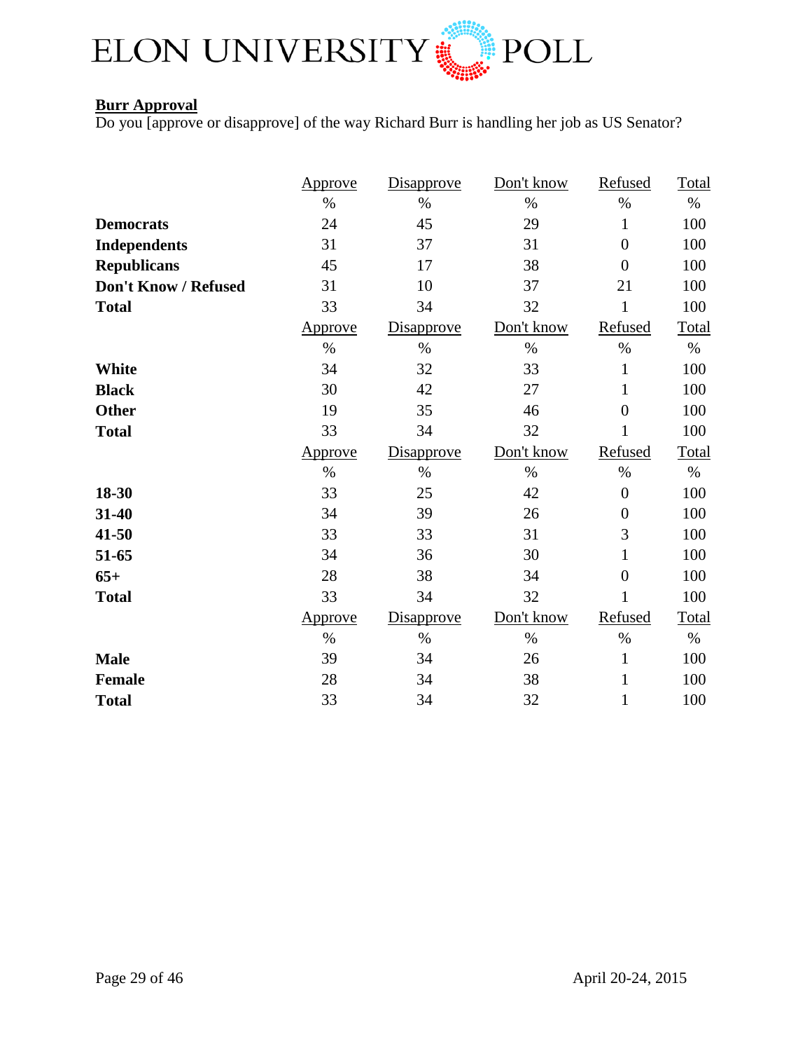

## **Burr Approval**

Do you [approve or disapprove] of the way Richard Burr is handling her job as US Senator?

|                      | <u>Approve</u> | Disapprove | Don't know | Refused          | Total |
|----------------------|----------------|------------|------------|------------------|-------|
|                      | $\%$           | $\%$       | $\%$       | $\%$             | $\%$  |
| <b>Democrats</b>     | 24             | 45         | 29         | $\mathbf{1}$     | 100   |
| <b>Independents</b>  | 31             | 37         | 31         | $\boldsymbol{0}$ | 100   |
| <b>Republicans</b>   | 45             | 17         | 38         | $\overline{0}$   | 100   |
| Don't Know / Refused | 31             | 10         | 37         | 21               | 100   |
| <b>Total</b>         | 33             | 34         | 32         | $\mathbf{1}$     | 100   |
|                      | Approve        | Disapprove | Don't know | Refused          | Total |
|                      | $\%$           | $\%$       | $\%$       | $\%$             | $\%$  |
| <b>White</b>         | 34             | 32         | 33         | $\mathbf{1}$     | 100   |
| <b>Black</b>         | 30             | 42         | 27         | $\mathbf{1}$     | 100   |
| <b>Other</b>         | 19             | 35         | 46         | $\overline{0}$   | 100   |
| <b>Total</b>         | 33             | 34         | 32         | 1                | 100   |
|                      | Approve        | Disapprove | Don't know | Refused          | Total |
|                      | $\%$           | $\%$       | $\%$       | $\%$             | $\%$  |
| 18-30                | 33             | 25         | 42         | $\boldsymbol{0}$ | 100   |
| 31-40                | 34             | 39         | 26         | $\boldsymbol{0}$ | 100   |
| 41-50                | 33             | 33         | 31         | 3                | 100   |
| 51-65                | 34             | 36         | 30         | $\mathbf{1}$     | 100   |
| $65+$                | 28             | 38         | 34         | $\overline{0}$   | 100   |
| <b>Total</b>         | 33             | 34         | 32         | 1                | 100   |
|                      | Approve        | Disapprove | Don't know | Refused          | Total |
|                      |                | $\%$       | $\%$       | $\%$             | $\%$  |
|                      | $\%$           |            |            |                  |       |
| <b>Male</b>          | 39             | 34         | 26         | $\mathbf{1}$     | 100   |
| Female               | 28             | 34         | 38         | $\mathbf{1}$     | 100   |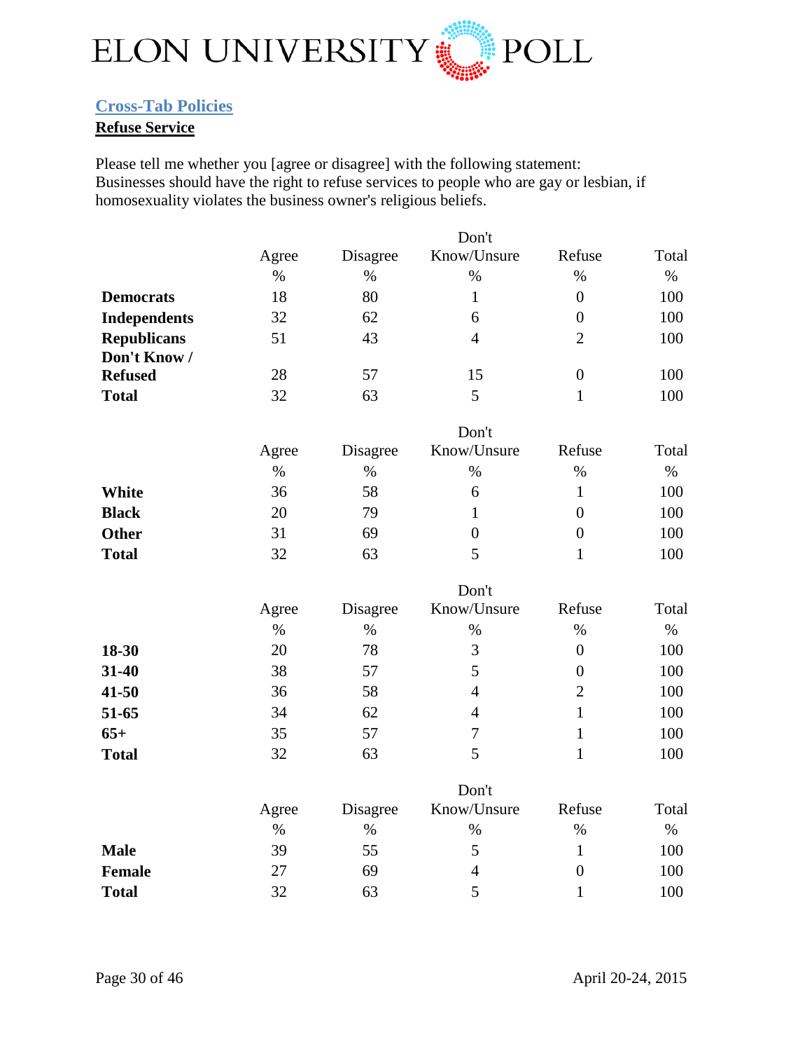

## <span id="page-29-0"></span>**Cross-Tab Policies**

## **Refuse Service**

Please tell me whether you [agree or disagree] with the following statement: Businesses should have the right to refuse services to people who are gay or lesbian, if homosexuality violates the business owner's religious beliefs.

|                     |       |          | Don't            |                  |       |
|---------------------|-------|----------|------------------|------------------|-------|
|                     | Agree | Disagree | Know/Unsure      | Refuse           | Total |
|                     | $\%$  | $\%$     | $\%$             | $\%$             | $\%$  |
| <b>Democrats</b>    | 18    | 80       | $\mathbf{1}$     | $\overline{0}$   | 100   |
| <b>Independents</b> | 32    | 62       | 6                | $\overline{0}$   | 100   |
| <b>Republicans</b>  | 51    | 43       | $\overline{4}$   | $\overline{2}$   | 100   |
| Don't Know /        |       |          |                  |                  |       |
| <b>Refused</b>      | 28    | 57       | 15               | $\boldsymbol{0}$ | 100   |
| <b>Total</b>        | 32    | 63       | 5                | $\mathbf{1}$     | 100   |
|                     |       |          | Don't            |                  |       |
|                     | Agree | Disagree | Know/Unsure      | Refuse           | Total |
|                     | $\%$  | $\%$     | $\%$             | $\%$             | $\%$  |
| White               | 36    | 58       | 6                | $\mathbf{1}$     | 100   |
| <b>Black</b>        | 20    | 79       | $\mathbf{1}$     | $\overline{0}$   | 100   |
| <b>Other</b>        | 31    | 69       | $\boldsymbol{0}$ | $\overline{0}$   | 100   |
| <b>Total</b>        | 32    | 63       | 5                | $\mathbf{1}$     | 100   |
|                     |       |          | Don't            |                  |       |
|                     | Agree | Disagree | Know/Unsure      | Refuse           | Total |
|                     | $\%$  | $\%$     | $\%$             | $\%$             | $\%$  |
| 18-30               | 20    | 78       | 3                | $\overline{0}$   | 100   |
| 31-40               | 38    | 57       | 5                | $\overline{0}$   | 100   |
| $41 - 50$           | 36    | 58       | $\overline{4}$   | $\overline{2}$   | 100   |
| 51-65               | 34    | 62       | $\overline{4}$   | $\mathbf{1}$     | 100   |
| $65+$               | 35    | 57       | $\tau$           | $\mathbf{1}$     | 100   |
| <b>Total</b>        | 32    | 63       | 5                | $\mathbf{1}$     | 100   |
|                     |       |          | Don't            |                  |       |
|                     | Agree | Disagree | Know/Unsure      | Refuse           | Total |
|                     | $\%$  | $\%$     | $\%$             | $\%$             | $\%$  |
| <b>Male</b>         | 39    | 55       | 5                | $\mathbf{1}$     | 100   |
| Female              | 27    | 69       | $\overline{4}$   | $\overline{0}$   | 100   |
| <b>Total</b>        | 32    | 63       | 5                | $\mathbf{1}$     | 100   |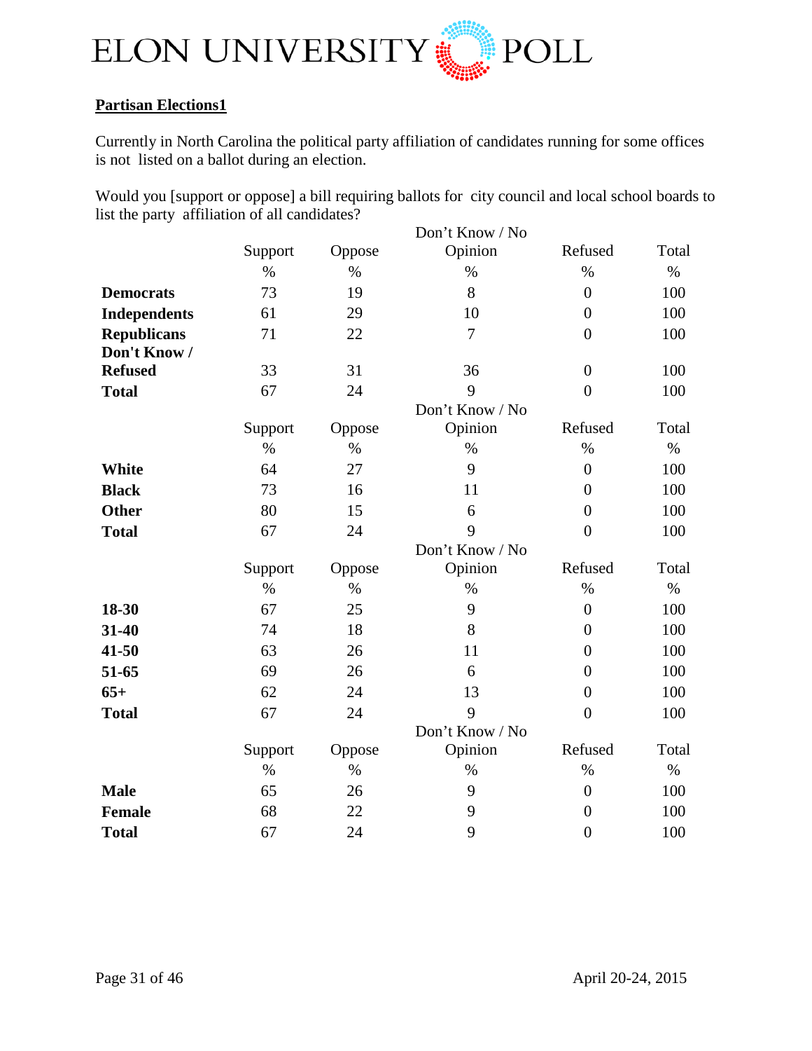

## **Partisan Elections1**

Currently in North Carolina the political party affiliation of candidates running for some offices is not listed on a ballot during an election.

Would you [support or oppose] a bill requiring ballots for city council and local school boards to list the party affiliation of all candidates?

|                     |         |        | Don't Know / No |                  |       |
|---------------------|---------|--------|-----------------|------------------|-------|
|                     | Support | Oppose | Opinion         | Refused          | Total |
|                     | $\%$    | $\%$   | $\%$            | $\%$             | $\%$  |
| <b>Democrats</b>    | 73      | 19     | 8               | $\overline{0}$   | 100   |
| <b>Independents</b> | 61      | 29     | 10              | $\overline{0}$   | 100   |
| <b>Republicans</b>  | 71      | 22     | $\overline{7}$  | $\overline{0}$   | 100   |
| Don't Know /        |         |        |                 |                  |       |
| <b>Refused</b>      | 33      | 31     | 36              | $\boldsymbol{0}$ | 100   |
| <b>Total</b>        | 67      | 24     | 9               | $\overline{0}$   | 100   |
|                     |         |        | Don't Know / No |                  |       |
|                     | Support | Oppose | Opinion         | Refused          | Total |
|                     | $\%$    | $\%$   | $\%$            | $\%$             | $\%$  |
| White               | 64      | 27     | 9               | $\overline{0}$   | 100   |
| <b>Black</b>        | 73      | 16     | 11              | $\overline{0}$   | 100   |
| <b>Other</b>        | 80      | 15     | 6               | $\boldsymbol{0}$ | 100   |
| <b>Total</b>        | 67      | 24     | 9               | $\overline{0}$   | 100   |
|                     |         |        | Don't Know / No |                  |       |
|                     | Support | Oppose | Opinion         | Refused          | Total |
|                     | $\%$    | $\%$   | $\%$            | $\%$             | $\%$  |
| 18-30               | 67      | 25     | 9               | $\overline{0}$   | 100   |
| 31-40               | 74      | 18     | 8               | $\overline{0}$   | 100   |
| $41 - 50$           | 63      | 26     | 11              | $\overline{0}$   | 100   |
| 51-65               | 69      | 26     | 6               | $\boldsymbol{0}$ | 100   |
| $65+$               | 62      | 24     | 13              | $\overline{0}$   | 100   |
| <b>Total</b>        | 67      | 24     | 9               | $\overline{0}$   | 100   |
|                     |         |        | Don't Know / No |                  |       |
|                     | Support | Oppose | Opinion         | Refused          | Total |
|                     | $\%$    | $\%$   | $\%$            | $\%$             | $\%$  |
| <b>Male</b>         | 65      | 26     | 9               | $\overline{0}$   | 100   |
| Female              | 68      | 22     | 9               | $\overline{0}$   | 100   |
| <b>Total</b>        | 67      | 24     | 9               | $\overline{0}$   | 100   |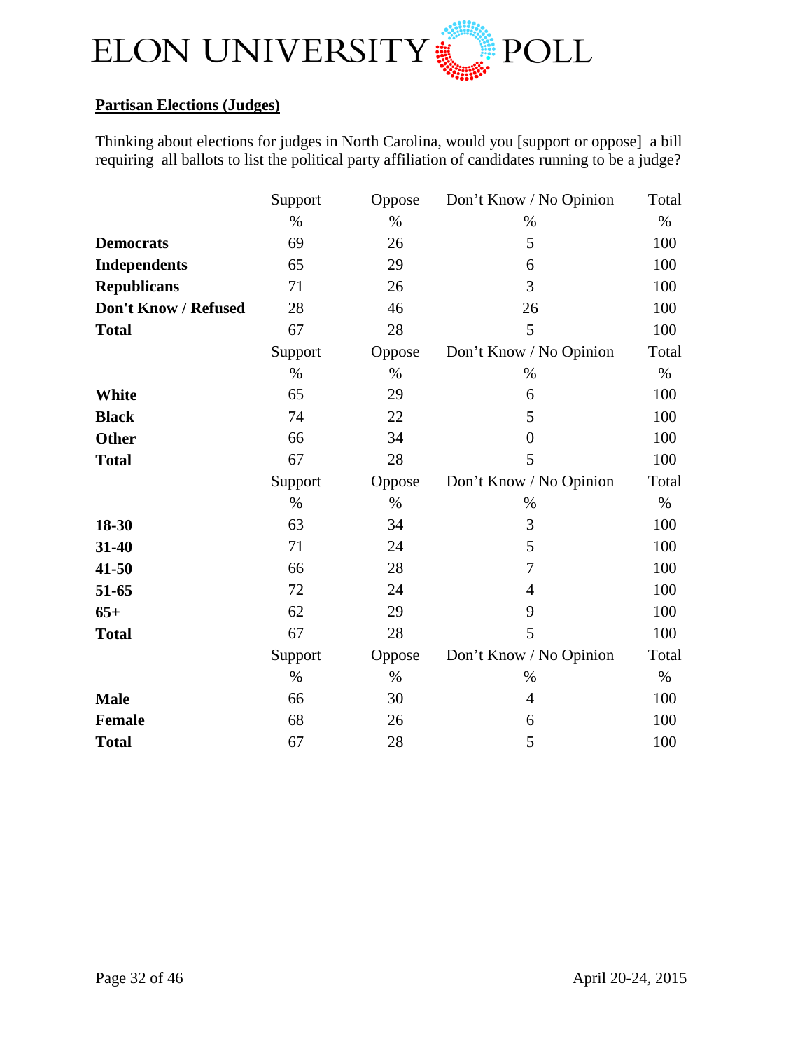

## **Partisan Elections (Judges)**

Thinking about elections for judges in North Carolina, would you [support or oppose] a bill requiring all ballots to list the political party affiliation of candidates running to be a judge?

|                      | Support | Oppose | Don't Know / No Opinion | Total |
|----------------------|---------|--------|-------------------------|-------|
|                      | $\%$    | $\%$   | $\%$                    | $\%$  |
| <b>Democrats</b>     | 69      | 26     | 5                       | 100   |
| <b>Independents</b>  | 65      | 29     | 6                       | 100   |
| <b>Republicans</b>   | 71      | 26     | 3                       | 100   |
| Don't Know / Refused | 28      | 46     | 26                      | 100   |
| <b>Total</b>         | 67      | 28     | 5                       | 100   |
|                      | Support | Oppose | Don't Know / No Opinion | Total |
|                      | $\%$    | $\%$   | $\%$                    | $\%$  |
| <b>White</b>         | 65      | 29     | 6                       | 100   |
| <b>Black</b>         | 74      | 22     | 5                       | 100   |
| <b>Other</b>         | 66      | 34     | $\overline{0}$          | 100   |
| <b>Total</b>         | 67      | 28     | 5                       | 100   |
|                      | Support | Oppose | Don't Know / No Opinion | Total |
|                      | $\%$    | $\%$   | $\%$                    | $\%$  |
|                      |         |        |                         |       |
| 18-30                | 63      | 34     | 3                       | 100   |
| 31-40                | 71      | 24     | 5                       | 100   |
| 41-50                | 66      | 28     | $\overline{7}$          | 100   |
| 51-65                | 72      | 24     | $\overline{4}$          | 100   |
| $65+$                | 62      | 29     | 9                       | 100   |
| <b>Total</b>         | 67      | 28     | 5                       | 100   |
|                      | Support | Oppose | Don't Know / No Opinion | Total |
|                      | $\%$    | $\%$   | %                       | $\%$  |
| <b>Male</b>          | 66      | 30     | $\overline{4}$          | 100   |
| <b>Female</b>        | 68      | 26     | 6                       | 100   |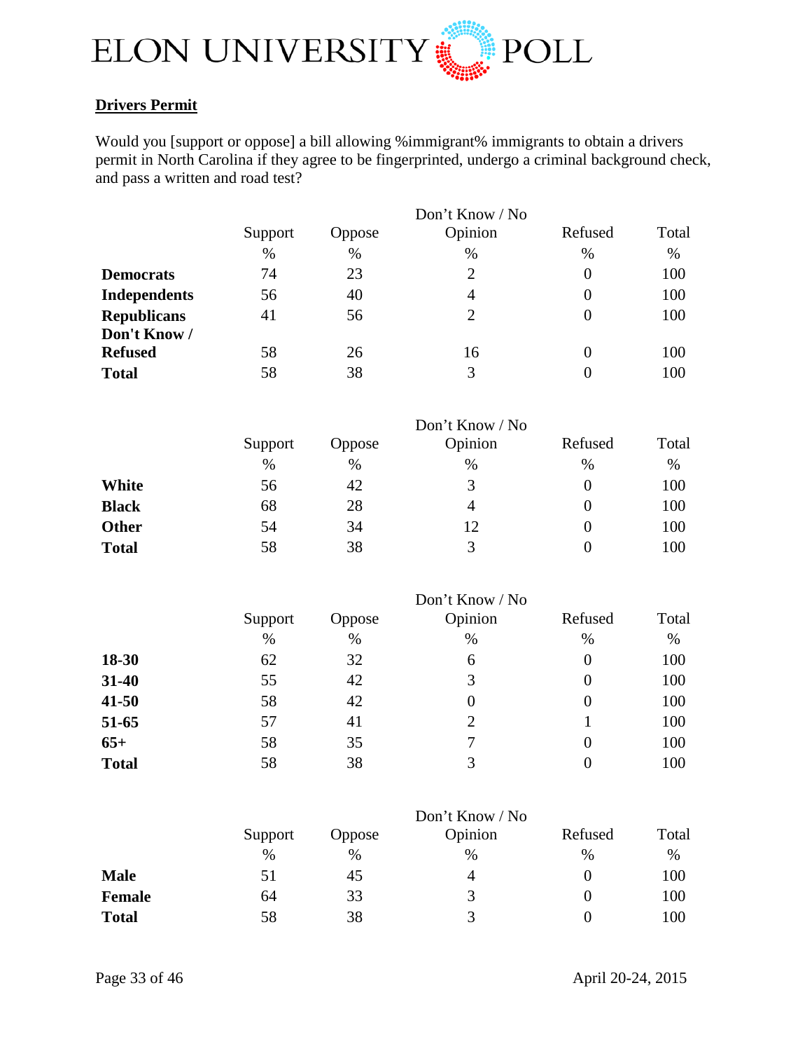

## **Drivers Permit**

Would you [support or oppose] a bill allowing %immigrant% immigrants to obtain a drivers permit in North Carolina if they agree to be fingerprinted, undergo a criminal background check, and pass a written and road test?

|                     |         |        | Don't Know / No |          |       |
|---------------------|---------|--------|-----------------|----------|-------|
|                     | Support | Oppose | Opinion         | Refused  | Total |
|                     | %       | $\%$   | %               | $\%$     | %     |
| <b>Democrats</b>    | 74      | 23     | $\overline{2}$  | $\theta$ | 100   |
| <b>Independents</b> | 56      | 40     | 4               | $\theta$ | 100   |
| <b>Republicans</b>  | 41      | 56     | $\overline{2}$  | $\Omega$ | 100   |
| Don't Know /        |         |        |                 |          |       |
| <b>Refused</b>      | 58      | 26     | 16              | $\theta$ | 100   |
| <b>Total</b>        | 58      | 38     | 3               |          | 100   |

|              |         |               | Don't Know / No |         |       |
|--------------|---------|---------------|-----------------|---------|-------|
|              | Support | <b>Oppose</b> | Opinion         | Refused | Total |
|              | $\%$    | $\%$          | $\%$            | %       | $\%$  |
| White        | 56      | 42            | 3               |         | 100   |
| <b>Black</b> | 68      | 28            | 4               |         | 100   |
| <b>Other</b> | 54      | 34            | 12              |         | 100   |
| <b>Total</b> | 58      | 38            | $\mathbf{R}$    |         | 100   |

|              |         |               | Don't Know / No |         |       |
|--------------|---------|---------------|-----------------|---------|-------|
|              | Support | <b>Oppose</b> | Opinion         | Refused | Total |
|              | $\%$    | $\%$          | $\%$            | %       | $\%$  |
| 18-30        | 62      | 32            | 6               | 0       | 100   |
| 31-40        | 55      | 42            | 3               | 0       | 100   |
| $41 - 50$    | 58      | 42            | 0               | 0       | 100   |
| 51-65        | 57      | 41            | 2               |         | 100   |
| $65+$        | 58      | 35            | 7               | 0       | 100   |
| <b>Total</b> | 58      | 38            | 3               |         | 100   |

|              |         |               | Don't Know / No |         |       |
|--------------|---------|---------------|-----------------|---------|-------|
|              | Support | <b>Oppose</b> | Opinion         | Refused | Total |
|              | %       | $\%$          | %               | %       | $\%$  |
| <b>Male</b>  | 51      | 45            | $\overline{4}$  |         | 100   |
| Female       | 64      | 33            | 3               |         | 100   |
| <b>Total</b> | 58      | 38            |                 |         | 100   |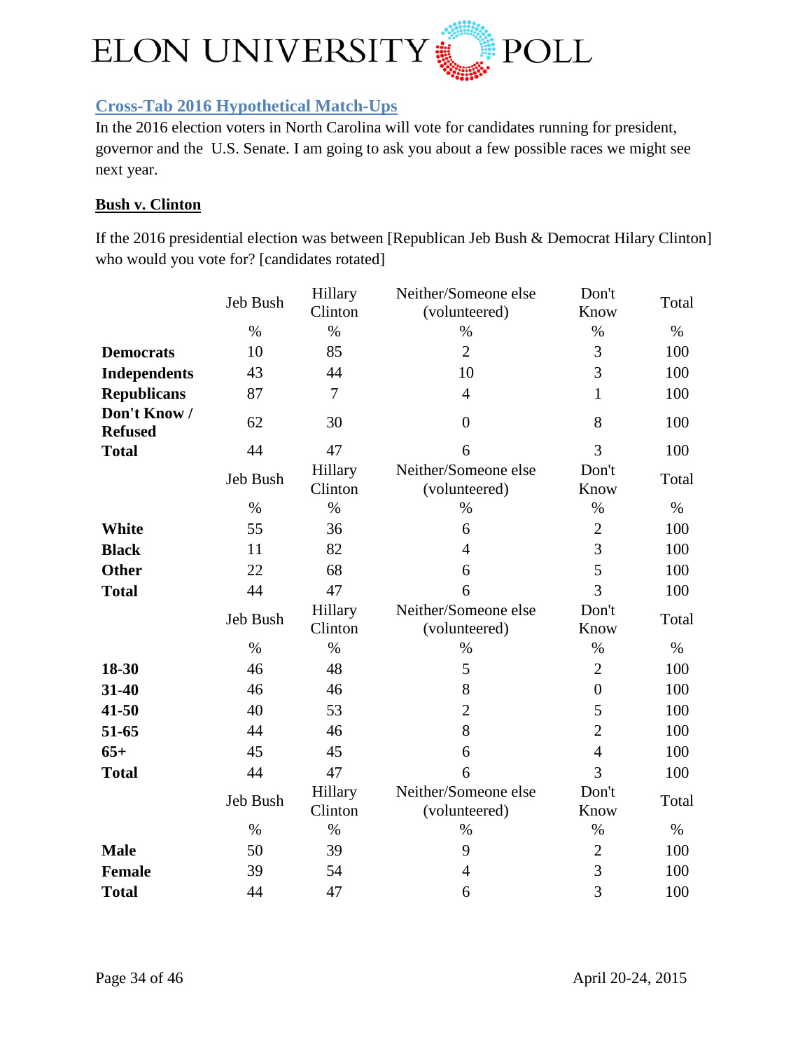

## <span id="page-33-0"></span>**Cross-Tab 2016 Hypothetical Match-Ups**

In the 2016 election voters in North Carolina will vote for candidates running for president, governor and the U.S. Senate. I am going to ask you about a few possible races we might see next year.

#### **Bush v. Clinton**

If the 2016 presidential election was between [Republican Jeb Bush & Democrat Hilary Clinton] who would you vote for? [candidates rotated]

|                                | Jeb Bush | Hillary<br>Clinton | Neither/Someone else<br>(volunteered) | Don't<br>Know  | Total |
|--------------------------------|----------|--------------------|---------------------------------------|----------------|-------|
|                                | $\%$     | $\%$               | $\%$                                  | $\%$           | $\%$  |
| <b>Democrats</b>               | 10       | 85                 | $\overline{2}$                        | 3              | 100   |
| <b>Independents</b>            | 43       | 44                 | 10                                    | $\overline{3}$ | 100   |
| <b>Republicans</b>             | 87       | $\overline{7}$     | $\overline{4}$                        | $\mathbf{1}$   | 100   |
| Don't Know /<br><b>Refused</b> | 62       | 30                 | $\overline{0}$                        | 8              | 100   |
| <b>Total</b>                   | 44       | 47                 | 6                                     | 3              | 100   |
|                                | Jeb Bush | Hillary<br>Clinton | Neither/Someone else<br>(volunteered) | Don't<br>Know  | Total |
|                                | $\%$     | $\%$               | $\%$                                  | $\%$           | $\%$  |
| <b>White</b>                   | 55       | 36                 | 6                                     | $\overline{2}$ | 100   |
| <b>Black</b>                   | 11       | 82                 | $\overline{4}$                        | 3              | 100   |
| <b>Other</b>                   | 22       | 68                 | 6                                     | 5              | 100   |
| <b>Total</b>                   | 44       | 47                 | 6                                     | 3              | 100   |
|                                | Jeb Bush | Hillary<br>Clinton | Neither/Someone else<br>(volunteered) | Don't<br>Know  | Total |
|                                | $\%$     | $\%$               | $\%$                                  | $\%$           | $\%$  |
| 18-30                          | 46       | 48                 | 5                                     | $\overline{2}$ | 100   |
| 31-40                          | 46       | 46                 | 8                                     | $\overline{0}$ | 100   |
| $41 - 50$                      | 40       | 53                 | $\overline{2}$                        | 5              | 100   |
| 51-65                          | 44       | 46                 | 8                                     | $\overline{2}$ | 100   |
| $65+$                          | 45       | 45                 | 6                                     | $\overline{4}$ | 100   |
| <b>Total</b>                   | 44       | 47                 | 6                                     | $\overline{3}$ | 100   |
|                                | Jeb Bush | Hillary<br>Clinton | Neither/Someone else<br>(volunteered) | Don't<br>Know  | Total |
|                                | $\%$     | $\%$               | $\%$                                  | $\%$           | $\%$  |
| <b>Male</b>                    | 50       | 39                 | 9                                     | $\overline{2}$ | 100   |
| <b>Female</b>                  | 39       | 54                 | $\overline{4}$                        | 3              | 100   |
| <b>Total</b>                   | 44       | 47                 | 6                                     | $\overline{3}$ | 100   |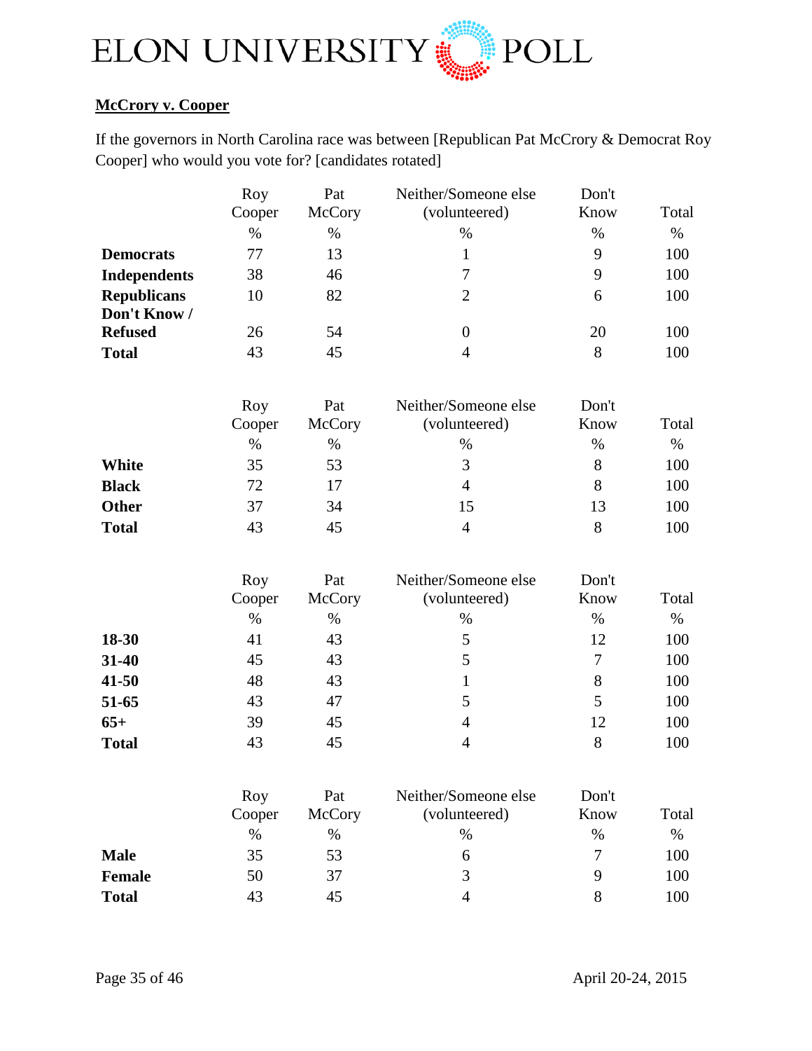

## **McCrory v. Cooper**

If the governors in North Carolina race was between [Republican Pat McCrory & Democrat Roy Cooper] who would you vote for? [candidates rotated]

|                     | Roy           | Pat           | Neither/Someone else                  | Don't         |       |
|---------------------|---------------|---------------|---------------------------------------|---------------|-------|
|                     | Cooper        | McCory        | (volunteered)                         | Know          | Total |
|                     | $\%$          | $\%$          | $\%$                                  | $\%$          | $\%$  |
| <b>Democrats</b>    | 77            | 13            | $\mathbf{1}$                          | 9             | 100   |
| <b>Independents</b> | 38            | 46            | $\tau$                                | 9             | 100   |
| <b>Republicans</b>  | 10            | 82            | $\overline{2}$                        | 6             | 100   |
| Don't Know /        |               |               |                                       |               |       |
| <b>Refused</b>      | 26            | 54            | $\boldsymbol{0}$                      | 20            | 100   |
| <b>Total</b>        | 43            | 45            | $\overline{4}$                        | 8             | 100   |
|                     | Roy           | Pat           | Neither/Someone else                  | Don't         |       |
|                     | Cooper        | McCory        | (volunteered)                         | Know          | Total |
|                     | $\%$          | $\%$          | $\%$                                  | $\%$          | $\%$  |
| <b>White</b>        | 35            | 53            | 3                                     | 8             | 100   |
| <b>Black</b>        | 72            | 17            | $\overline{4}$                        | 8             | 100   |
| <b>Other</b>        | 37            | 34            | 15                                    | 13            | 100   |
| <b>Total</b>        | 43            | 45            | $\overline{4}$                        | 8             | 100   |
|                     | Roy           | Pat           | Neither/Someone else                  | Don't         |       |
|                     | Cooper        | McCory        | (volunteered)                         | Know          | Total |
|                     | $\%$          | $\%$          | $\%$                                  | $\%$          | $\%$  |
| 18-30               | 41            | 43            | $\mathfrak s$                         | 12            | 100   |
| 31-40               | 45            | 43            | 5                                     | $\tau$        | 100   |
| $41 - 50$           | 48            | 43            | $\mathbf{1}$                          | 8             | 100   |
| 51-65               | 43            | 47            | 5                                     | 5             | 100   |
| $65+$               | 39            | 45            | $\overline{4}$                        | 12            | 100   |
| <b>Total</b>        | 43            | 45            | $\overline{4}$                        | 8             | 100   |
|                     | Roy<br>Cooper | Pat<br>McCory | Neither/Someone else<br>(volunteered) | Don't<br>Know | Total |
|                     | $\%$          | $\%$          | $\%$                                  | $\%$          | $\%$  |
| <b>Male</b>         | 35            | 53            | 6                                     | 7             | 100   |
| <b>Female</b>       | 50            | 37            | 3                                     | 9             | 100   |
| <b>Total</b>        | 43            | 45            | $\overline{4}$                        | 8             | 100   |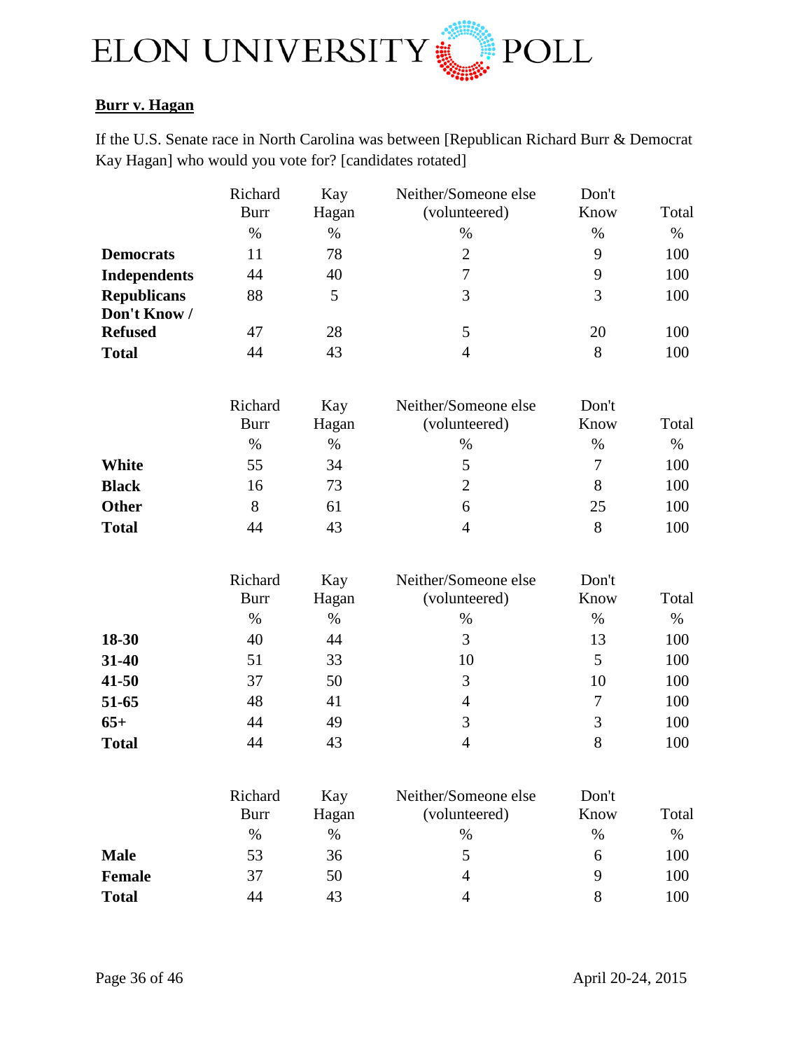

## **Burr v. Hagan**

If the U.S. Senate race in North Carolina was between [Republican Richard Burr & Democrat Kay Hagan] who would you vote for? [candidates rotated]

|                     | Richard                | Kay          | Neither/Someone else                  | Don't          |       |
|---------------------|------------------------|--------------|---------------------------------------|----------------|-------|
|                     | <b>Burr</b>            | Hagan        | (volunteered)                         | Know           | Total |
|                     | $\%$                   | $\%$         | $\%$                                  | $\%$           | $\%$  |
| <b>Democrats</b>    | 11                     | 78           | $\overline{2}$                        | 9              | 100   |
| <b>Independents</b> | 44                     | 40           | $\overline{7}$                        | 9              | 100   |
| <b>Republicans</b>  | 88                     | 5            | 3                                     | 3              | 100   |
| Don't Know /        |                        |              |                                       |                |       |
| <b>Refused</b>      | 47                     | 28           | 5                                     | 20             | 100   |
| <b>Total</b>        | 44                     | 43           | $\overline{4}$                        | 8              | 100   |
|                     | Richard                | Kay          | Neither/Someone else                  | Don't          |       |
|                     | <b>Burr</b>            | Hagan        | (volunteered)                         | Know           | Total |
|                     | $\%$                   | $\%$         | $\%$                                  | $\%$           | $\%$  |
| <b>White</b>        | 55                     | 34           | 5                                     | $\overline{7}$ | 100   |
| <b>Black</b>        | 16                     | 73           | $\overline{2}$                        | 8              | 100   |
| <b>Other</b>        | 8                      | 61           | 6                                     | 25             | 100   |
| <b>Total</b>        | 44                     | 43           | $\overline{4}$                        | 8              | 100   |
|                     | Richard<br><b>Burr</b> | Kay<br>Hagan | Neither/Someone else<br>(volunteered) | Don't<br>Know  | Total |
|                     | $\%$                   | $\%$         | $\%$                                  | $\%$           | $\%$  |
| 18-30               | 40                     | 44           | 3                                     | 13             | 100   |
| 31-40               | 51                     | 33           | 10                                    | 5              | 100   |
| 41-50               | 37                     | 50           | 3                                     | 10             | 100   |
| 51-65               | 48                     | 41           | $\overline{4}$                        | $\tau$         | 100   |
| $65+$               | 44                     | 49           | 3                                     | 3              | 100   |
| <b>Total</b>        | 44                     | 43           | $\overline{4}$                        | 8              | 100   |
|                     |                        |              |                                       |                |       |
|                     | Richard<br><b>Burr</b> | Kay<br>Hagan | Neither/Someone else<br>(volunteered) | Don't<br>Know  | Total |
|                     | $\%$                   | $\%$         | $\%$                                  | $\%$           | $\%$  |
| <b>Male</b>         | 53                     | 36           | 5                                     | 6              | 100   |
| <b>Female</b>       | 37                     | 50           | $\overline{4}$                        | 9              | 100   |
| <b>Total</b>        | 44                     | 43           | 4                                     | 8              | 100   |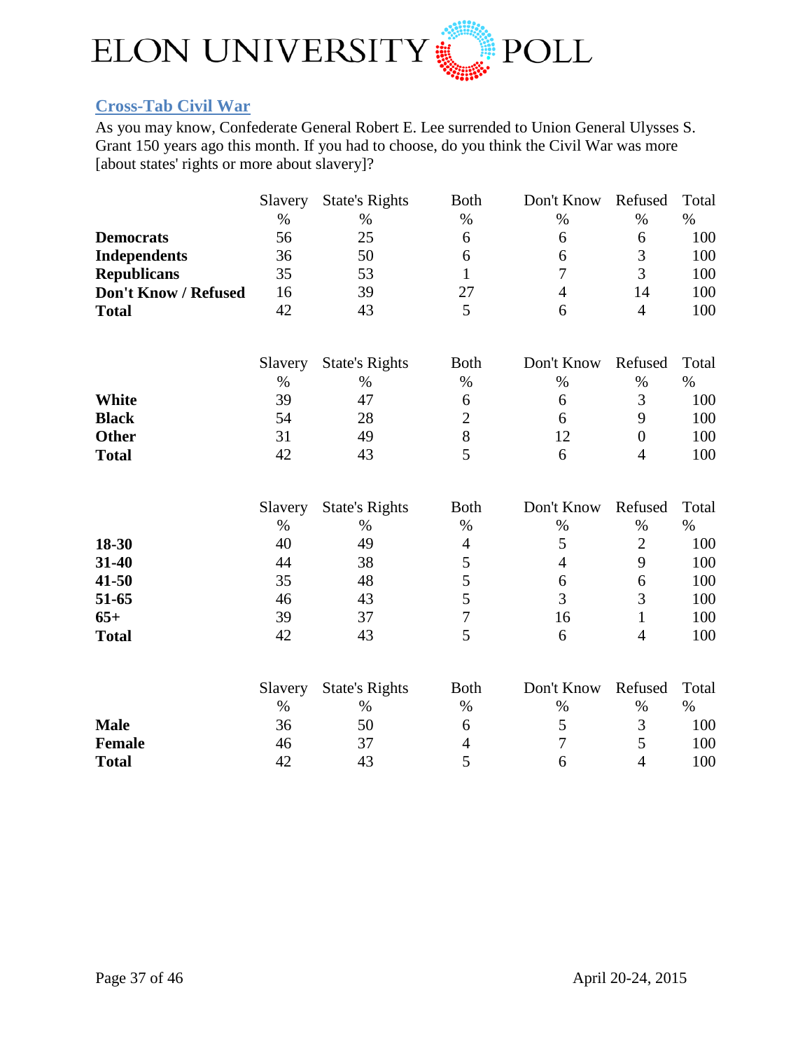

## <span id="page-36-0"></span>**Cross-Tab Civil War**

As you may know, Confederate General Robert E. Lee surrended to Union General Ulysses S. Grant 150 years ago this month. If you had to choose, do you think the Civil War was more [about states' rights or more about slavery]?

|                      | Slavery | <b>State's Rights</b> | <b>Both</b>    | Don't Know     | Refused          | Total |
|----------------------|---------|-----------------------|----------------|----------------|------------------|-------|
|                      | $\%$    | $\%$                  | $\%$           | $\%$           | $\%$             | $\%$  |
| <b>Democrats</b>     | 56      | 25                    | 6              | 6              | 6                | 100   |
| <b>Independents</b>  | 36      | 50                    | 6              | 6              | 3                | 100   |
| <b>Republicans</b>   | 35      | 53                    | $\mathbf{1}$   | $\overline{7}$ | $\overline{3}$   | 100   |
| Don't Know / Refused | 16      | 39                    | 27             | $\overline{4}$ | 14               | 100   |
| <b>Total</b>         | 42      | 43                    | 5              | 6              | $\overline{4}$   | 100   |
|                      | Slavery | <b>State's Rights</b> | <b>Both</b>    | Don't Know     | Refused          | Total |
|                      | $\%$    | $\%$                  | $\%$           | $\%$           | $\%$             | $\%$  |
| White                | 39      | 47                    | 6              | 6              | 3                | 100   |
| <b>Black</b>         | 54      | 28                    | $\overline{2}$ | 6              | 9                | 100   |
| <b>Other</b>         | 31      | 49                    | $8\,$          | 12             | $\boldsymbol{0}$ | 100   |
| <b>Total</b>         | 42      | 43                    | 5              | 6              | $\overline{4}$   | 100   |
|                      | Slavery | <b>State's Rights</b> | <b>Both</b>    | Don't Know     | Refused          | Total |
|                      | $\%$    | $\%$                  | $\%$           | $\%$           | $\%$             | $\%$  |
| 18-30                | 40      | 49                    | $\overline{4}$ | 5              | $\overline{2}$   | 100   |
| 31-40                | 44      | 38                    | 5              | $\overline{4}$ | 9                | 100   |
| 41-50                | 35      | 48                    | 5              | 6              | 6                | 100   |
| 51-65                | 46      | 43                    | 5              | 3              | 3                | 100   |
| $65+$                | 39      | 37                    | $\overline{7}$ | 16             | $\mathbf{1}$     | 100   |
| <b>Total</b>         | 42      | 43                    | 5              | 6              | $\overline{4}$   | 100   |
|                      | Slavery | <b>State's Rights</b> | <b>Both</b>    | Don't Know     | Refused          | Total |
|                      | $\%$    | $\%$                  | $\%$           | $\%$           | $\%$             | $\%$  |
| <b>Male</b>          | 36      | 50                    | 6              | 5              | 3                | 100   |
| <b>Female</b>        | 46      | 37                    | $\overline{4}$ | $\overline{7}$ | 5                | 100   |
| <b>Total</b>         | 42      | 43                    | 5              | 6              | $\overline{4}$   | 100   |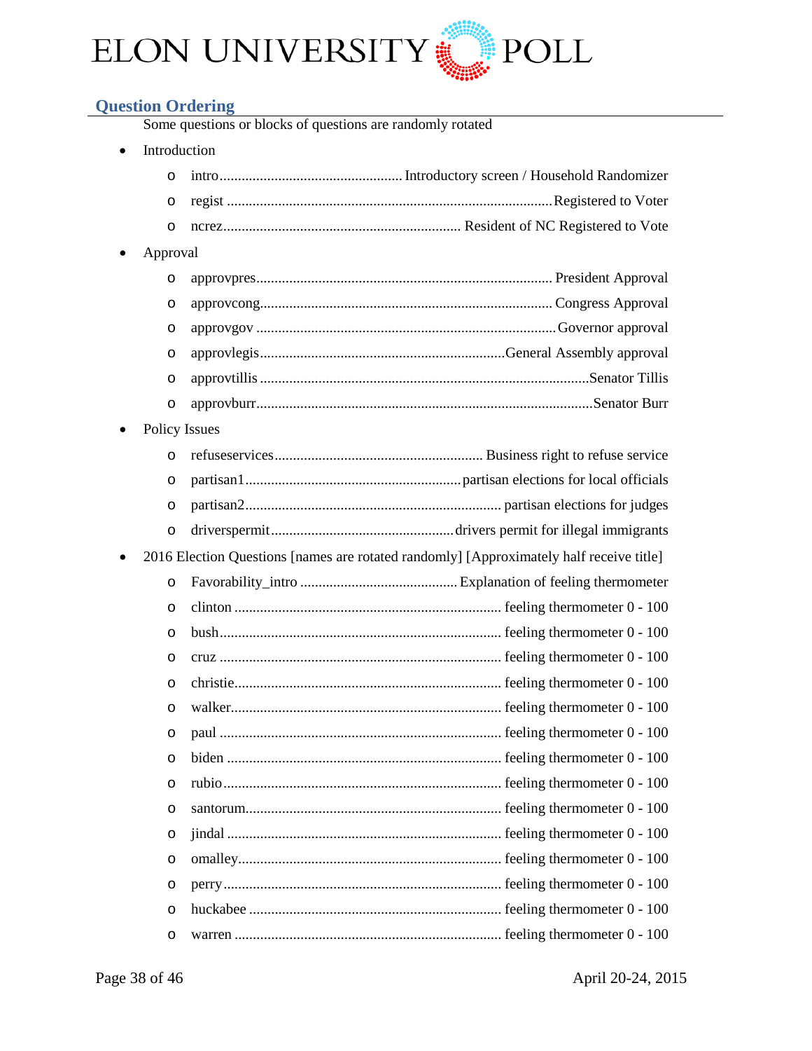

## <span id="page-37-0"></span>**Question Ordering**

Some questions or blocks of questions are randomly rotated

• Introduction

|           | $\Omega$             |  |
|-----------|----------------------|--|
|           | $\circ$              |  |
|           | $\circ$              |  |
| $\bullet$ | Approval             |  |
|           | O                    |  |
|           | $\circ$              |  |
|           | O                    |  |
|           | $\circ$              |  |
|           | $\circ$              |  |
|           | $\circ$              |  |
|           | <b>Policy Issues</b> |  |
|           |                      |  |

|           | $\circ$ |                                                                                         |
|-----------|---------|-----------------------------------------------------------------------------------------|
|           | $\circ$ |                                                                                         |
|           | $\circ$ |                                                                                         |
|           | $\circ$ |                                                                                         |
| $\bullet$ |         | 2016 Election Questions [names are rotated randomly] [Approximately half receive title] |
|           | $\circ$ |                                                                                         |
|           | $\circ$ |                                                                                         |
|           | O       |                                                                                         |
|           | $\circ$ |                                                                                         |
|           | $\circ$ |                                                                                         |
|           | $\circ$ |                                                                                         |
|           | $\circ$ |                                                                                         |
|           | $\circ$ |                                                                                         |
|           | $\circ$ |                                                                                         |
|           | $\circ$ |                                                                                         |
|           | $\circ$ |                                                                                         |
|           | $\circ$ |                                                                                         |
|           | $\circ$ |                                                                                         |
|           | $\circ$ |                                                                                         |
|           | $\circ$ |                                                                                         |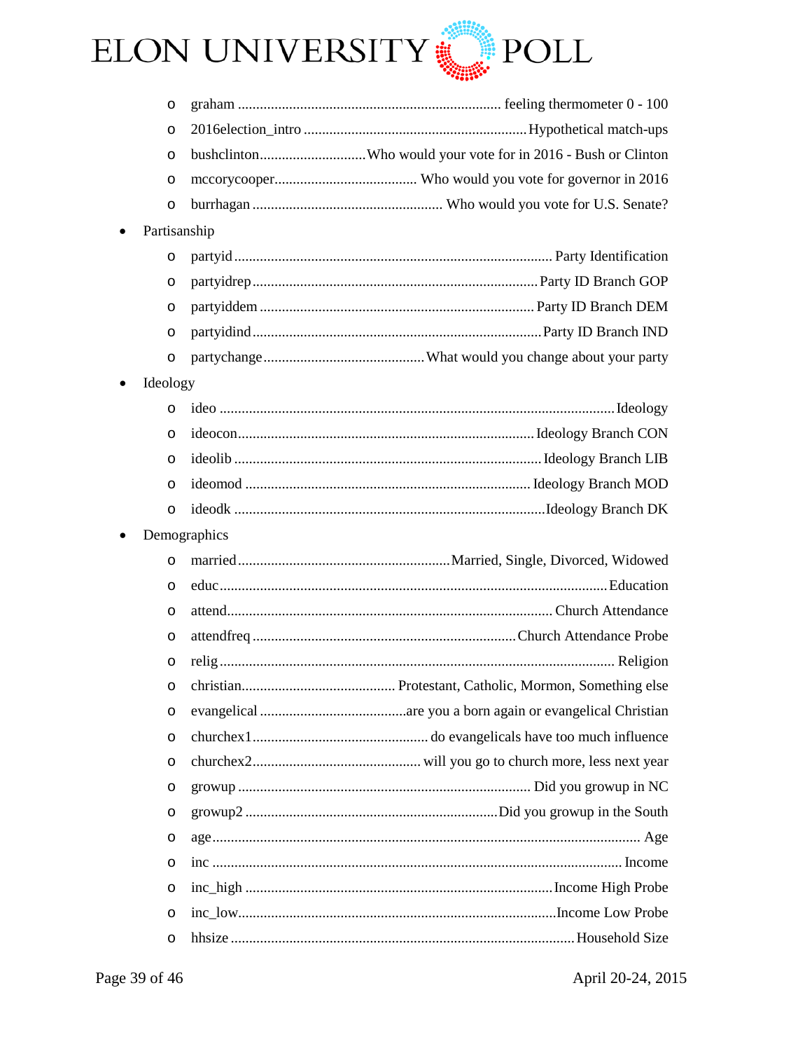

|           | $\circ$      |                                                              |
|-----------|--------------|--------------------------------------------------------------|
|           | $\circ$      |                                                              |
|           | O            | bushclintonWho would your vote for in 2016 - Bush or Clinton |
|           | O            |                                                              |
|           | O            |                                                              |
| $\bullet$ | Partisanship |                                                              |
|           | O            |                                                              |
|           | O            |                                                              |
|           | O            |                                                              |
|           | O            |                                                              |
|           | O            |                                                              |
| $\bullet$ | Ideology     |                                                              |
|           | $\circ$      |                                                              |
|           | $\circ$      |                                                              |
|           | $\circ$      |                                                              |
|           | $\circ$      |                                                              |
|           | $\circ$      |                                                              |
| ٠         | Demographics |                                                              |
|           | $\circ$      |                                                              |
|           | $\circ$      |                                                              |
|           | O            |                                                              |
|           | O            |                                                              |
|           | O            |                                                              |
|           | O            |                                                              |
|           | O            |                                                              |
|           | $\circ$      |                                                              |
|           | $\circ$      |                                                              |
|           | O            |                                                              |
|           | O            |                                                              |
|           | O            |                                                              |
|           |              |                                                              |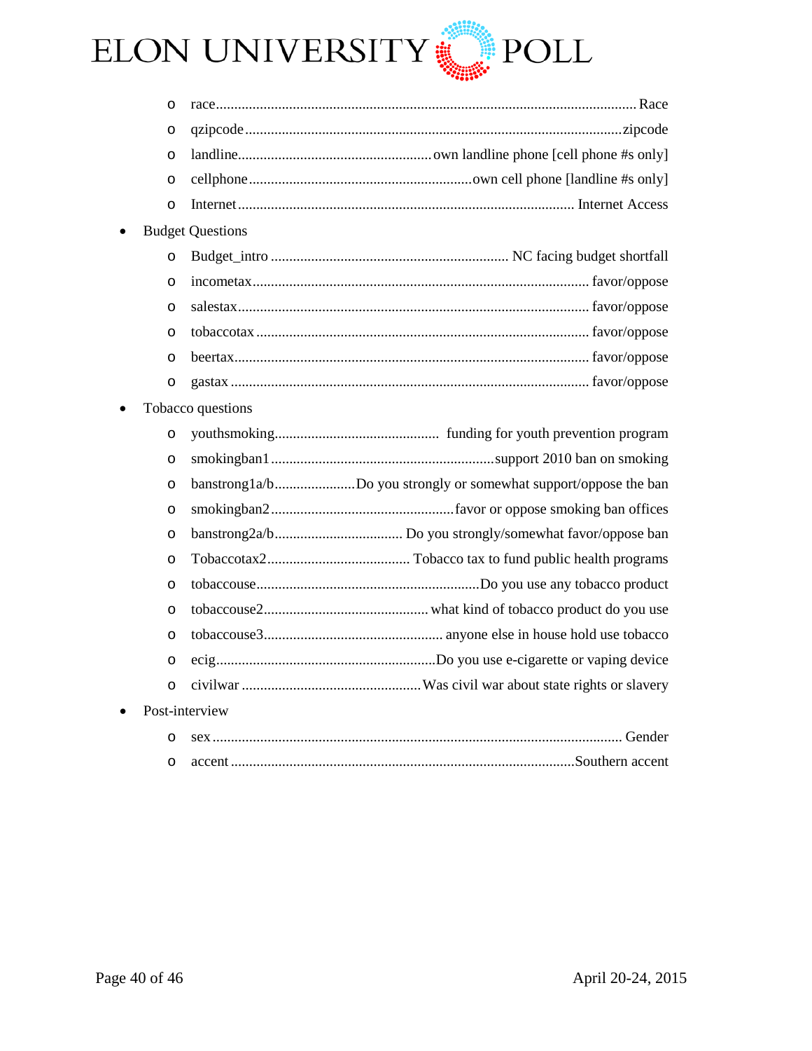

• Budget Questions

• Tobacco questions

|           | $\circ$        |                                                                 |  |
|-----------|----------------|-----------------------------------------------------------------|--|
|           | $\circ$        |                                                                 |  |
|           | $\circ$        | banstrong1a/bDo you strongly or somewhat support/oppose the ban |  |
|           | $\circ$        |                                                                 |  |
|           | $\circ$        |                                                                 |  |
|           | $\circ$        |                                                                 |  |
|           | $\circ$        |                                                                 |  |
|           | $\circ$        |                                                                 |  |
|           | $\circ$        |                                                                 |  |
|           | $\circ$        |                                                                 |  |
|           | $\circ$        |                                                                 |  |
| $\bullet$ | Post-interview |                                                                 |  |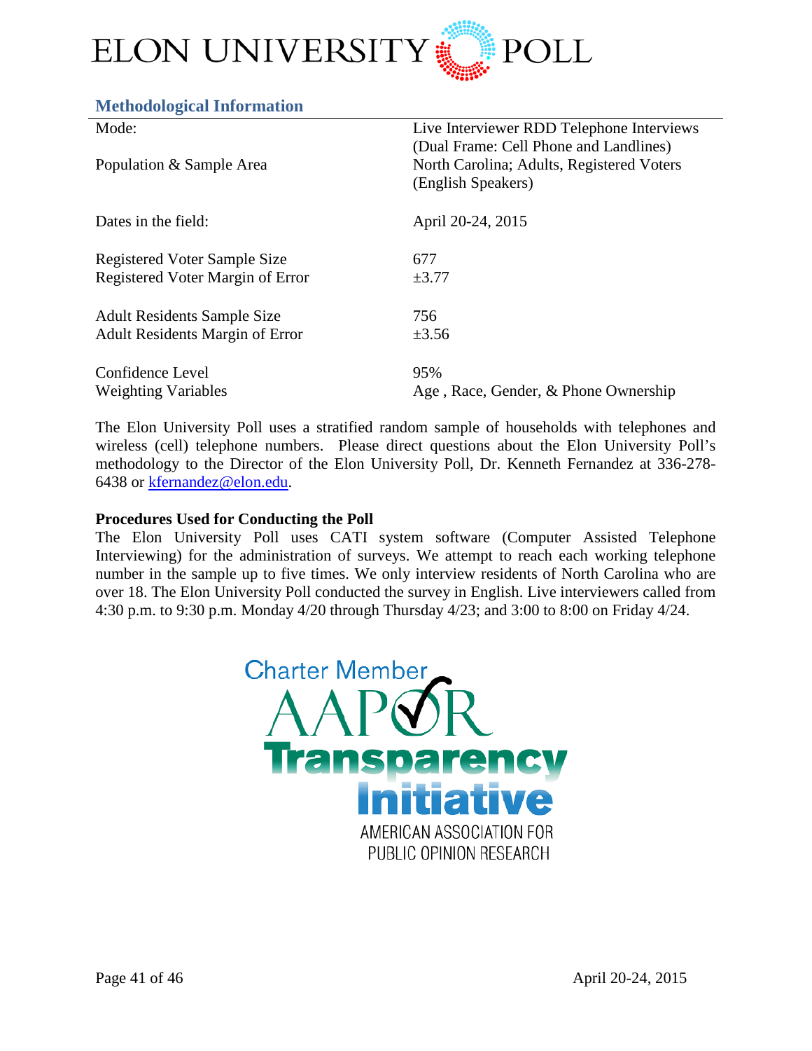

#### <span id="page-40-0"></span>**Methodological Information**

| Mode:                                  | Live Interviewer RDD Telephone Interviews<br>(Dual Frame: Cell Phone and Landlines) |
|----------------------------------------|-------------------------------------------------------------------------------------|
| Population & Sample Area               | North Carolina; Adults, Registered Voters<br>(English Speakers)                     |
| Dates in the field:                    | April 20-24, 2015                                                                   |
| <b>Registered Voter Sample Size</b>    | 677                                                                                 |
| Registered Voter Margin of Error       | $\pm 3.77$                                                                          |
| <b>Adult Residents Sample Size</b>     | 756                                                                                 |
| <b>Adult Residents Margin of Error</b> | $\pm 3.56$                                                                          |
| Confidence Level                       | 95%                                                                                 |
| <b>Weighting Variables</b>             | Age, Race, Gender, & Phone Ownership                                                |

The Elon University Poll uses a stratified random sample of households with telephones and wireless (cell) telephone numbers. Please direct questions about the Elon University Poll's methodology to the Director of the Elon University Poll, Dr. Kenneth Fernandez at 336-278- 6438 or [kfernandez@elon.edu.](mailto:kfernandez@elon.edu)

#### **Procedures Used for Conducting the Poll**

The Elon University Poll uses CATI system software (Computer Assisted Telephone Interviewing) for the administration of surveys. We attempt to reach each working telephone number in the sample up to five times. We only interview residents of North Carolina who are over 18. The Elon University Poll conducted the survey in English. Live interviewers called from 4:30 p.m. to 9:30 p.m. Monday 4/20 through Thursday 4/23; and 3:00 to 8:00 on Friday 4/24.

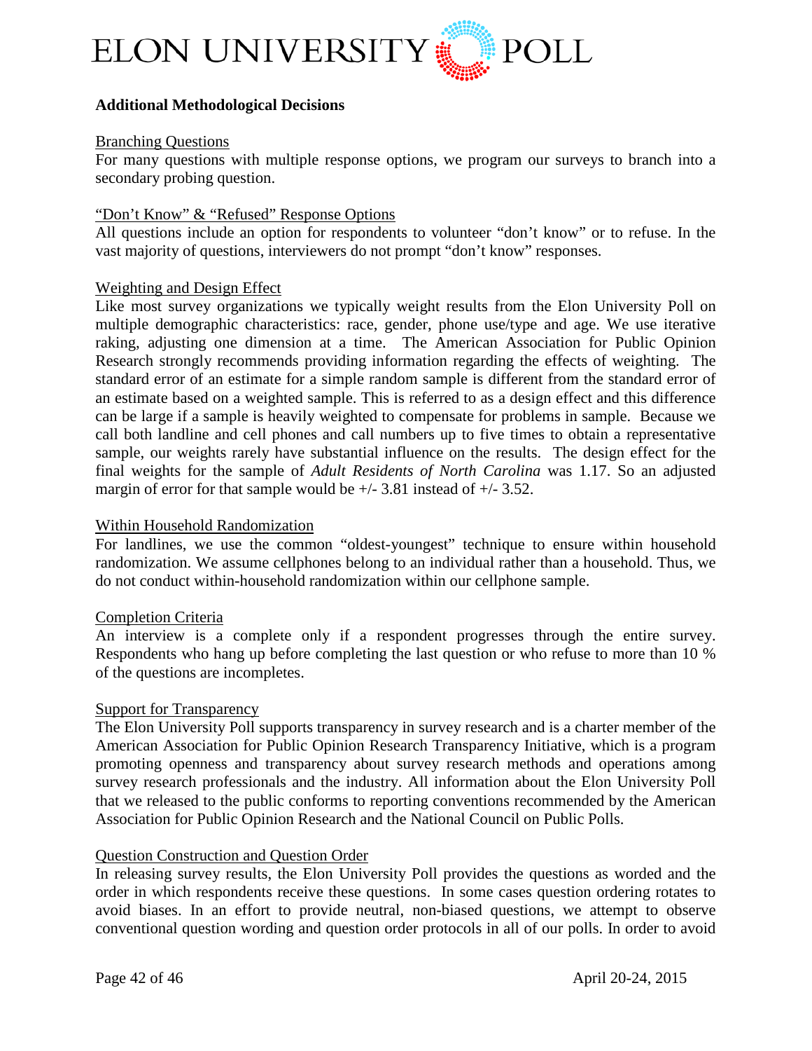

#### **Additional Methodological Decisions**

#### Branching Questions

For many questions with multiple response options, we program our surveys to branch into a secondary probing question.

#### "Don't Know" & "Refused" Response Options

All questions include an option for respondents to volunteer "don't know" or to refuse. In the vast majority of questions, interviewers do not prompt "don't know" responses.

#### Weighting and Design Effect

Like most survey organizations we typically weight results from the Elon University Poll on multiple demographic characteristics: race, gender, phone use/type and age. We use iterative raking, adjusting one dimension at a time. The American Association for Public Opinion Research strongly recommends providing information regarding the effects of weighting. The standard error of an estimate for a simple random sample is different from the standard error of an estimate based on a weighted sample. This is referred to as a design effect and this difference can be large if a sample is heavily weighted to compensate for problems in sample. Because we call both landline and cell phones and call numbers up to five times to obtain a representative sample, our weights rarely have substantial influence on the results. The design effect for the final weights for the sample of *Adult Residents of North Carolina* was 1.17. So an adjusted margin of error for that sample would be  $+/- 3.81$  instead of  $+/- 3.52$ .

#### Within Household Randomization

For landlines, we use the common "oldest-youngest" technique to ensure within household randomization. We assume cellphones belong to an individual rather than a household. Thus, we do not conduct within-household randomization within our cellphone sample.

#### Completion Criteria

An interview is a complete only if a respondent progresses through the entire survey. Respondents who hang up before completing the last question or who refuse to more than 10 % of the questions are incompletes.

#### Support for Transparency

The Elon University Poll supports transparency in survey research and is a charter member of the American Association for Public Opinion Research Transparency Initiative, which is a program promoting openness and transparency about survey research methods and operations among survey research professionals and the industry. All information about the Elon University Poll that we released to the public conforms to reporting conventions recommended by the American Association for Public Opinion Research and the National Council on Public Polls.

#### Question Construction and Question Order

In releasing survey results, the Elon University Poll provides the questions as worded and the order in which respondents receive these questions. In some cases question ordering rotates to avoid biases. In an effort to provide neutral, non-biased questions, we attempt to observe conventional question wording and question order protocols in all of our polls. In order to avoid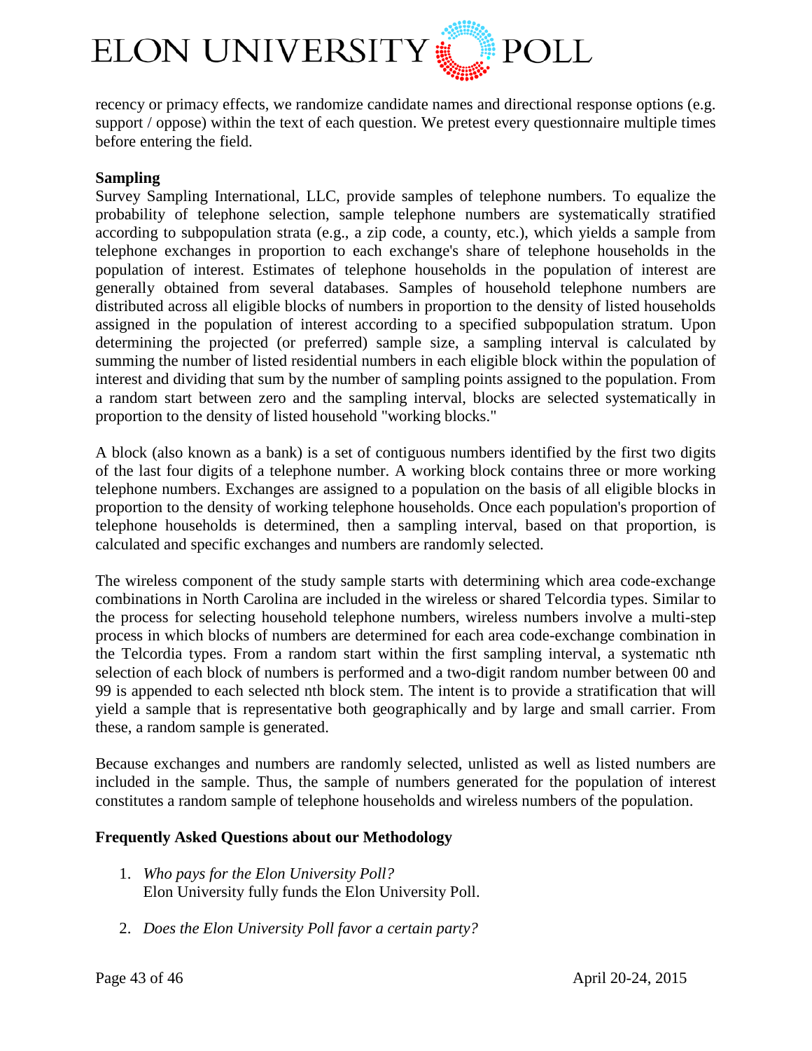

recency or primacy effects, we randomize candidate names and directional response options (e.g. support / oppose) within the text of each question. We pretest every questionnaire multiple times before entering the field.

#### **Sampling**

Survey Sampling International, LLC, provide samples of telephone numbers. To equalize the probability of telephone selection, sample telephone numbers are systematically stratified according to subpopulation strata (e.g., a zip code, a county, etc.), which yields a sample from telephone exchanges in proportion to each exchange's share of telephone households in the population of interest. Estimates of telephone households in the population of interest are generally obtained from several databases. Samples of household telephone numbers are distributed across all eligible blocks of numbers in proportion to the density of listed households assigned in the population of interest according to a specified subpopulation stratum. Upon determining the projected (or preferred) sample size, a sampling interval is calculated by summing the number of listed residential numbers in each eligible block within the population of interest and dividing that sum by the number of sampling points assigned to the population. From a random start between zero and the sampling interval, blocks are selected systematically in proportion to the density of listed household "working blocks."

A block (also known as a bank) is a set of contiguous numbers identified by the first two digits of the last four digits of a telephone number. A working block contains three or more working telephone numbers. Exchanges are assigned to a population on the basis of all eligible blocks in proportion to the density of working telephone households. Once each population's proportion of telephone households is determined, then a sampling interval, based on that proportion, is calculated and specific exchanges and numbers are randomly selected.

The wireless component of the study sample starts with determining which area code-exchange combinations in North Carolina are included in the wireless or shared Telcordia types. Similar to the process for selecting household telephone numbers, wireless numbers involve a multi-step process in which blocks of numbers are determined for each area code-exchange combination in the Telcordia types. From a random start within the first sampling interval, a systematic nth selection of each block of numbers is performed and a two-digit random number between 00 and 99 is appended to each selected nth block stem. The intent is to provide a stratification that will yield a sample that is representative both geographically and by large and small carrier. From these, a random sample is generated.

Because exchanges and numbers are randomly selected, unlisted as well as listed numbers are included in the sample. Thus, the sample of numbers generated for the population of interest constitutes a random sample of telephone households and wireless numbers of the population.

#### **Frequently Asked Questions about our Methodology**

- 1. *Who pays for the Elon University Poll?* Elon University fully funds the Elon University Poll.
- 2. *Does the Elon University Poll favor a certain party?*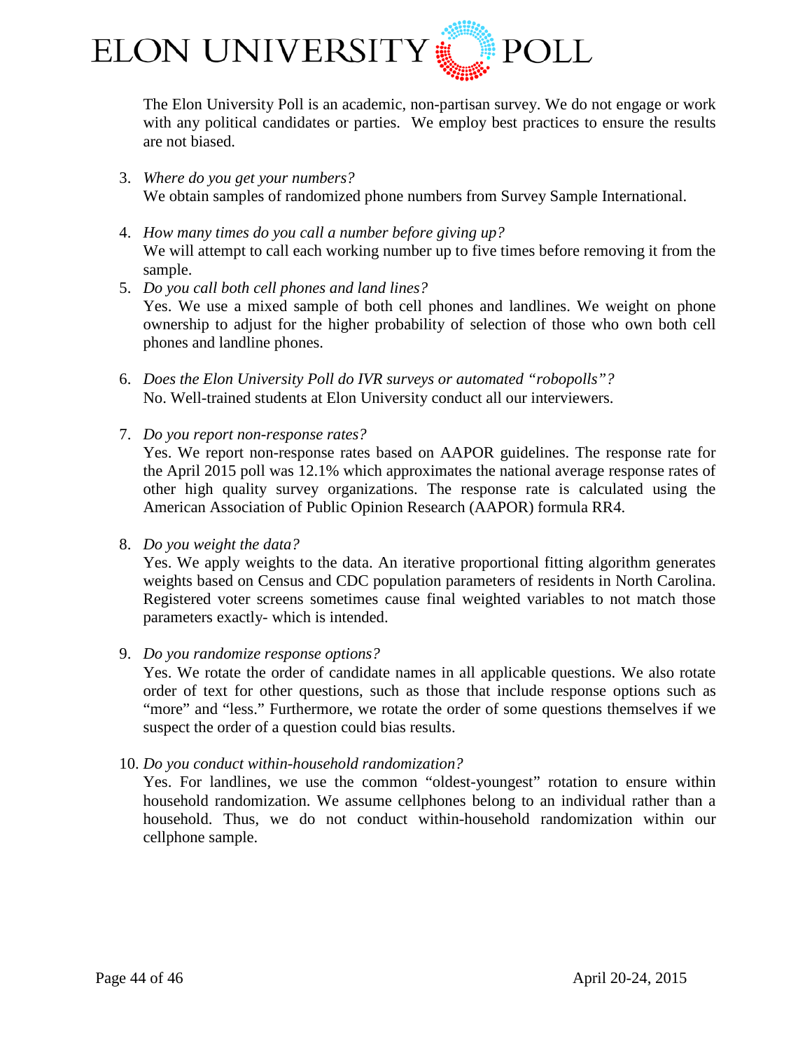

The Elon University Poll is an academic, non-partisan survey. We do not engage or work with any political candidates or parties. We employ best practices to ensure the results are not biased.

- 3. *Where do you get your numbers?* We obtain samples of randomized phone numbers from Survey Sample International.
- 4. *How many times do you call a number before giving up?* We will attempt to call each working number up to five times before removing it from the sample.
- 5. *Do you call both cell phones and land lines?* Yes. We use a mixed sample of both cell phones and landlines. We weight on phone ownership to adjust for the higher probability of selection of those who own both cell phones and landline phones.
- 6. *Does the Elon University Poll do IVR surveys or automated "robopolls"?* No. Well-trained students at Elon University conduct all our interviewers.
- 7. *Do you report non-response rates?*

Yes. We report non-response rates based on AAPOR guidelines. The response rate for the April 2015 poll was 12.1% which approximates the national average response rates of other high quality survey organizations. The response rate is calculated using the American Association of Public Opinion Research (AAPOR) formula RR4.

8. *Do you weight the data?*

Yes. We apply weights to the data. An iterative proportional fitting algorithm generates weights based on Census and CDC population parameters of residents in North Carolina. Registered voter screens sometimes cause final weighted variables to not match those parameters exactly- which is intended.

9. *Do you randomize response options?*

Yes. We rotate the order of candidate names in all applicable questions. We also rotate order of text for other questions, such as those that include response options such as "more" and "less." Furthermore, we rotate the order of some questions themselves if we suspect the order of a question could bias results.

10. *Do you conduct within-household randomization?*

Yes. For landlines, we use the common "oldest-youngest" rotation to ensure within household randomization. We assume cellphones belong to an individual rather than a household. Thus, we do not conduct within-household randomization within our cellphone sample.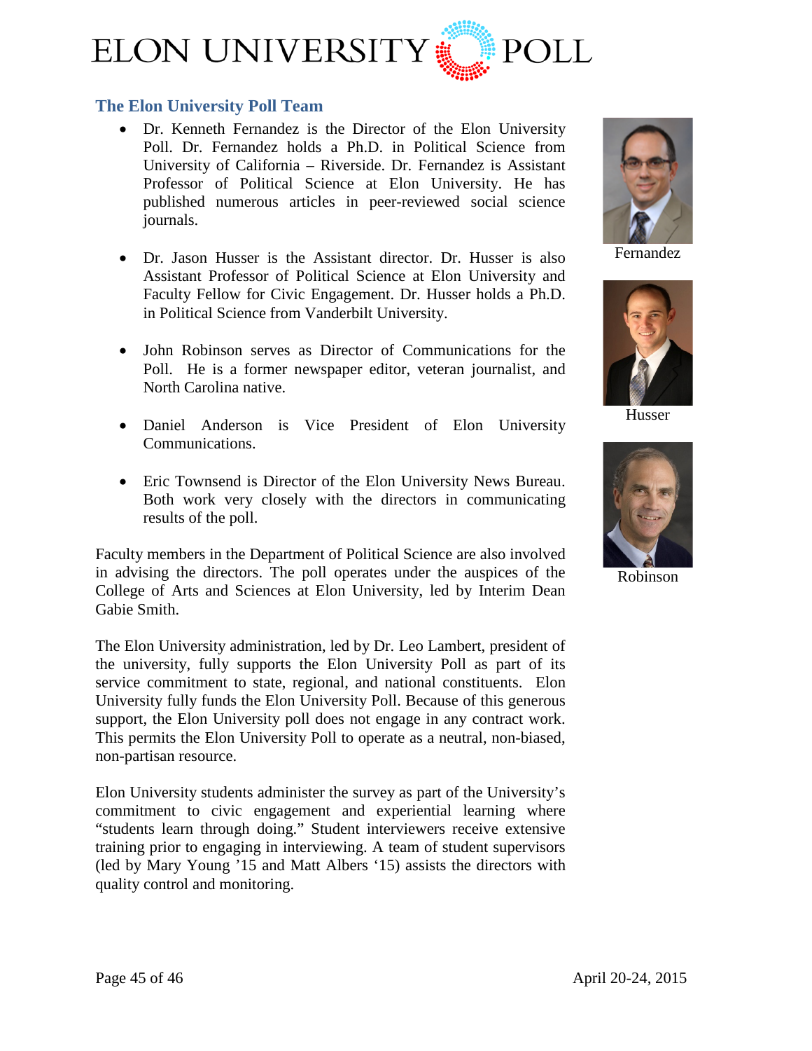

## <span id="page-44-0"></span>**The Elon University Poll Team**

- [Dr. Kenneth Fernandez](http://www.elon.edu/directories/profile/?user=kfernandez) is the Director of the Elon University Poll. Dr. Fernandez holds a Ph.D. in Political Science from University of California – Riverside. Dr. Fernandez is Assistant Professor of Political Science at Elon University. He has published numerous articles in peer-reviewed social science journals.
- [Dr. Jason Husser](http://www.elon.edu/directories/profile/?user=jhusser) is the Assistant director. Dr. Husser is also Assistant Professor of Political Science at Elon University and Faculty Fellow for Civic Engagement. Dr. Husser holds a Ph.D. in Political Science from Vanderbilt University.
- John Robinson serves as Director of Communications for the Poll. He is a former newspaper editor, veteran journalist, and North Carolina native.
- Daniel Anderson is Vice President of Elon University Communications.
- Eric Townsend is Director of the Elon University News Bureau. Both work very closely with the directors in communicating results of the poll.

Faculty members in the Department of Political Science are also involved in advising the directors. The poll operates under the auspices of the College of Arts and Sciences at Elon University, led by Interim Dean Gabie Smith.

The Elon University administration, led by Dr. Leo Lambert, president of the university, fully supports the Elon University Poll as part of its service commitment to state, regional, and national constituents. Elon University fully funds the Elon University Poll. Because of this generous support, the Elon University poll does not engage in any contract work. This permits the Elon University Poll to operate as a neutral, non-biased, non-partisan resource.

Elon University students administer the survey as part of the University's commitment to civic engagement and experiential learning where "students learn through doing." Student interviewers receive extensive training prior to engaging in interviewing. A team of student supervisors (led by Mary Young '15 and Matt Albers '15) assists the directors with quality control and monitoring.



Fernandez



Husser



Robinson